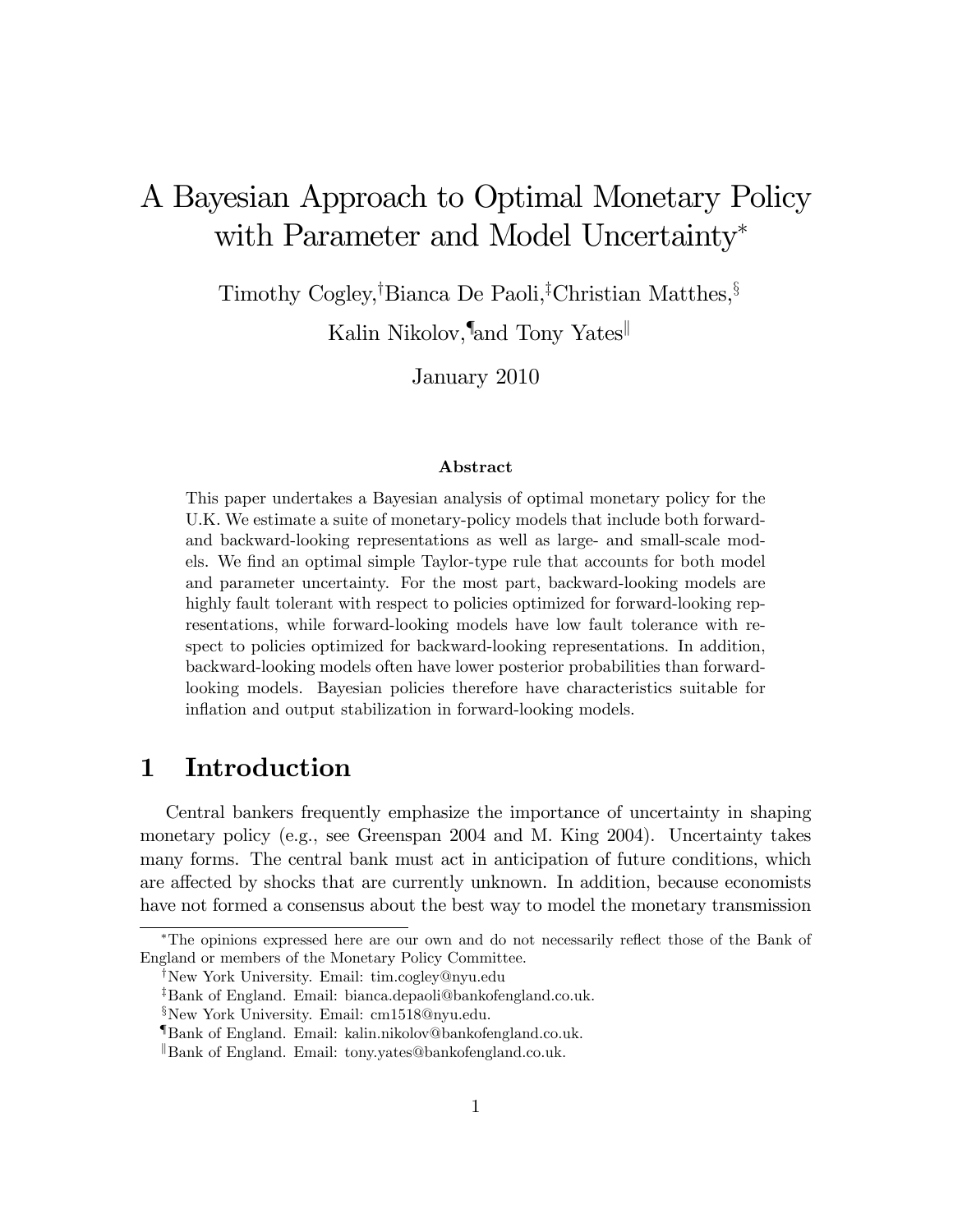# A Bayesian Approach to Optimal Monetary Policy with Parameter and Model Uncertainty\*

Timothy Cogley,<sup>†</sup>Bianca De Paoli,<sup>‡</sup>Christian Matthes, $\frac{5}{3}$ 

Kalin Nikolov, and Tony Yates

January 2010

#### Abstract

This paper undertakes a Bayesian analysis of optimal monetary policy for the U.K. We estimate a suite of monetary-policy models that include both forwardand backward-looking representations as well as large- and small-scale models. We find an optimal simple Taylor-type rule that accounts for both model and parameter uncertainty. For the most part, backward-looking models are highly fault tolerant with respect to policies optimized for forward-looking representations, while forward-looking models have low fault tolerance with respect to policies optimized for backward-looking representations. In addition, backward-looking models often have lower posterior probabilities than forwardlooking models. Bayesian policies therefore have characteristics suitable for inflation and output stabilization in forward-looking models.

# 1 Introduction

Central bankers frequently emphasize the importance of uncertainty in shaping monetary policy (e.g., see Greenspan 2004 and M. King 2004). Uncertainty takes many forms. The central bank must act in anticipation of future conditions, which are affected by shocks that are currently unknown. In addition, because economists have not formed a consensus about the best way to model the monetary transmission

<sup>&</sup>lt;sup>\*</sup>The opinions expressed here are our own and do not necessarily reflect those of the Bank of England or members of the Monetary Policy Committee.

<sup>&</sup>lt;sup>†</sup>New York University. Email: tim.cogley@nyu.edu

<sup>&</sup>lt;sup>‡</sup>Bank of England. Email: bianca.depaoli@bankofengland.co.uk.

<sup>&</sup>lt;sup>§</sup>New York University. Email: cm1518@nyu.edu.

<sup>{</sup>Bank of England. Email: kalin.nikolov@bankofengland.co.uk.

Bank of England. Email: tony.yates@bankofengland.co.uk.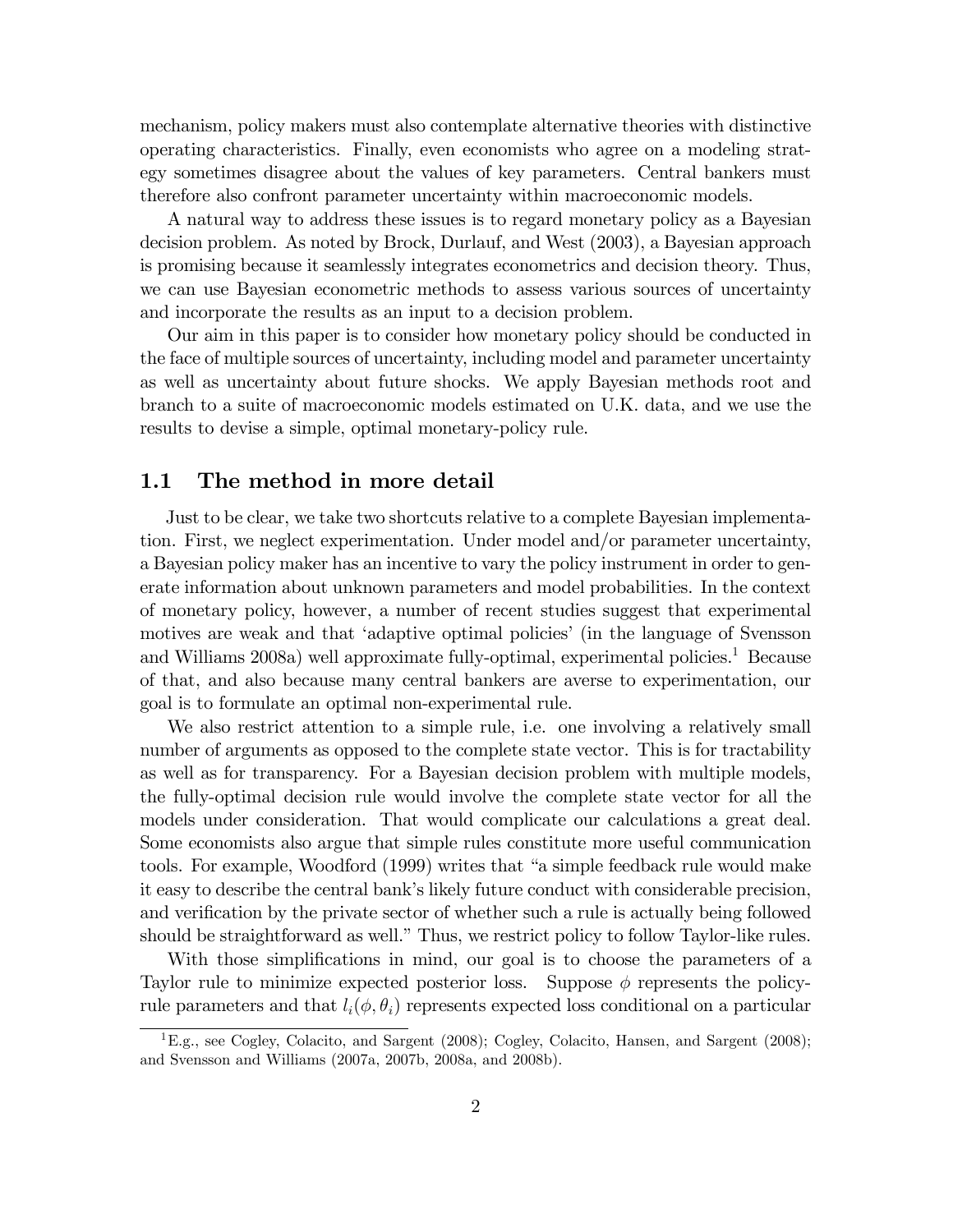mechanism, policy makers must also contemplate alternative theories with distinctive operating characteristics. Finally, even economists who agree on a modeling strategy sometimes disagree about the values of key parameters. Central bankers must therefore also confront parameter uncertainty within macroeconomic models.

A natural way to address these issues is to regard monetary policy as a Bayesian decision problem. As noted by Brock, Durlauf, and West (2003), a Bayesian approach is promising because it seamlessly integrates econometrics and decision theory. Thus, we can use Bayesian econometric methods to assess various sources of uncertainty and incorporate the results as an input to a decision problem.

Our aim in this paper is to consider how monetary policy should be conducted in the face of multiple sources of uncertainty, including model and parameter uncertainty as well as uncertainty about future shocks. We apply Bayesian methods root and branch to a suite of macroeconomic models estimated on U.K. data, and we use the results to devise a simple, optimal monetary-policy rule.

### 1.1 The method in more detail

Just to be clear, we take two shortcuts relative to a complete Bayesian implementation. First, we neglect experimentation. Under model and/or parameter uncertainty, a Bayesian policy maker has an incentive to vary the policy instrument in order to generate information about unknown parameters and model probabilities. In the context of monetary policy, however, a number of recent studies suggest that experimental motives are weak and that 'adaptive optimal policies' (in the language of Svensson and Williams  $2008a$ ) well approximate fully-optimal, experimental policies.<sup>1</sup> Because of that, and also because many central bankers are averse to experimentation, our goal is to formulate an optimal non-experimental rule.

We also restrict attention to a simple rule, i.e. one involving a relatively small number of arguments as opposed to the complete state vector. This is for tractability as well as for transparency. For a Bayesian decision problem with multiple models, the fully-optimal decision rule would involve the complete state vector for all the models under consideration. That would complicate our calculations a great deal. Some economists also argue that simple rules constitute more useful communication tools. For example, Woodford (1999) writes that "a simple feedback rule would make it easy to describe the central bank's likely future conduct with considerable precision, and verification by the private sector of whether such a rule is actually being followed should be straightforward as well." Thus, we restrict policy to follow Taylor-like rules.

With those simplifications in mind, our goal is to choose the parameters of a Taylor rule to minimize expected posterior loss. Suppose  $\phi$  represents the policyrule parameters and that  $l_i(\phi, \theta_i)$  represents expected loss conditional on a particular

<sup>&</sup>lt;sup>1</sup>E.g., see Cogley, Colacito, and Sargent (2008); Cogley, Colacito, Hansen, and Sargent (2008); and Svensson and Williams (2007a, 2007b, 2008a, and 2008b).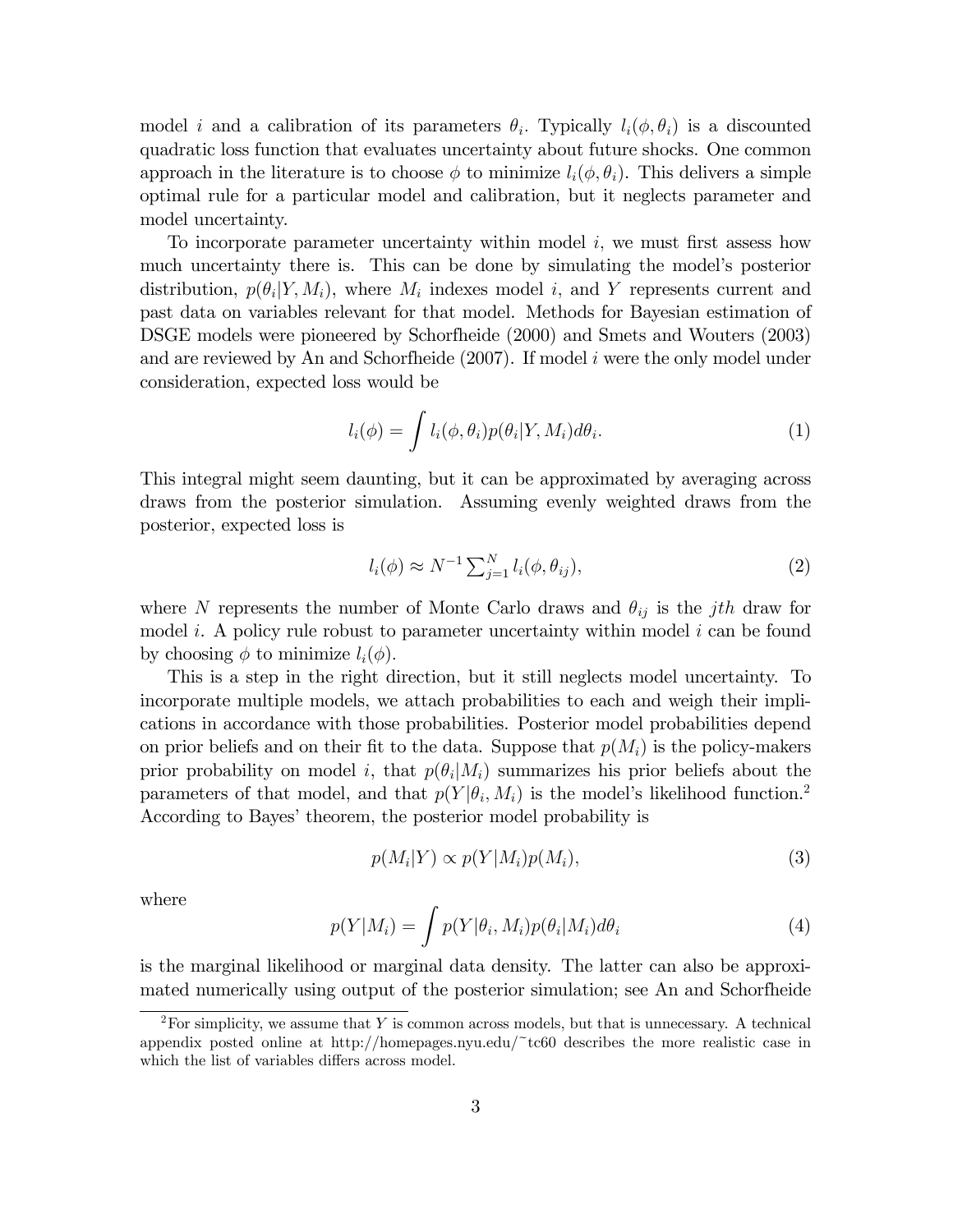model *i* and a calibration of its parameters  $\theta_i$ . Typically  $l_i(\phi, \theta_i)$  is a discounted quadratic loss function that evaluates uncertainty about future shocks. One common approach in the literature is to choose  $\phi$  to minimize  $l_i(\phi, \theta_i)$ . This delivers a simple optimal rule for a particular model and calibration, but it neglects parameter and model uncertainty.

To incorporate parameter uncertainty within model  $i$ , we must first assess how much uncertainty there is. This can be done by simulating the model's posterior distribution,  $p(\theta_i|Y, M_i)$ , where  $M_i$  indexes model i, and Y represents current and past data on variables relevant for that model. Methods for Bayesian estimation of DSGE models were pioneered by Schorfheide (2000) and Smets and Wouters (2003) and are reviewed by An and Schorfheide  $(2007)$ . If model *i* were the only model under consideration, expected loss would be

$$
l_i(\phi) = \int l_i(\phi, \theta_i) p(\theta_i | Y, M_i) d\theta_i.
$$
 (1)

This integral might seem daunting, but it can be approximated by averaging across draws from the posterior simulation. Assuming evenly weighted draws from the posterior, expected loss is

$$
l_i(\phi) \approx N^{-1} \sum_{j=1}^N l_i(\phi, \theta_{ij}), \qquad (2)
$$

where N represents the number of Monte Carlo draws and  $\theta_{ij}$  is the *jth* draw for model i. A policy rule robust to parameter uncertainty within model i can be found by choosing  $\phi$  to minimize  $l_i(\phi)$ .

This is a step in the right direction, but it still neglects model uncertainty. To incorporate multiple models, we attach probabilities to each and weigh their implications in accordance with those probabilities. Posterior model probabilities depend on prior beliefs and on their fit to the data. Suppose that  $p(M<sub>i</sub>)$  is the policy-makers prior probability on model *i*, that  $p(\theta_i|M_i)$  summarizes his prior beliefs about the parameters of that model, and that  $p(Y|\theta_i, M_i)$  is the model's likelihood function.<sup>2</sup> According to Bayes' theorem, the posterior model probability is

$$
p(M_i|Y) \propto p(Y|M_i)p(M_i),\tag{3}
$$

where

$$
p(Y|M_i) = \int p(Y|\theta_i, M_i)p(\theta_i|M_i)d\theta_i
$$
\n(4)

is the marginal likelihood or marginal data density. The latter can also be approximated numerically using output of the posterior simulation; see An and Schorfheide

<sup>&</sup>lt;sup>2</sup>For simplicity, we assume that Y is common across models, but that is unnecessary. A technical appendix posted online at http://homepages.nyu.edu/~tc60 describes the more realistic case in which the list of variables differs across model.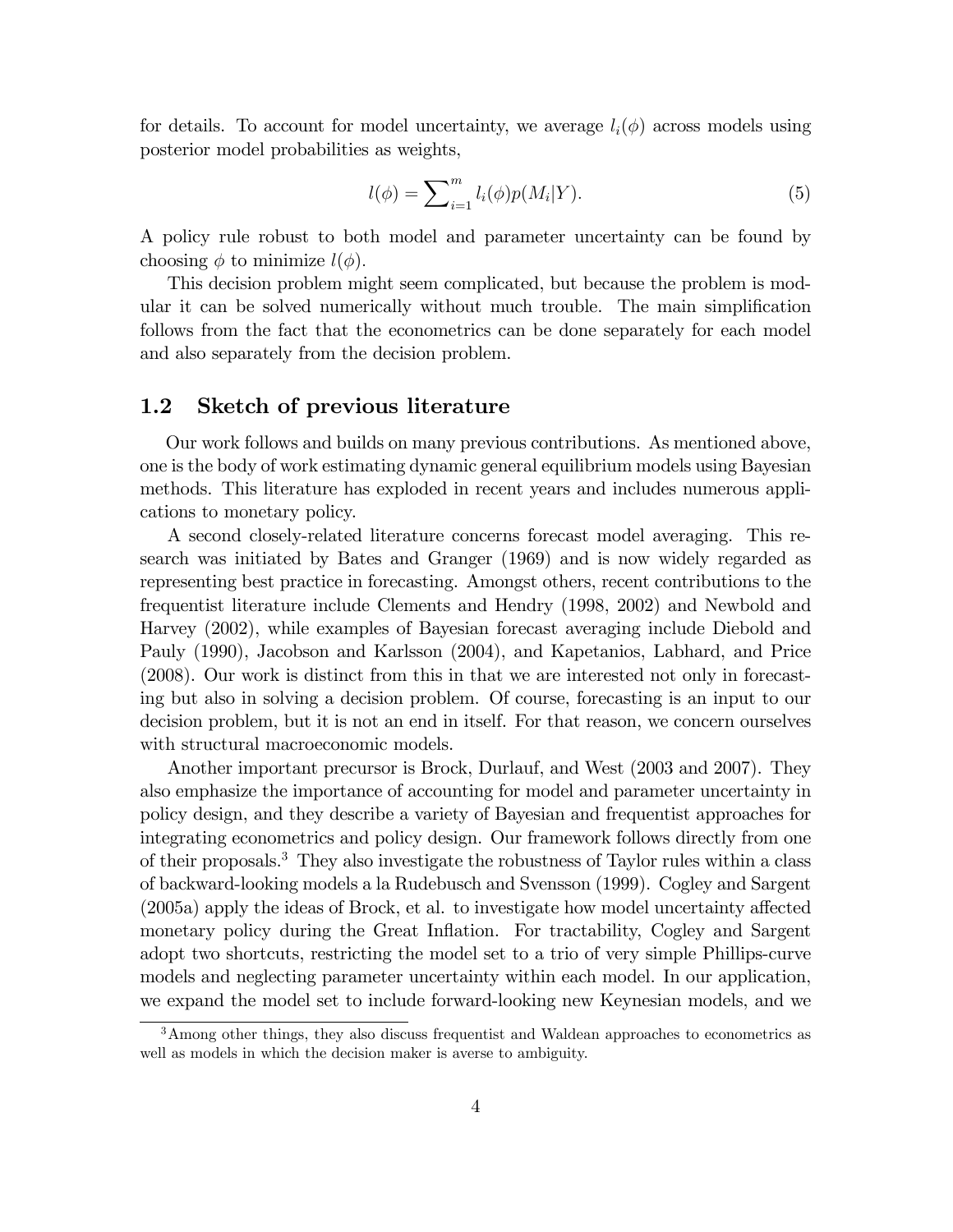for details. To account for model uncertainty, we average  $l_i(\phi)$  across models using posterior model probabilities as weights,

$$
l(\phi) = \sum_{i=1}^{m} l_i(\phi) p(M_i|Y).
$$
 (5)

A policy rule robust to both model and parameter uncertainty can be found by choosing  $\phi$  to minimize  $l(\phi)$ .

This decision problem might seem complicated, but because the problem is modular it can be solved numerically without much trouble. The main simplification follows from the fact that the econometrics can be done separately for each model and also separately from the decision problem.

#### 1.2 Sketch of previous literature

Our work follows and builds on many previous contributions. As mentioned above, one is the body of work estimating dynamic general equilibrium models using Bayesian methods. This literature has exploded in recent years and includes numerous applications to monetary policy.

A second closely-related literature concerns forecast model averaging. This research was initiated by Bates and Granger (1969) and is now widely regarded as representing best practice in forecasting. Amongst others, recent contributions to the frequentist literature include Clements and Hendry (1998, 2002) and Newbold and Harvey (2002), while examples of Bayesian forecast averaging include Diebold and Pauly (1990), Jacobson and Karlsson (2004), and Kapetanios, Labhard, and Price (2008). Our work is distinct from this in that we are interested not only in forecasting but also in solving a decision problem. Of course, forecasting is an input to our decision problem, but it is not an end in itself. For that reason, we concern ourselves with structural macroeconomic models.

Another important precursor is Brock, Durlauf, and West (2003 and 2007). They also emphasize the importance of accounting for model and parameter uncertainty in policy design, and they describe a variety of Bayesian and frequentist approaches for integrating econometrics and policy design. Our framework follows directly from one of their proposals.<sup>3</sup> They also investigate the robustness of Taylor rules within a class of backward-looking models a la Rudebusch and Svensson (1999). Cogley and Sargent  $(2005a)$  apply the ideas of Brock, et al. to investigate how model uncertainty affected monetary policy during the Great Inflation. For tractability, Cogley and Sargent adopt two shortcuts, restricting the model set to a trio of very simple Phillips-curve models and neglecting parameter uncertainty within each model. In our application, we expand the model set to include forward-looking new Keynesian models, and we

<sup>3</sup>Among other things, they also discuss frequentist and Waldean approaches to econometrics as well as models in which the decision maker is averse to ambiguity.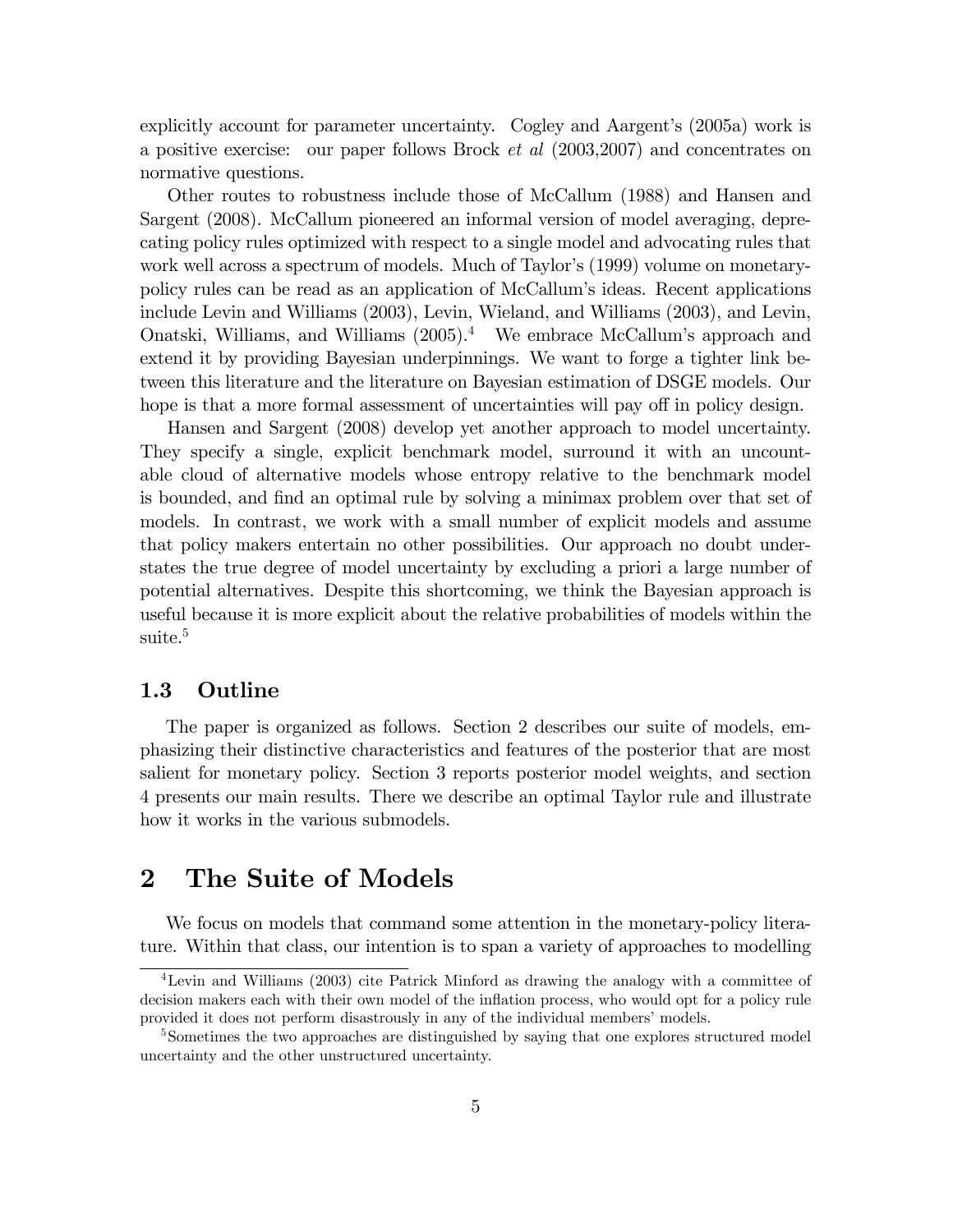explicitly account for parameter uncertainty. Cogley and Aargent's (2005a) work is a positive exercise: our paper follows Brock *et al*  $(2003,2007)$  and concentrates on normative questions.

Other routes to robustness include those of McCallum (1988) and Hansen and Sargent (2008). McCallum pioneered an informal version of model averaging, deprecating policy rules optimized with respect to a single model and advocating rules that work well across a spectrum of models. Much of Taylor's (1999) volume on monetarypolicy rules can be read as an application of McCallum's ideas. Recent applications include Levin and Williams (2003), Levin, Wieland, and Williams (2003), and Levin, Onatski, Williams, and Williams  $(2005)^4$  We embrace McCallum's approach and extend it by providing Bayesian underpinnings. We want to forge a tighter link between this literature and the literature on Bayesian estimation of DSGE models. Our hope is that a more formal assessment of uncertainties will pay off in policy design.

Hansen and Sargent (2008) develop yet another approach to model uncertainty. They specify a single, explicit benchmark model, surround it with an uncountable cloud of alternative models whose entropy relative to the benchmark model is bounded, and find an optimal rule by solving a minimax problem over that set of models. In contrast, we work with a small number of explicit models and assume that policy makers entertain no other possibilities. Our approach no doubt understates the true degree of model uncertainty by excluding a priori a large number of potential alternatives. Despite this shortcoming, we think the Bayesian approach is useful because it is more explicit about the relative probabilities of models within the suite.<sup>5</sup>

## 1.3 Outline

The paper is organized as follows. Section 2 describes our suite of models, emphasizing their distinctive characteristics and features of the posterior that are most salient for monetary policy. Section 3 reports posterior model weights, and section 4 presents our main results. There we describe an optimal Taylor rule and illustrate how it works in the various submodels.

# 2 The Suite of Models

We focus on models that command some attention in the monetary-policy literature. Within that class, our intention is to span a variety of approaches to modelling

<sup>4</sup>Levin and Williams (2003) cite Patrick Minford as drawing the analogy with a committee of decision makers each with their own model of the inflation process, who would opt for a policy rule provided it does not perform disastrously in any of the individual members' models.

<sup>&</sup>lt;sup>5</sup>Sometimes the two approaches are distinguished by saying that one explores structured model uncertainty and the other unstructured uncertainty.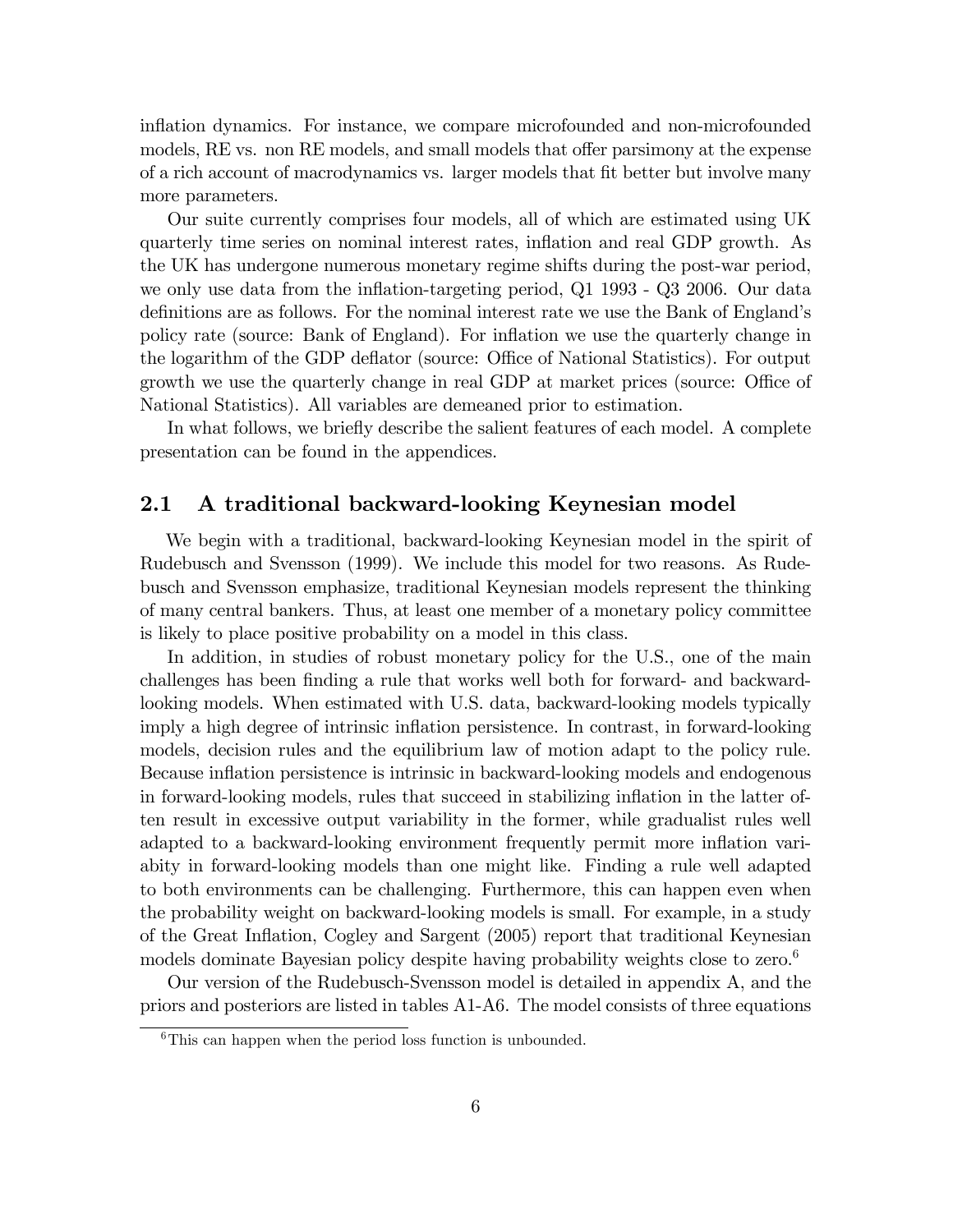inflation dynamics. For instance, we compare microfounded and non-microfounded models, RE vs. non RE models, and small models that offer parsimony at the expense of a rich account of macrodynamics vs. larger models that Öt better but involve many more parameters.

Our suite currently comprises four models, all of which are estimated using UK quarterly time series on nominal interest rates, inflation and real GDP growth. As the UK has undergone numerous monetary regime shifts during the post-war period, we only use data from the inflation-targeting period, Q1 1993 - Q3 2006. Our data definitions are as follows. For the nominal interest rate we use the Bank of England's policy rate (source: Bank of England). For inflation we use the quarterly change in the logarithm of the GDP deflator (source: Office of National Statistics). For output growth we use the quarterly change in real GDP at market prices (source: Office of National Statistics). All variables are demeaned prior to estimation.

In what follows, we briefly describe the salient features of each model. A complete presentation can be found in the appendices.

## 2.1 A traditional backward-looking Keynesian model

We begin with a traditional, backward-looking Keynesian model in the spirit of Rudebusch and Svensson (1999). We include this model for two reasons. As Rudebusch and Svensson emphasize, traditional Keynesian models represent the thinking of many central bankers. Thus, at least one member of a monetary policy committee is likely to place positive probability on a model in this class.

In addition, in studies of robust monetary policy for the U.S., one of the main challenges has been finding a rule that works well both for forward- and backwardlooking models. When estimated with U.S. data, backward-looking models typically imply a high degree of intrinsic inflation persistence. In contrast, in forward-looking models, decision rules and the equilibrium law of motion adapt to the policy rule. Because inflation persistence is intrinsic in backward-looking models and endogenous in forward-looking models, rules that succeed in stabilizing ináation in the latter often result in excessive output variability in the former, while gradualist rules well adapted to a backward-looking environment frequently permit more inflation variabity in forward-looking models than one might like. Finding a rule well adapted to both environments can be challenging. Furthermore, this can happen even when the probability weight on backward-looking models is small. For example, in a study of the Great Ináation, Cogley and Sargent (2005) report that traditional Keynesian models dominate Bayesian policy despite having probability weights close to zero.<sup>6</sup>

Our version of the Rudebusch-Svensson model is detailed in appendix A, and the priors and posteriors are listed in tables A1-A6. The model consists of three equations

<sup>&</sup>lt;sup>6</sup>This can happen when the period loss function is unbounded.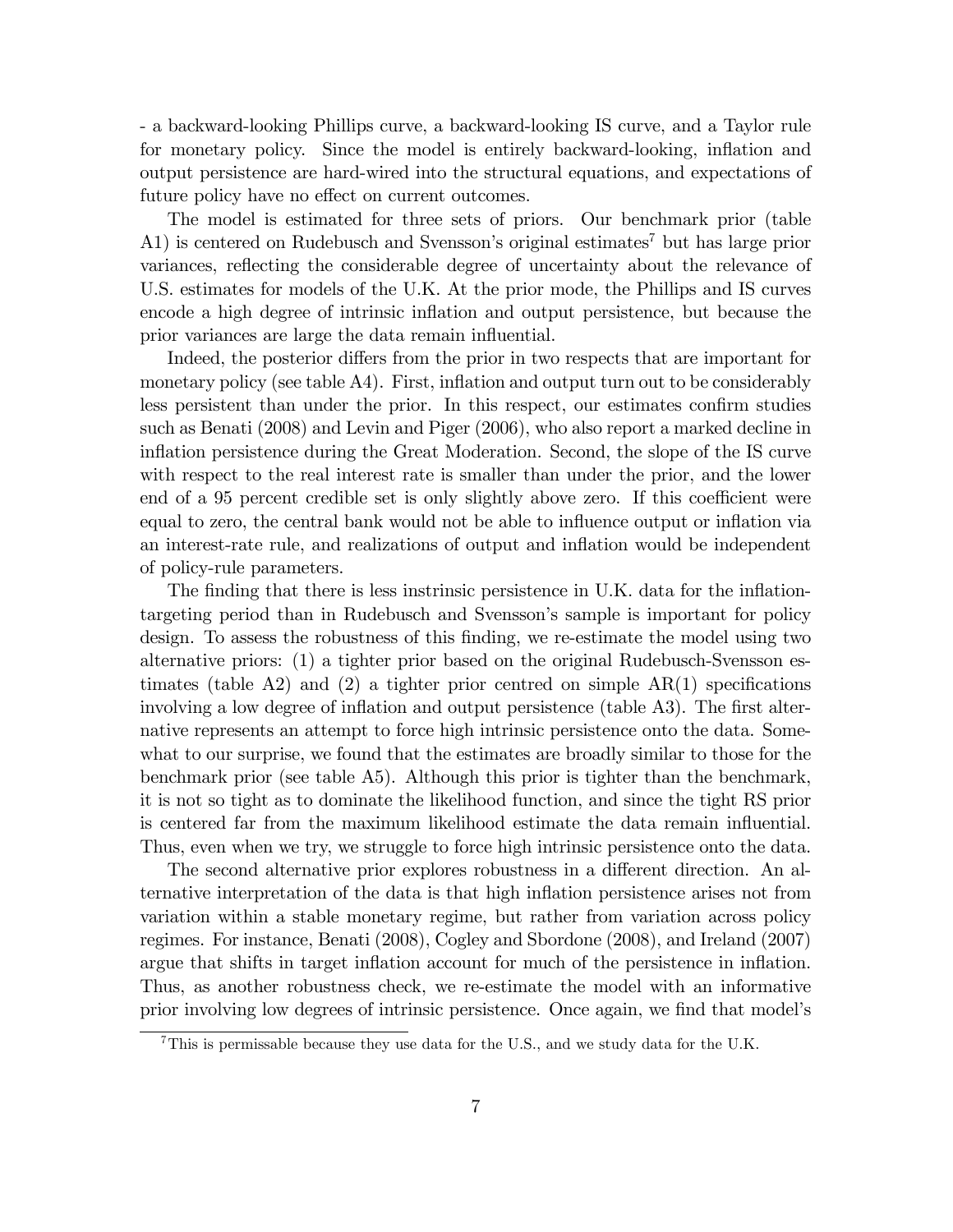- a backward-looking Phillips curve, a backward-looking IS curve, and a Taylor rule for monetary policy. Since the model is entirely backward-looking, ináation and output persistence are hard-wired into the structural equations, and expectations of future policy have no effect on current outcomes.

The model is estimated for three sets of priors. Our benchmark prior (table A1) is centered on Rudebusch and Svensson's original estimates<sup>7</sup> but has large prior variances, reflecting the considerable degree of uncertainty about the relevance of U.S. estimates for models of the U.K. At the prior mode, the Phillips and IS curves encode a high degree of intrinsic inflation and output persistence, but because the prior variances are large the data remain influential.

Indeed, the posterior differs from the prior in two respects that are important for monetary policy (see table A4). First, ináation and output turn out to be considerably less persistent than under the prior. In this respect, our estimates confirm studies such as Benati (2008) and Levin and Piger (2006), who also report a marked decline in inflation persistence during the Great Moderation. Second, the slope of the IS curve with respect to the real interest rate is smaller than under the prior, and the lower end of a 95 percent credible set is only slightly above zero. If this coefficient were equal to zero, the central bank would not be able to influence output or inflation via an interest-rate rule, and realizations of output and inflation would be independent of policy-rule parameters.

The finding that there is less instrinsic persistence in U.K. data for the inflationtargeting period than in Rudebusch and Svensson's sample is important for policy design. To assess the robustness of this finding, we re-estimate the model using two alternative priors: (1) a tighter prior based on the original Rudebusch-Svensson estimates (table A2) and  $(2)$  a tighter prior centred on simple AR $(1)$  specifications involving a low degree of inflation and output persistence (table A3). The first alternative represents an attempt to force high intrinsic persistence onto the data. Somewhat to our surprise, we found that the estimates are broadly similar to those for the benchmark prior (see table A5). Although this prior is tighter than the benchmark, it is not so tight as to dominate the likelihood function, and since the tight RS prior is centered far from the maximum likelihood estimate the data remain ináuential. Thus, even when we try, we struggle to force high intrinsic persistence onto the data.

The second alternative prior explores robustness in a different direction. An alternative interpretation of the data is that high inflation persistence arises not from variation within a stable monetary regime, but rather from variation across policy regimes. For instance, Benati (2008), Cogley and Sbordone (2008), and Ireland (2007) argue that shifts in target inflation account for much of the persistence in inflation. Thus, as another robustness check, we re-estimate the model with an informative prior involving low degrees of intrinsic persistence. Once again, we find that model's

<sup>&</sup>lt;sup>7</sup>This is permissable because they use data for the U.S., and we study data for the U.K.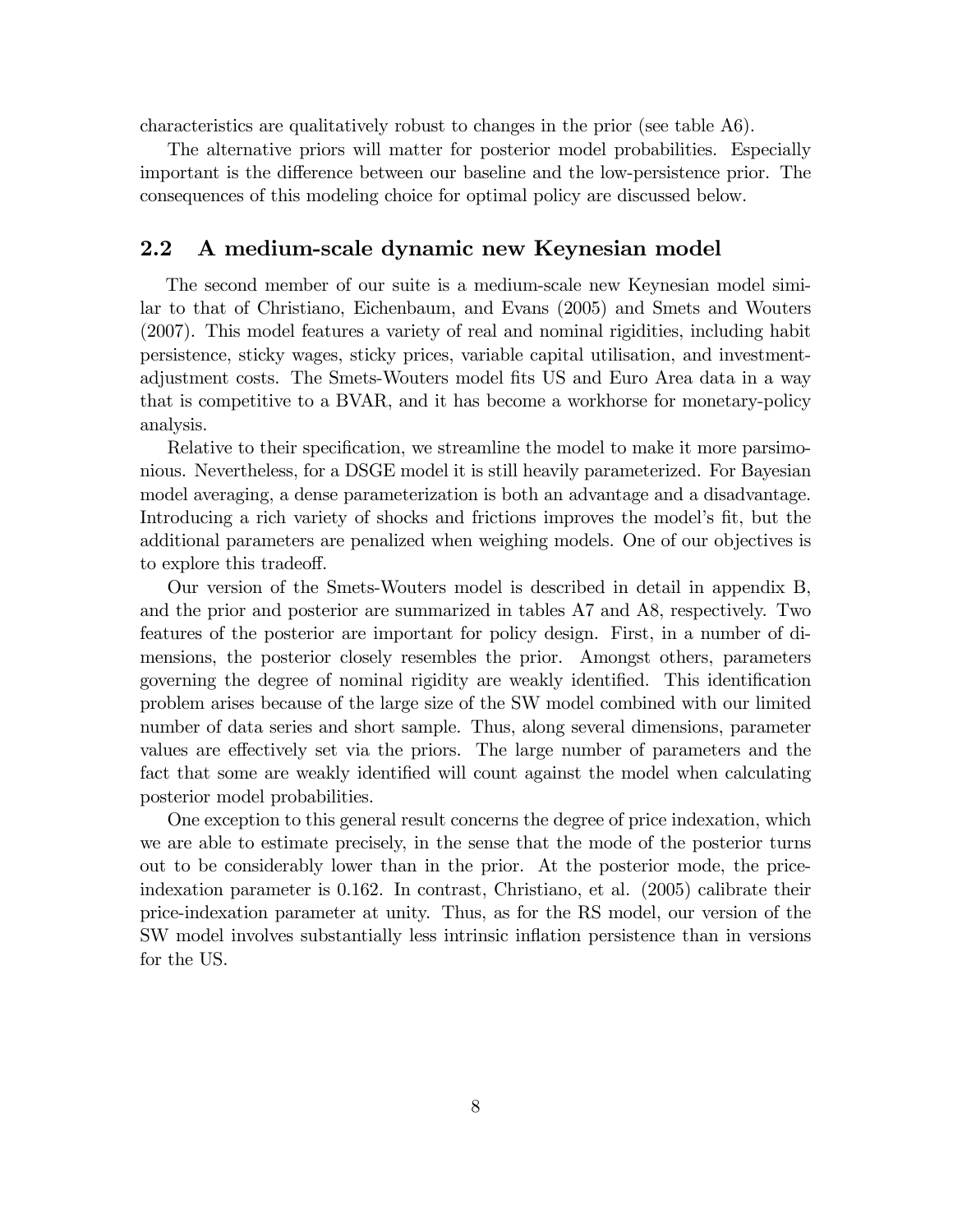characteristics are qualitatively robust to changes in the prior (see table A6).

The alternative priors will matter for posterior model probabilities. Especially important is the difference between our baseline and the low-persistence prior. The consequences of this modeling choice for optimal policy are discussed below.

#### 2.2 A medium-scale dynamic new Keynesian model

The second member of our suite is a medium-scale new Keynesian model similar to that of Christiano, Eichenbaum, and Evans (2005) and Smets and Wouters (2007). This model features a variety of real and nominal rigidities, including habit persistence, sticky wages, sticky prices, variable capital utilisation, and investmentadjustment costs. The Smets-Wouters model fits US and Euro Area data in a way that is competitive to a BVAR, and it has become a workhorse for monetary-policy analysis.

Relative to their specification, we streamline the model to make it more parsimonious. Nevertheless, for a DSGE model it is still heavily parameterized. For Bayesian model averaging, a dense parameterization is both an advantage and a disadvantage. Introducing a rich variety of shocks and frictions improves the model's fit, but the additional parameters are penalized when weighing models. One of our objectives is to explore this tradeoff.

Our version of the Smets-Wouters model is described in detail in appendix B, and the prior and posterior are summarized in tables A7 and A8, respectively. Two features of the posterior are important for policy design. First, in a number of dimensions, the posterior closely resembles the prior. Amongst others, parameters governing the degree of nominal rigidity are weakly identified. This identification problem arises because of the large size of the SW model combined with our limited number of data series and short sample. Thus, along several dimensions, parameter values are effectively set via the priors. The large number of parameters and the fact that some are weakly identified will count against the model when calculating posterior model probabilities.

One exception to this general result concerns the degree of price indexation, which we are able to estimate precisely, in the sense that the mode of the posterior turns out to be considerably lower than in the prior. At the posterior mode, the priceindexation parameter is 0.162. In contrast, Christiano, et al. (2005) calibrate their price-indexation parameter at unity. Thus, as for the RS model, our version of the SW model involves substantially less intrinsic inflation persistence than in versions for the US.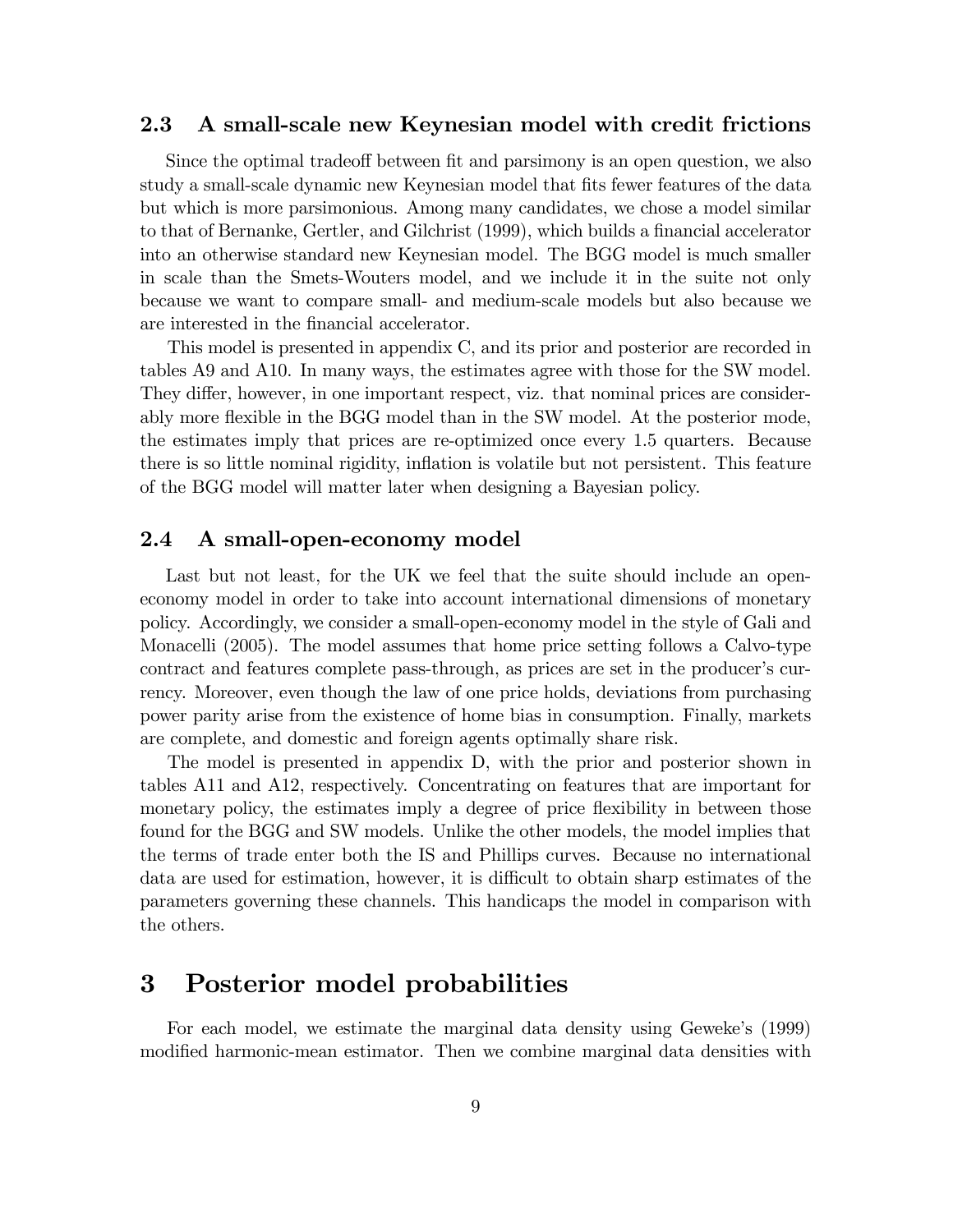#### 2.3 A small-scale new Keynesian model with credit frictions

Since the optimal tradeoff between fit and parsimony is an open question, we also study a small-scale dynamic new Keynesian model that fits fewer features of the data but which is more parsimonious. Among many candidates, we chose a model similar to that of Bernanke, Gertler, and Gilchrist (1999), which builds a financial accelerator into an otherwise standard new Keynesian model. The BGG model is much smaller in scale than the Smets-Wouters model, and we include it in the suite not only because we want to compare small- and medium-scale models but also because we are interested in the Önancial accelerator.

This model is presented in appendix C, and its prior and posterior are recorded in tables A9 and A10. In many ways, the estimates agree with those for the SW model. They differ, however, in one important respect, viz. that nominal prices are considerably more flexible in the BGG model than in the SW model. At the posterior mode, the estimates imply that prices are re-optimized once every 1.5 quarters. Because there is so little nominal rigidity, ináation is volatile but not persistent. This feature of the BGG model will matter later when designing a Bayesian policy.

#### 2.4 A small-open-economy model

Last but not least, for the UK we feel that the suite should include an openeconomy model in order to take into account international dimensions of monetary policy. Accordingly, we consider a small-open-economy model in the style of Gali and Monacelli (2005). The model assumes that home price setting follows a Calvo-type contract and features complete pass-through, as prices are set in the producer's currency. Moreover, even though the law of one price holds, deviations from purchasing power parity arise from the existence of home bias in consumption. Finally, markets are complete, and domestic and foreign agents optimally share risk.

The model is presented in appendix D, with the prior and posterior shown in tables A11 and A12, respectively. Concentrating on features that are important for monetary policy, the estimates imply a degree of price flexibility in between those found for the BGG and SW models. Unlike the other models, the model implies that the terms of trade enter both the IS and Phillips curves. Because no international data are used for estimation, however, it is difficult to obtain sharp estimates of the parameters governing these channels. This handicaps the model in comparison with the others.

## 3 Posterior model probabilities

For each model, we estimate the marginal data density using Geweke's (1999) modified harmonic-mean estimator. Then we combine marginal data densities with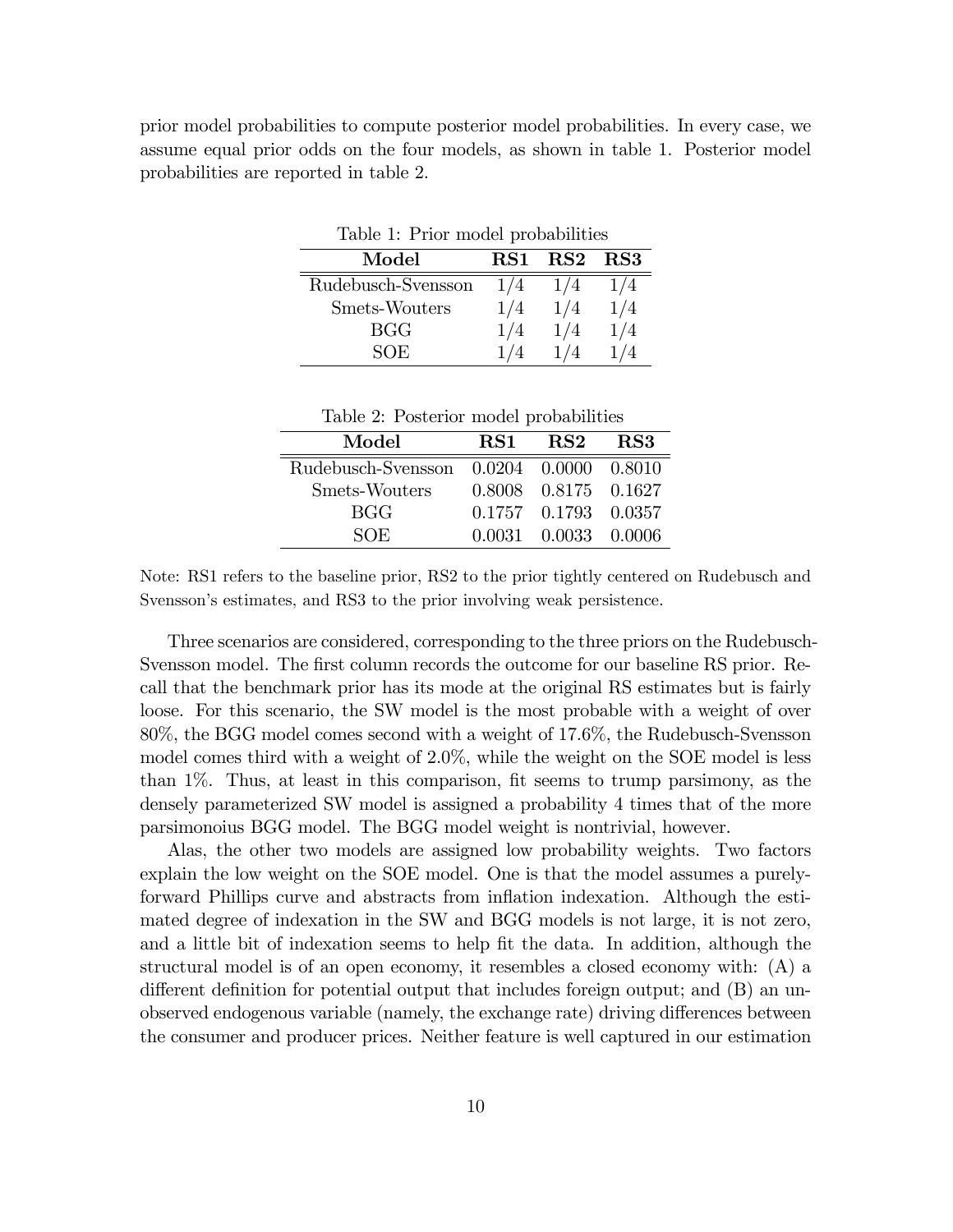prior model probabilities to compute posterior model probabilities. In every case, we assume equal prior odds on the four models, as shown in table 1. Posterior model probabilities are reported in table 2.

Table 1: Prior model probabilities

| Model              | RS1 | RS2 | RS3 |
|--------------------|-----|-----|-----|
| Rudebusch-Svensson | 1/4 | 1/4 | 1/4 |
| Smets-Wouters      | 1/4 | 1/4 | 1/4 |
| BGG                | 1/4 | 1/4 | 1/4 |
| <b>SOE</b>         | 1/4 | 1/4 | 1/4 |

Table 2: Posterior model probabilities

| Model                                   | RS1 | RS2                        | <b>RS3</b> |
|-----------------------------------------|-----|----------------------------|------------|
| Rudebusch-Svensson 0.0204 0.0000 0.8010 |     |                            |            |
| Smets-Wouters                           |     | 0.8008 0.8175 0.1627       |            |
| <b>BGG</b>                              |     | 0.1757 0.1793 0.0357       |            |
| SOE.                                    |     | $0.0031$ $0.0033$ $0.0006$ |            |

Note: RS1 refers to the baseline prior, RS2 to the prior tightly centered on Rudebusch and Svensson's estimates, and RS3 to the prior involving weak persistence.

Three scenarios are considered, corresponding to the three priors on the Rudebusch-Svensson model. The first column records the outcome for our baseline RS prior. Recall that the benchmark prior has its mode at the original RS estimates but is fairly loose. For this scenario, the SW model is the most probable with a weight of over 80%, the BGG model comes second with a weight of 17.6%, the Rudebusch-Svensson model comes third with a weight of 2.0%, while the weight on the SOE model is less than  $1\%$ . Thus, at least in this comparison, fit seems to trump parsimony, as the densely parameterized SW model is assigned a probability 4 times that of the more parsimonoius BGG model. The BGG model weight is nontrivial, however.

Alas, the other two models are assigned low probability weights. Two factors explain the low weight on the SOE model. One is that the model assumes a purelyforward Phillips curve and abstracts from inflation indexation. Although the estimated degree of indexation in the SW and BGG models is not large, it is not zero, and a little bit of indexation seems to help fit the data. In addition, although the structural model is of an open economy, it resembles a closed economy with: (A) a different definition for potential output that includes foreign output; and (B) an unobserved endogenous variable (namely, the exchange rate) driving differences between the consumer and producer prices. Neither feature is well captured in our estimation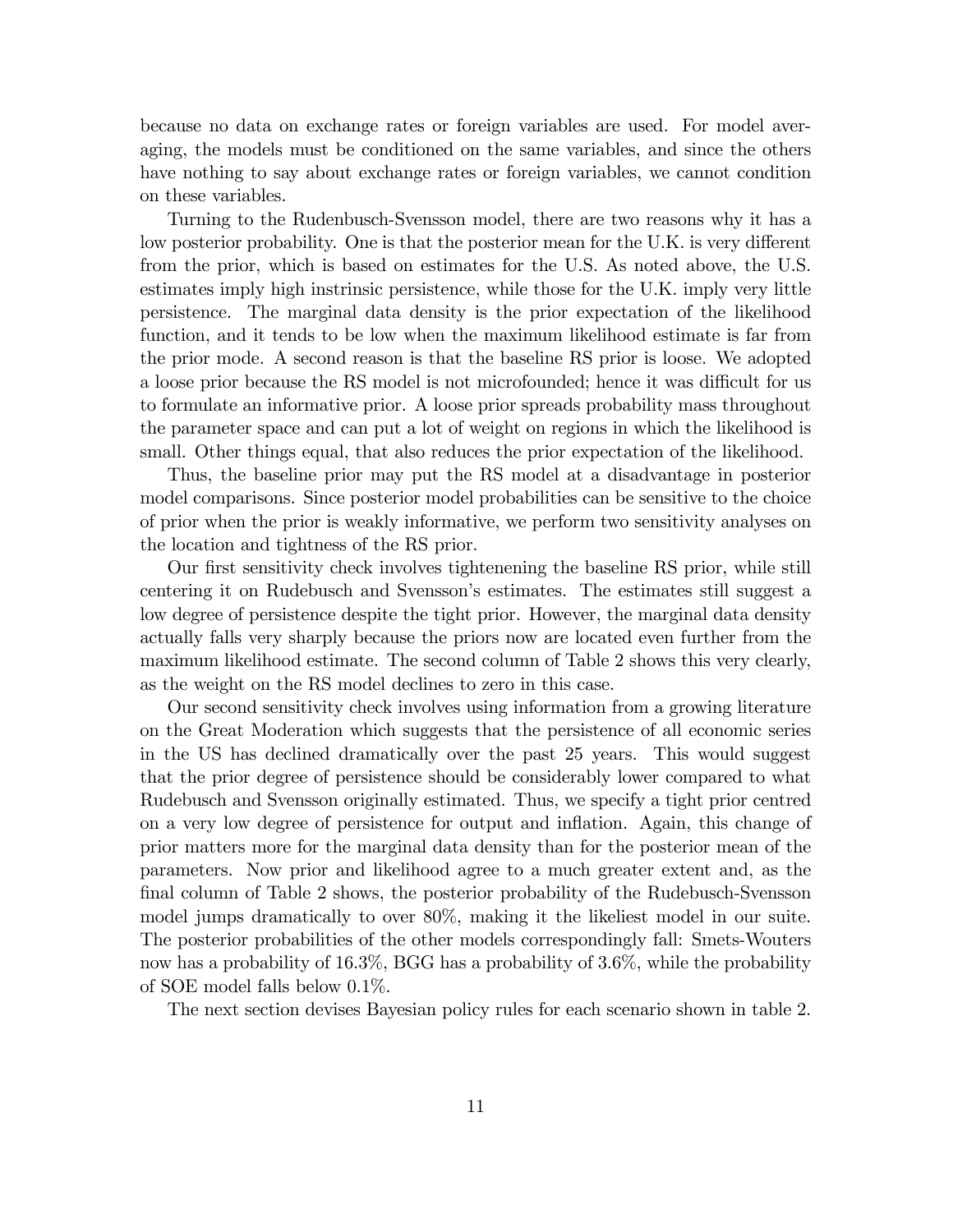because no data on exchange rates or foreign variables are used. For model averaging, the models must be conditioned on the same variables, and since the others have nothing to say about exchange rates or foreign variables, we cannot condition on these variables.

Turning to the Rudenbusch-Svensson model, there are two reasons why it has a low posterior probability. One is that the posterior mean for the U.K. is very different from the prior, which is based on estimates for the U.S. As noted above, the U.S. estimates imply high instrinsic persistence, while those for the U.K. imply very little persistence. The marginal data density is the prior expectation of the likelihood function, and it tends to be low when the maximum likelihood estimate is far from the prior mode. A second reason is that the baseline RS prior is loose. We adopted a loose prior because the RS model is not microfounded; hence it was difficult for us to formulate an informative prior. A loose prior spreads probability mass throughout the parameter space and can put a lot of weight on regions in which the likelihood is small. Other things equal, that also reduces the prior expectation of the likelihood.

Thus, the baseline prior may put the RS model at a disadvantage in posterior model comparisons. Since posterior model probabilities can be sensitive to the choice of prior when the prior is weakly informative, we perform two sensitivity analyses on the location and tightness of the RS prior.

Our first sensitivity check involves tightenening the baseline RS prior, while still centering it on Rudebusch and Svensson's estimates. The estimates still suggest a low degree of persistence despite the tight prior. However, the marginal data density actually falls very sharply because the priors now are located even further from the maximum likelihood estimate. The second column of Table 2 shows this very clearly, as the weight on the RS model declines to zero in this case.

Our second sensitivity check involves using information from a growing literature on the Great Moderation which suggests that the persistence of all economic series in the US has declined dramatically over the past 25 years. This would suggest that the prior degree of persistence should be considerably lower compared to what Rudebusch and Svensson originally estimated. Thus, we specify a tight prior centred on a very low degree of persistence for output and inflation. Again, this change of prior matters more for the marginal data density than for the posterior mean of the parameters. Now prior and likelihood agree to a much greater extent and, as the final column of Table 2 shows, the posterior probability of the Rudebusch-Svensson model jumps dramatically to over 80%, making it the likeliest model in our suite. The posterior probabilities of the other models correspondingly fall: Smets-Wouters now has a probability of 16.3%, BGG has a probability of 3.6%, while the probability of SOE model falls below 0.1%.

The next section devises Bayesian policy rules for each scenario shown in table 2.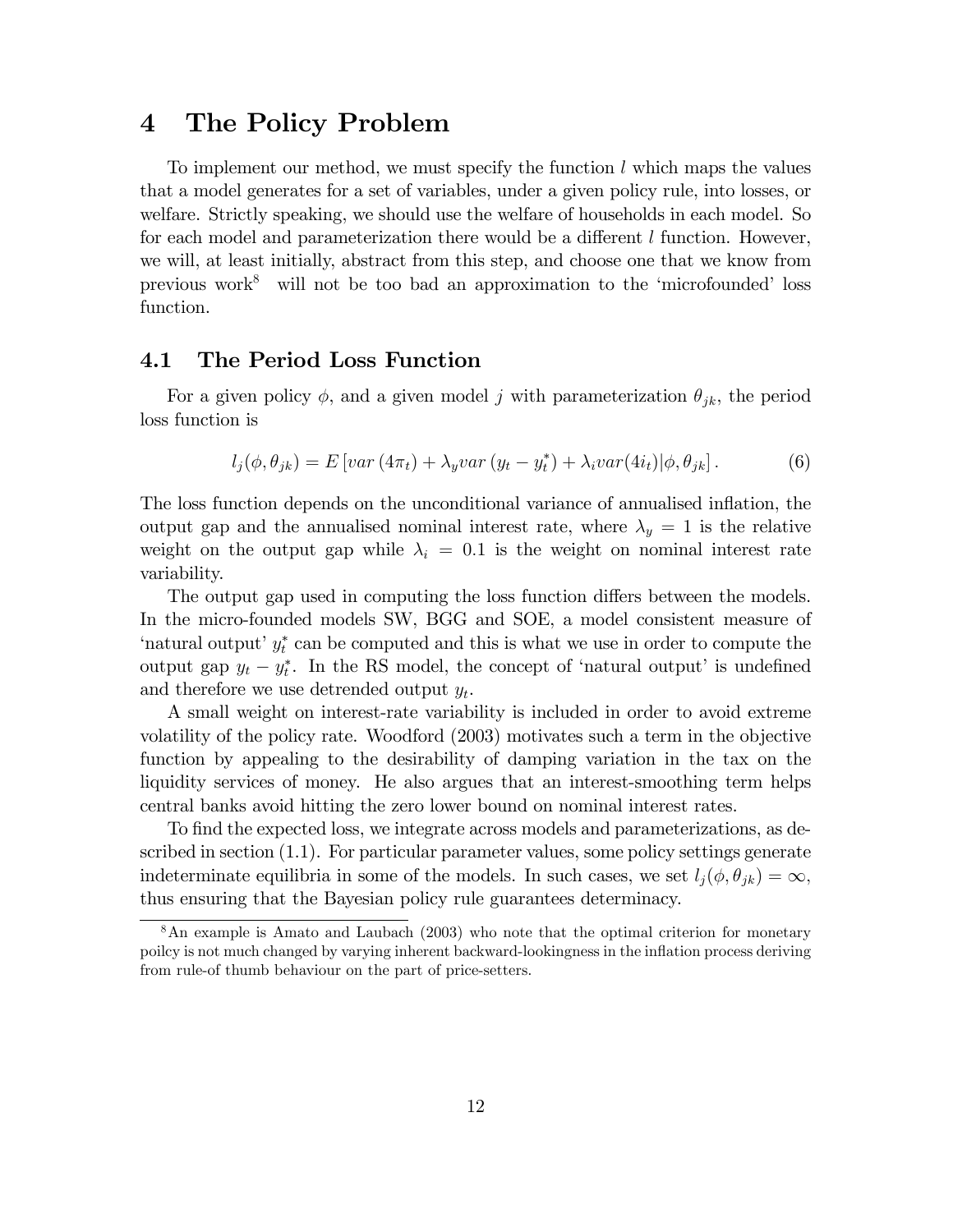## 4 The Policy Problem

To implement our method, we must specify the function  $l$  which maps the values that a model generates for a set of variables, under a given policy rule, into losses, or welfare. Strictly speaking, we should use the welfare of households in each model. So for each model and parameterization there would be a different  $l$  function. However, we will, at least initially, abstract from this step, and choose one that we know from previous work<sup>8</sup> will not be too bad an approximation to the 'microfounded' loss function.

#### 4.1 The Period Loss Function

For a given policy  $\phi$ , and a given model j with parameterization  $\theta_{ik}$ , the period loss function is

$$
l_j(\phi, \theta_{jk}) = E\left[var\left(4\pi_t\right) + \lambda_y var\left(y_t - y_t^*\right) + \lambda_i var(4i_t)|\phi, \theta_{jk}\right].\tag{6}
$$

The loss function depends on the unconditional variance of annualised inflation, the output gap and the annualised nominal interest rate, where  $\lambda_y = 1$  is the relative weight on the output gap while  $\lambda_i = 0.1$  is the weight on nominal interest rate variability.

The output gap used in computing the loss function differs between the models. In the micro-founded models SW, BGG and SOE, a model consistent measure of 'natural output'  $y_t^*$  can be computed and this is what we use in order to compute the output gap  $y_t - y_t^*$ . In the RS model, the concept of 'natural output' is undefined and therefore we use detrended output  $y_t$ .

A small weight on interest-rate variability is included in order to avoid extreme volatility of the policy rate. Woodford (2003) motivates such a term in the objective function by appealing to the desirability of damping variation in the tax on the liquidity services of money. He also argues that an interest-smoothing term helps central banks avoid hitting the zero lower bound on nominal interest rates.

To find the expected loss, we integrate across models and parameterizations, as described in section (1.1). For particular parameter values, some policy settings generate indeterminate equilibria in some of the models. In such cases, we set  $l_i(\phi, \theta_{ik}) = \infty$ , thus ensuring that the Bayesian policy rule guarantees determinacy.

<sup>&</sup>lt;sup>8</sup>An example is Amato and Laubach (2003) who note that the optimal criterion for monetary poilcy is not much changed by varying inherent backward-lookingness in the inflation process deriving from rule-of thumb behaviour on the part of price-setters.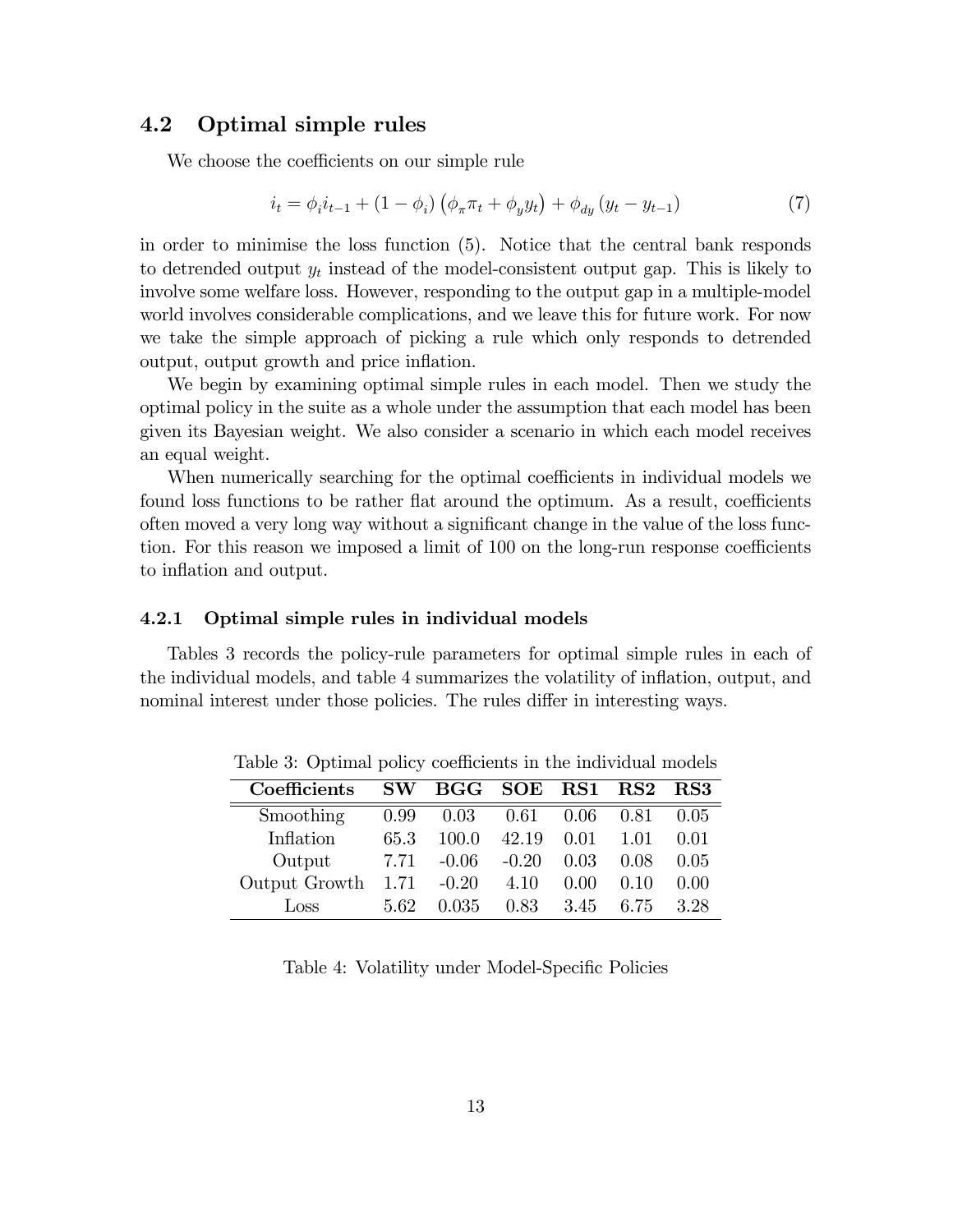## 4.2 Optimal simple rules

We choose the coefficients on our simple rule

$$
i_{t} = \phi_{i}i_{t-1} + (1 - \phi_{i})\left(\phi_{\pi}\pi_{t} + \phi_{y}y_{t}\right) + \phi_{dy}\left(y_{t} - y_{t-1}\right) \tag{7}
$$

in order to minimise the loss function (5). Notice that the central bank responds to detrended output  $y_t$  instead of the model-consistent output gap. This is likely to involve some welfare loss. However, responding to the output gap in a multiple-model world involves considerable complications, and we leave this for future work. For now we take the simple approach of picking a rule which only responds to detrended output, output growth and price inflation.

We begin by examining optimal simple rules in each model. Then we study the optimal policy in the suite as a whole under the assumption that each model has been given its Bayesian weight. We also consider a scenario in which each model receives an equal weight.

When numerically searching for the optimal coefficients in individual models we found loss functions to be rather flat around the optimum. As a result, coefficients often moved a very long way without a significant change in the value of the loss function. For this reason we imposed a limit of 100 on the long-run response coefficients to inflation and output.

#### 4.2.1 Optimal simple rules in individual models

Tables 3 records the policy-rule parameters for optimal simple rules in each of the individual models, and table 4 summarizes the volatility of inflation, output, and nominal interest under those policies. The rules differ in interesting ways.

| Coefficients               |      | SW BGG SOE RS1 RS2 |         |      |      | RS3  |
|----------------------------|------|--------------------|---------|------|------|------|
| Smoothing                  | 0.99 | 0.03               | 0.61    | 0.06 | 0.81 | 0.05 |
| Inflation                  | 65.3 | 100.0              | 42.19   | 0.01 | 1.01 | 0.01 |
| Output                     |      |                    | $-0.20$ | 0.03 | 0.08 | 0.05 |
| Output Growth $1.71 -0.20$ |      |                    | 4.10    | 0.00 | 0.10 | 0.00 |
| $\log s$                   | 562  | 0.035              | 0.83    | 3.45 | 6.75 | 3.28 |

Table 3: Optimal policy coefficients in the individual models

Table 4: Volatility under Model-Specific Policies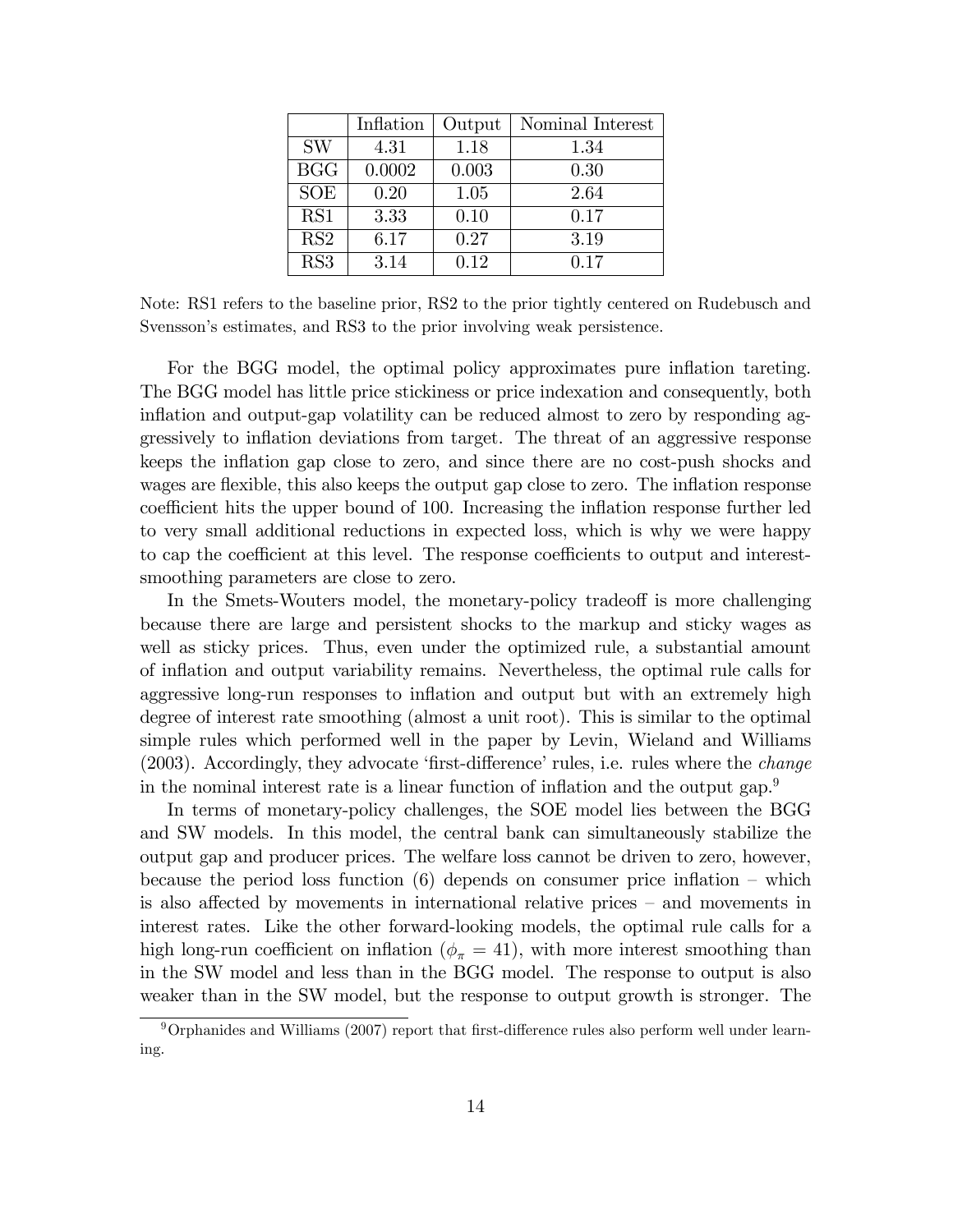|                  | Inflation | Output | Nominal Interest |
|------------------|-----------|--------|------------------|
| <b>SW</b>        | 4.31      | 1.18   | 1.34             |
| <b>BGG</b>       | 0.0002    | 0.003  | 0.30             |
| <b>SOE</b>       | 0.20      | 1.05   | 2.64             |
| RS1              | 3.33      | 0.10   | 0.17             |
| $RS\overline{2}$ | 6.17      | 0.27   | 3.19             |
| RS3              | 3.14      | 0.12   | 0.17             |

Note: RS1 refers to the baseline prior, RS2 to the prior tightly centered on Rudebusch and Svensson's estimates, and RS3 to the prior involving weak persistence.

For the BGG model, the optimal policy approximates pure inflation tareting. The BGG model has little price stickiness or price indexation and consequently, both inflation and output-gap volatility can be reduced almost to zero by responding aggressively to ináation deviations from target. The threat of an aggressive response keeps the inflation gap close to zero, and since there are no cost-push shocks and wages are flexible, this also keeps the output gap close to zero. The inflation response coefficient hits the upper bound of 100. Increasing the inflation response further led to very small additional reductions in expected loss, which is why we were happy to cap the coefficient at this level. The response coefficients to output and interestsmoothing parameters are close to zero.

In the Smets-Wouters model, the monetary-policy tradeoff is more challenging because there are large and persistent shocks to the markup and sticky wages as well as sticky prices. Thus, even under the optimized rule, a substantial amount of ináation and output variability remains. Nevertheless, the optimal rule calls for aggressive long-run responses to ináation and output but with an extremely high degree of interest rate smoothing (almost a unit root). This is similar to the optimal simple rules which performed well in the paper by Levin, Wieland and Williams  $(2003)$ . Accordingly, they advocate 'first-difference' rules, i.e. rules where the *change* in the nominal interest rate is a linear function of inflation and the output gap.<sup>9</sup>

In terms of monetary-policy challenges, the SOE model lies between the BGG and SW models. In this model, the central bank can simultaneously stabilize the output gap and producer prices. The welfare loss cannot be driven to zero, however, because the period loss function  $(6)$  depends on consumer price inflation – which is also affected by movements in international relative prices  $-$  and movements in interest rates. Like the other forward-looking models, the optimal rule calls for a high long-run coefficient on inflation ( $\phi_{\pi} = 41$ ), with more interest smoothing than in the SW model and less than in the BGG model. The response to output is also weaker than in the SW model, but the response to output growth is stronger. The

 $9$ Orphanides and Williams (2007) report that first-difference rules also perform well under learning.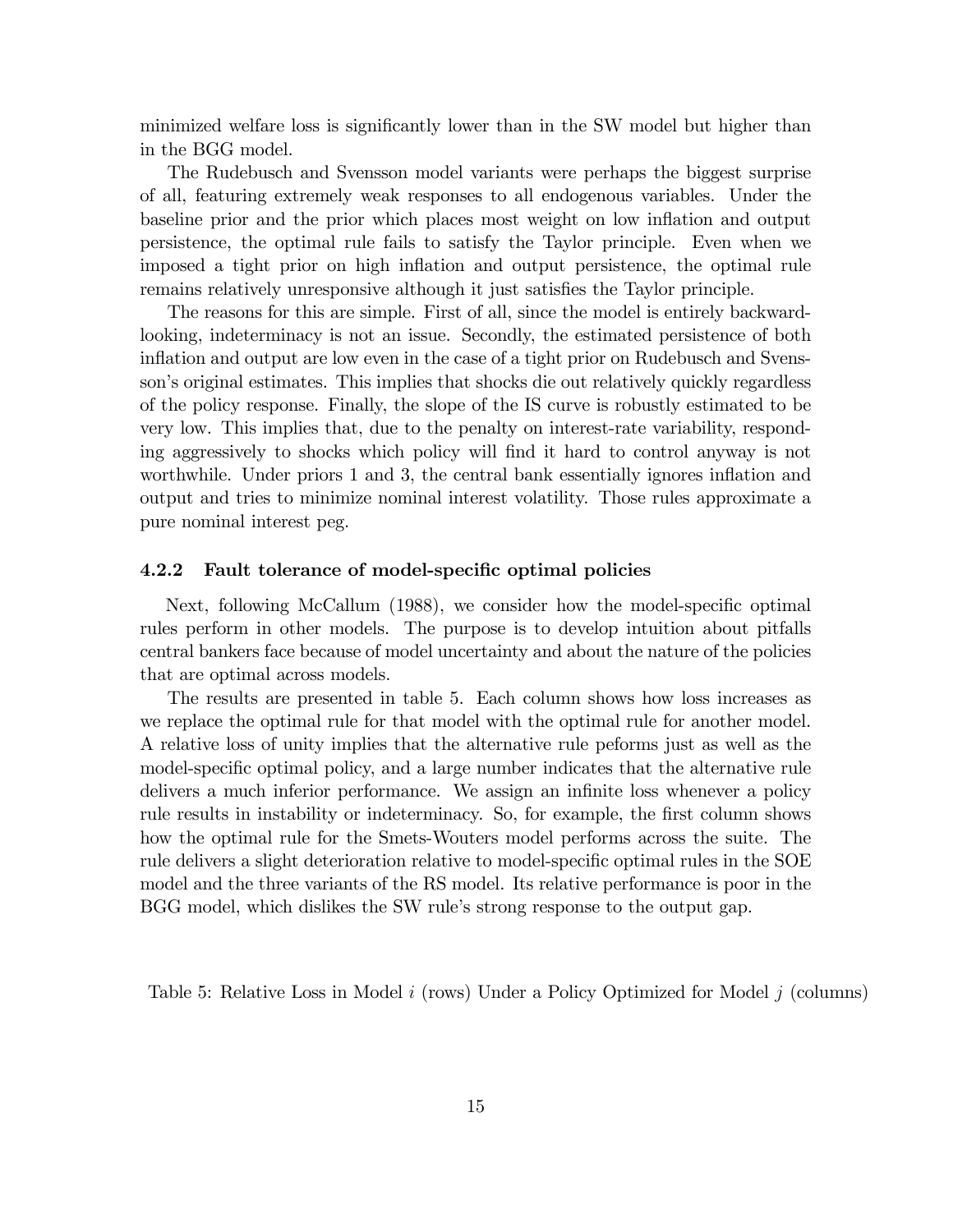minimized welfare loss is significantly lower than in the SW model but higher than in the BGG model.

The Rudebusch and Svensson model variants were perhaps the biggest surprise of all, featuring extremely weak responses to all endogenous variables. Under the baseline prior and the prior which places most weight on low ináation and output persistence, the optimal rule fails to satisfy the Taylor principle. Even when we imposed a tight prior on high ináation and output persistence, the optimal rule remains relatively unresponsive although it just satisfies the Taylor principle.

The reasons for this are simple. First of all, since the model is entirely backwardlooking, indeterminacy is not an issue. Secondly, the estimated persistence of both inflation and output are low even in the case of a tight prior on Rudebusch and Svensson's original estimates. This implies that shocks die out relatively quickly regardless of the policy response. Finally, the slope of the IS curve is robustly estimated to be very low. This implies that, due to the penalty on interest-rate variability, responding aggressively to shocks which policy will Önd it hard to control anyway is not worthwhile. Under priors 1 and 3, the central bank essentially ignores inflation and output and tries to minimize nominal interest volatility. Those rules approximate a pure nominal interest peg.

#### 4.2.2 Fault tolerance of model-specific optimal policies

Next, following McCallum (1988), we consider how the model-specific optimal rules perform in other models. The purpose is to develop intuition about pitfalls central bankers face because of model uncertainty and about the nature of the policies that are optimal across models.

The results are presented in table 5. Each column shows how loss increases as we replace the optimal rule for that model with the optimal rule for another model. A relative loss of unity implies that the alternative rule peforms just as well as the model-specific optimal policy, and a large number indicates that the alternative rule delivers a much inferior performance. We assign an infinite loss whenever a policy rule results in instability or indeterminacy. So, for example, the first column shows how the optimal rule for the Smets-Wouters model performs across the suite. The rule delivers a slight deterioration relative to model-specific optimal rules in the SOE model and the three variants of the RS model. Its relative performance is poor in the BGG model, which dislikes the SW rule's strong response to the output gap.

Table 5: Relative Loss in Model i (rows) Under a Policy Optimized for Model j (columns)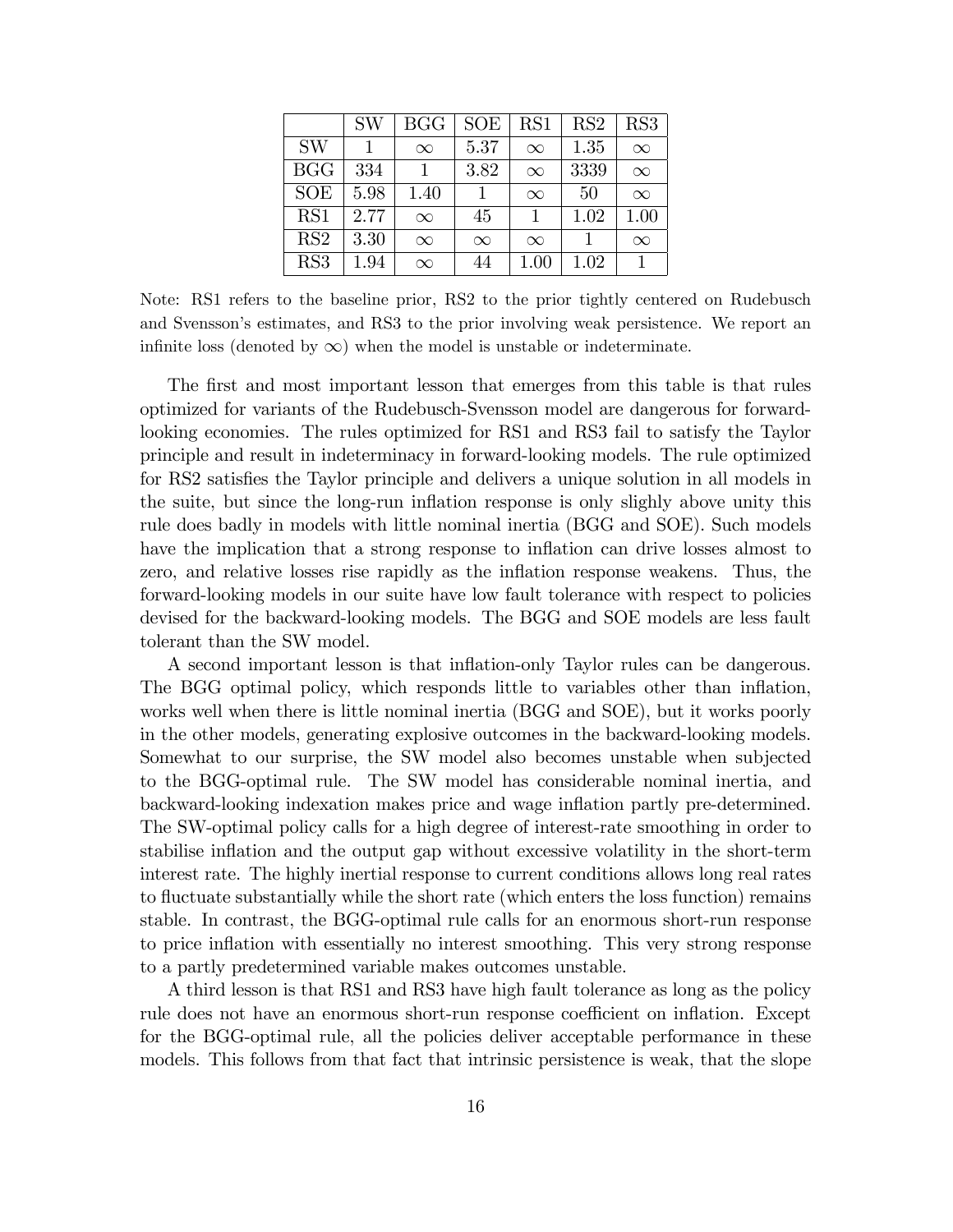|            | <b>SW</b> | <b>BGG</b> | <b>SOE</b> | RS1      | RS2  | RS3      |
|------------|-----------|------------|------------|----------|------|----------|
| <b>SW</b>  |           | $\infty$   | 5.37       | $\infty$ | 1.35 | $\infty$ |
| <b>BGG</b> | 334       |            | 3.82       | $\infty$ | 3339 | $\infty$ |
| <b>SOE</b> | 5.98      | 1.40       |            | $\infty$ | 50   | $\infty$ |
| RS1        | 2.77      | $\infty$   | 45         |          | 1.02 | 1.00     |
| RS2        | 3.30      | $\infty$   | $\infty$   | $\infty$ |      | $\infty$ |
| RS3        | 1.94      | $\infty$   | 44         | 1.00     | 1.02 | 1        |

Note: RS1 refers to the baseline prior, RS2 to the prior tightly centered on Rudebusch and Svenssonís estimates, and RS3 to the prior involving weak persistence. We report an infinite loss (denoted by  $\infty$ ) when the model is unstable or indeterminate.

The first and most important lesson that emerges from this table is that rules optimized for variants of the Rudebusch-Svensson model are dangerous for forwardlooking economies. The rules optimized for RS1 and RS3 fail to satisfy the Taylor principle and result in indeterminacy in forward-looking models. The rule optimized for RS2 satisfies the Taylor principle and delivers a unique solution in all models in the suite, but since the long-run ináation response is only slighly above unity this rule does badly in models with little nominal inertia (BGG and SOE). Such models have the implication that a strong response to inflation can drive losses almost to zero, and relative losses rise rapidly as the inflation response weakens. Thus, the forward-looking models in our suite have low fault tolerance with respect to policies devised for the backward-looking models. The BGG and SOE models are less fault tolerant than the SW model.

A second important lesson is that ináation-only Taylor rules can be dangerous. The BGG optimal policy, which responds little to variables other than inflation, works well when there is little nominal inertia (BGG and SOE), but it works poorly in the other models, generating explosive outcomes in the backward-looking models. Somewhat to our surprise, the SW model also becomes unstable when subjected to the BGG-optimal rule. The SW model has considerable nominal inertia, and backward-looking indexation makes price and wage ináation partly pre-determined. The SW-optimal policy calls for a high degree of interest-rate smoothing in order to stabilise inflation and the output gap without excessive volatility in the short-term interest rate. The highly inertial response to current conditions allows long real rates to fluctuate substantially while the short rate (which enters the loss function) remains stable. In contrast, the BGG-optimal rule calls for an enormous short-run response to price inflation with essentially no interest smoothing. This very strong response to a partly predetermined variable makes outcomes unstable.

A third lesson is that RS1 and RS3 have high fault tolerance as long as the policy rule does not have an enormous short-run response coefficient on inflation. Except for the BGG-optimal rule, all the policies deliver acceptable performance in these models. This follows from that fact that intrinsic persistence is weak, that the slope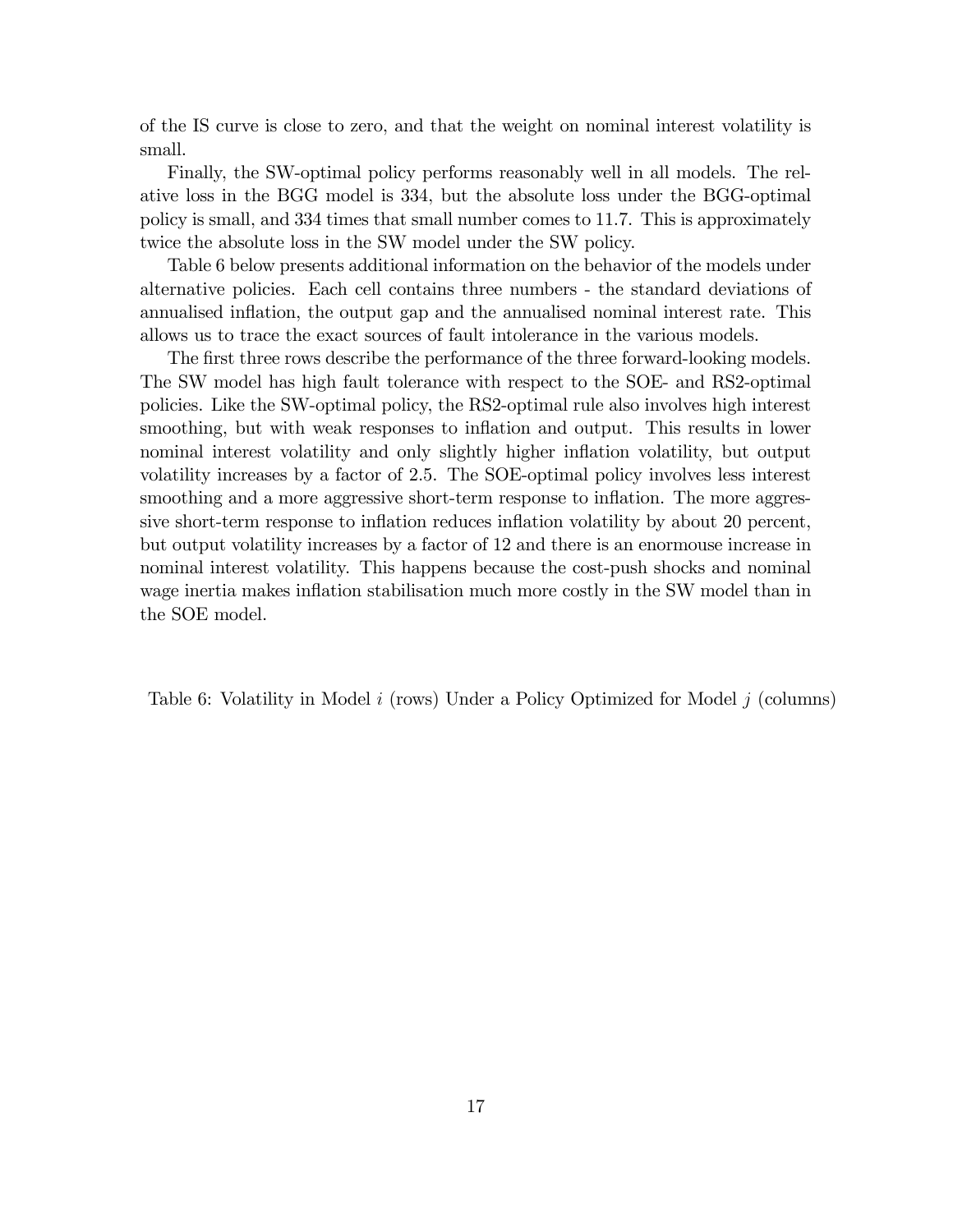of the IS curve is close to zero, and that the weight on nominal interest volatility is small.

Finally, the SW-optimal policy performs reasonably well in all models. The relative loss in the BGG model is 334, but the absolute loss under the BGG-optimal policy is small, and 334 times that small number comes to 11.7. This is approximately twice the absolute loss in the SW model under the SW policy.

Table 6 below presents additional information on the behavior of the models under alternative policies. Each cell contains three numbers - the standard deviations of annualised inflation, the output gap and the annualised nominal interest rate. This allows us to trace the exact sources of fault intolerance in the various models.

The first three rows describe the performance of the three forward-looking models. The SW model has high fault tolerance with respect to the SOE- and RS2-optimal policies. Like the SW-optimal policy, the RS2-optimal rule also involves high interest smoothing, but with weak responses to inflation and output. This results in lower nominal interest volatility and only slightly higher inflation volatility, but output volatility increases by a factor of 2.5. The SOE-optimal policy involves less interest smoothing and a more aggressive short-term response to inflation. The more aggressive short-term response to inflation reduces inflation volatility by about 20 percent, but output volatility increases by a factor of 12 and there is an enormouse increase in nominal interest volatility. This happens because the cost-push shocks and nominal wage inertia makes inflation stabilisation much more costly in the SW model than in the SOE model.

Table 6: Volatility in Model i (rows) Under a Policy Optimized for Model j (columns)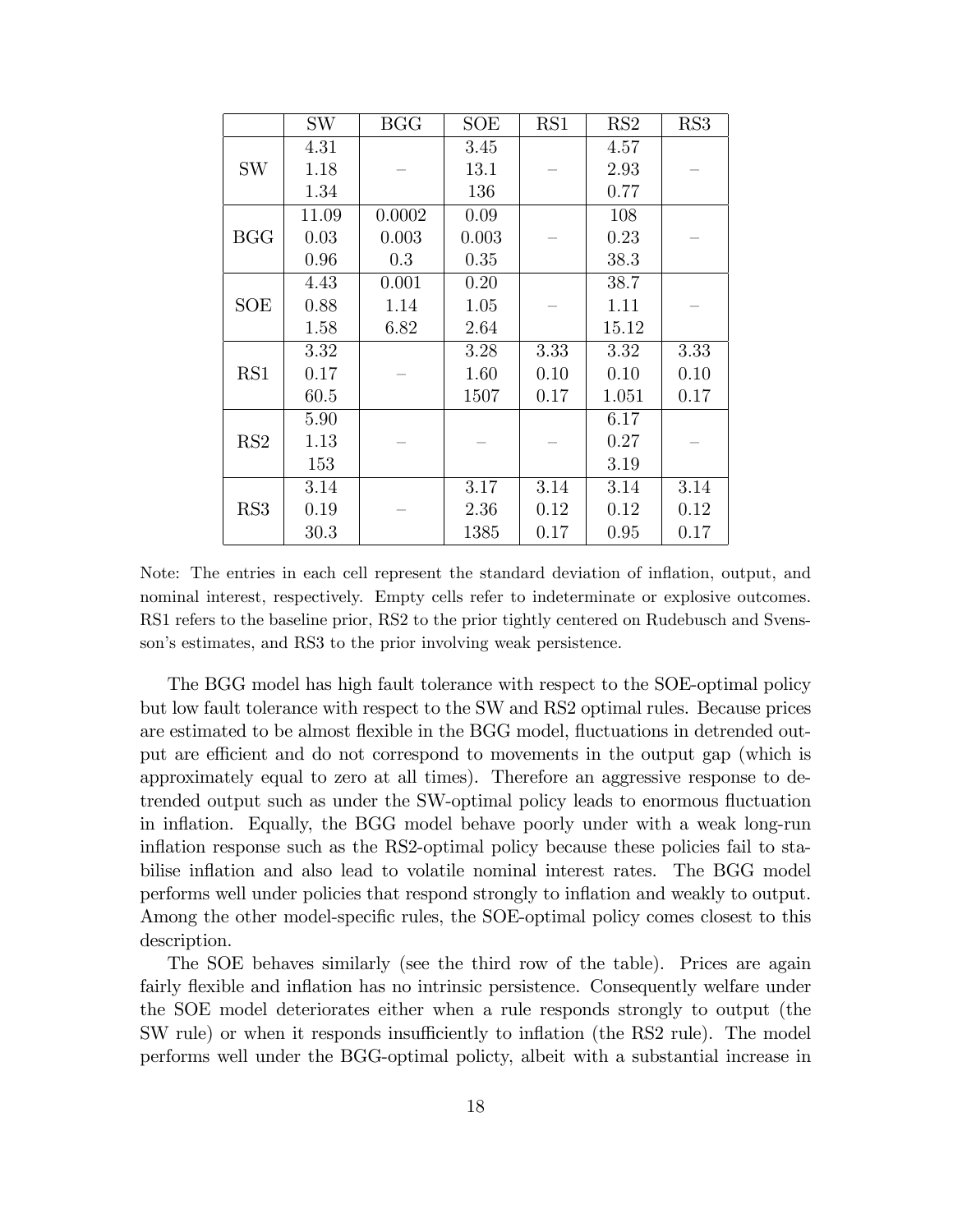|            | SW    | BGG    | SOE   | RS1  | RS2   | RS3  |
|------------|-------|--------|-------|------|-------|------|
|            | 4.31  |        | 3.45  |      | 4.57  |      |
| <b>SW</b>  | 1.18  |        | 13.1  |      | 2.93  |      |
|            | 1.34  |        | 136   |      | 0.77  |      |
|            | 11.09 | 0.0002 | 0.09  |      | 108   |      |
| <b>BGG</b> | 0.03  | 0.003  | 0.003 |      | 0.23  |      |
|            | 0.96  | 0.3    | 0.35  |      | 38.3  |      |
|            | 4.43  | 0.001  | 0.20  |      | 38.7  |      |
| SOE        | 0.88  | 1.14   | 1.05  |      | 1.11  |      |
|            | 1.58  | 6.82   | 2.64  |      | 15.12 |      |
|            | 3.32  |        | 3.28  | 3.33 | 3.32  | 3.33 |
| RS1        | 0.17  |        | 1.60  | 0.10 | 0.10  | 0.10 |
|            | 60.5  |        | 1507  | 0.17 | 1.051 | 0.17 |
|            | 5.90  |        |       |      | 6.17  |      |
| RS2        | 1.13  |        |       |      | 0.27  |      |
|            | 153   |        |       |      | 3.19  |      |
|            | 3.14  |        | 3.17  | 3.14 | 3.14  | 3.14 |
| RS3        | 0.19  |        | 2.36  | 0.12 | 0.12  | 0.12 |
|            | 30.3  |        | 1385  | 0.17 | 0.95  | 0.17 |

Note: The entries in each cell represent the standard deviation of ináation, output, and nominal interest, respectively. Empty cells refer to indeterminate or explosive outcomes. RS1 refers to the baseline prior, RS2 to the prior tightly centered on Rudebusch and Svensson's estimates, and RS3 to the prior involving weak persistence.

The BGG model has high fault tolerance with respect to the SOE-optimal policy but low fault tolerance with respect to the SW and RS2 optimal rules. Because prices are estimated to be almost flexible in the BGG model, fluctuations in detrended output are efficient and do not correspond to movements in the output gap (which is approximately equal to zero at all times). Therefore an aggressive response to detrended output such as under the SW-optimal policy leads to enormous áuctuation in inflation. Equally, the BGG model behave poorly under with a weak long-run inflation response such as the RS2-optimal policy because these policies fail to stabilise inflation and also lead to volatile nominal interest rates. The BGG model performs well under policies that respond strongly to ináation and weakly to output. Among the other model-specific rules, the SOE-optimal policy comes closest to this description.

The SOE behaves similarly (see the third row of the table). Prices are again fairly flexible and inflation has no intrinsic persistence. Consequently welfare under the SOE model deteriorates either when a rule responds strongly to output (the SW rule) or when it responds insufficiently to inflation (the RS2 rule). The model performs well under the BGG-optimal policty, albeit with a substantial increase in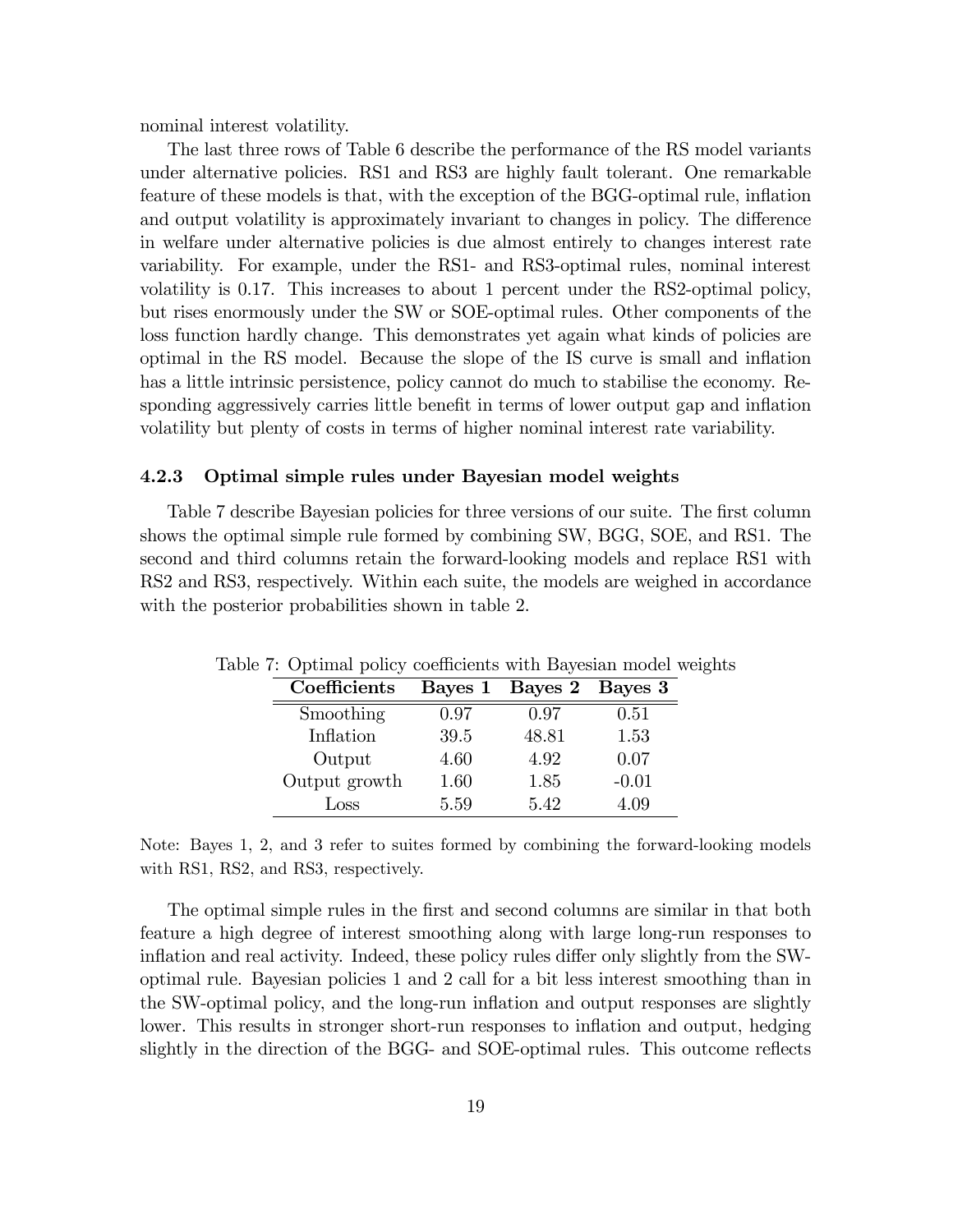nominal interest volatility.

The last three rows of Table 6 describe the performance of the RS model variants under alternative policies. RS1 and RS3 are highly fault tolerant. One remarkable feature of these models is that, with the exception of the BGG-optimal rule, ináation and output volatility is approximately invariant to changes in policy. The difference in welfare under alternative policies is due almost entirely to changes interest rate variability. For example, under the RS1- and RS3-optimal rules, nominal interest volatility is 0.17. This increases to about 1 percent under the RS2-optimal policy, but rises enormously under the SW or SOE-optimal rules. Other components of the loss function hardly change. This demonstrates yet again what kinds of policies are optimal in the RS model. Because the slope of the IS curve is small and inflation has a little intrinsic persistence, policy cannot do much to stabilise the economy. Responding aggressively carries little benefit in terms of lower output gap and inflation volatility but plenty of costs in terms of higher nominal interest rate variability.

#### 4.2.3 Optimal simple rules under Bayesian model weights

Table 7 describe Bayesian policies for three versions of our suite. The first column shows the optimal simple rule formed by combining SW, BGG, SOE, and RS1. The second and third columns retain the forward-looking models and replace RS1 with RS2 and RS3, respectively. Within each suite, the models are weighed in accordance with the posterior probabilities shown in table 2.

| Coefficients  |      | Bayes 1 Bayes 2 Bayes 3 |         |
|---------------|------|-------------------------|---------|
| Smoothing     | 0.97 | 0.97                    | 0.51    |
| Inflation     | 39.5 | 48.81                   | 1.53    |
| Output        | 4.60 | 4.92                    | 0.07    |
| Output growth | 1.60 | 1.85                    | $-0.01$ |
| Loss          | 5.59 | 5.42                    | 4.09    |

Table 7: Optimal policy coefficients with Bayesian model weights

Note: Bayes 1, 2, and 3 refer to suites formed by combining the forward-looking models with RS1, RS2, and RS3, respectively.

The optimal simple rules in the first and second columns are similar in that both feature a high degree of interest smoothing along with large long-run responses to inflation and real activity. Indeed, these policy rules differ only slightly from the SWoptimal rule. Bayesian policies 1 and 2 call for a bit less interest smoothing than in the SW-optimal policy, and the long-run ináation and output responses are slightly lower. This results in stronger short-run responses to inflation and output, hedging slightly in the direction of the BGG- and SOE-optimal rules. This outcome reflects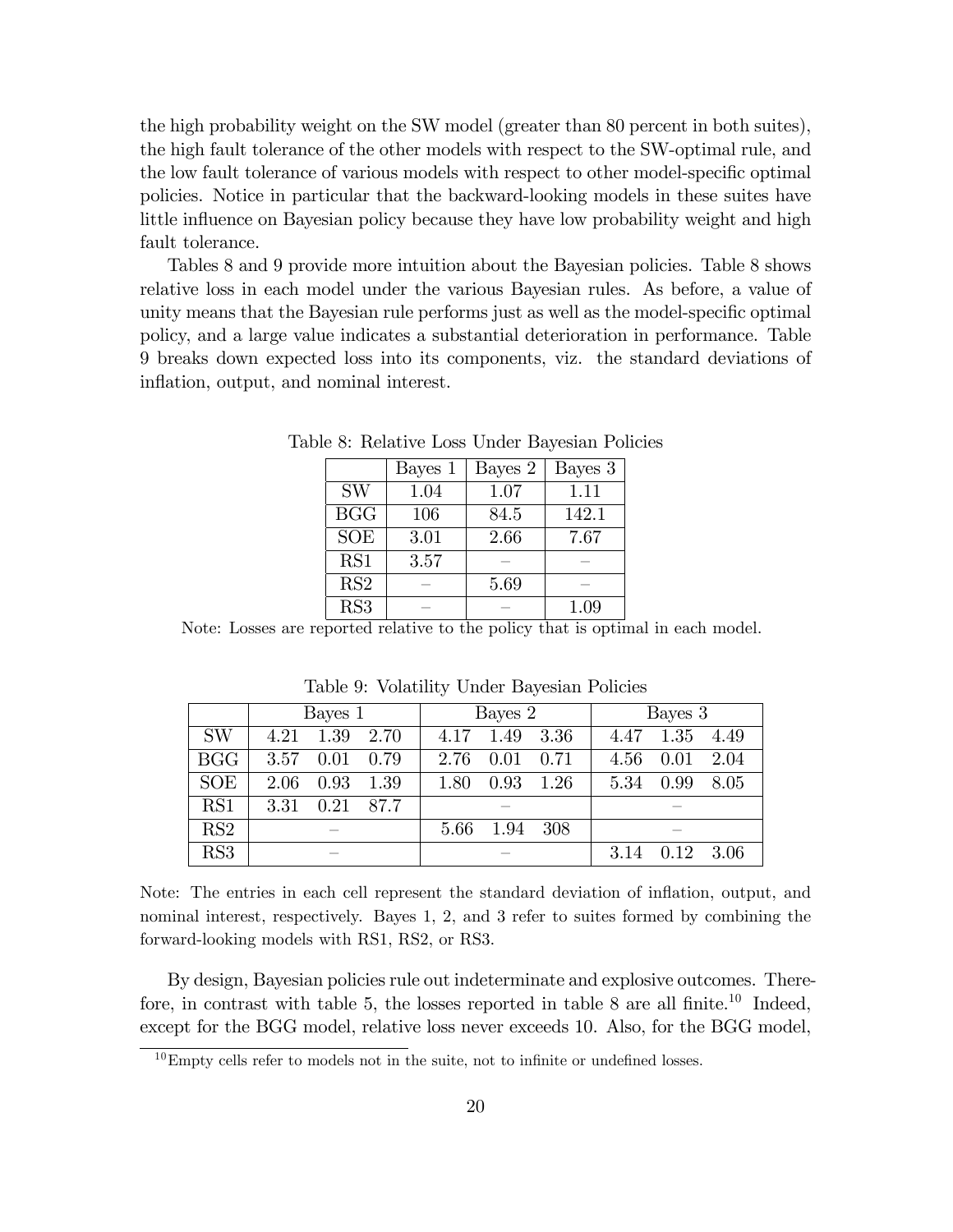the high probability weight on the SW model (greater than 80 percent in both suites), the high fault tolerance of the other models with respect to the SW-optimal rule, and the low fault tolerance of various models with respect to other model-specific optimal policies. Notice in particular that the backward-looking models in these suites have little influence on Bayesian policy because they have low probability weight and high fault tolerance.

Tables 8 and 9 provide more intuition about the Bayesian policies. Table 8 shows relative loss in each model under the various Bayesian rules. As before, a value of unity means that the Bayesian rule performs just as well as the model-specific optimal policy, and a large value indicates a substantial deterioration in performance. Table 9 breaks down expected loss into its components, viz. the standard deviations of inflation, output, and nominal interest.

|            | Bayes 1 | Bayes 2 | Bayes 3 |
|------------|---------|---------|---------|
| <b>SW</b>  | 1.04    | 1.07    | 1.11    |
| <b>BGG</b> | 106     | 84.5    | 142.1   |
| <b>SOE</b> | 3.01    | 2.66    | 7.67    |
| RS1        | 3.57    |         |         |
| RS2        |         | 5.69    |         |
| RS3        |         |         | 1.09    |

Table 8: Relative Loss Under Bayesian Policies

Note: Losses are reported relative to the policy that is optimal in each model.

|            | Bayes 1                | Bayes 2              | Bayes 3              |
|------------|------------------------|----------------------|----------------------|
| <b>SW</b>  | 1.39<br>2.70<br>4.21   | 1.49<br>3.36<br>4.17 | 1.35<br>4.49<br>4.47 |
| <b>BGG</b> | 3.57<br>0.01<br>0.79   | 2.76<br>0.01<br>0.71 | 0.01<br>2.04<br>4.56 |
| <b>SOE</b> | 0.93<br>2.06<br>1.39   | 0.93<br>1.26<br>1.80 | 0.99<br>5.34<br>8.05 |
| RS1        | 3.31<br>0.21<br>- 87.7 |                      |                      |
| RS2        |                        | 1.94<br>5.66<br>308  |                      |
| RS3        |                        |                      | 0.12<br>3.06<br>3.14 |

Table 9: Volatility Under Bayesian Policies

Note: The entries in each cell represent the standard deviation of ináation, output, and nominal interest, respectively. Bayes 1, 2, and 3 refer to suites formed by combining the forward-looking models with RS1, RS2, or RS3.

By design, Bayesian policies rule out indeterminate and explosive outcomes. Therefore, in contrast with table 5, the losses reported in table 8 are all finite.<sup>10</sup> Indeed, except for the BGG model, relative loss never exceeds 10. Also, for the BGG model,

 $10$ Empty cells refer to models not in the suite, not to infinite or undefined losses.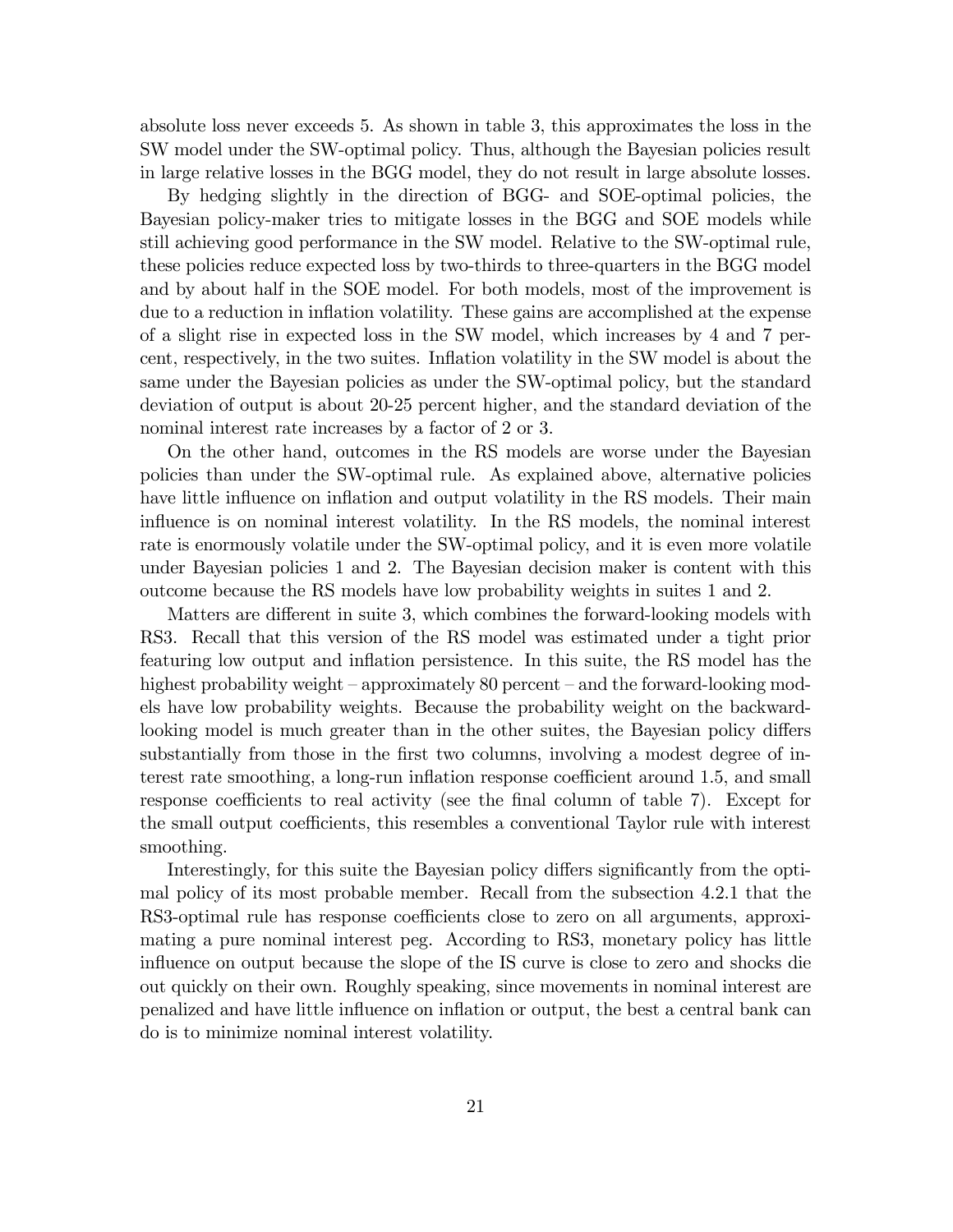absolute loss never exceeds 5. As shown in table 3, this approximates the loss in the SW model under the SW-optimal policy. Thus, although the Bayesian policies result in large relative losses in the BGG model, they do not result in large absolute losses.

By hedging slightly in the direction of BGG- and SOE-optimal policies, the Bayesian policy-maker tries to mitigate losses in the BGG and SOE models while still achieving good performance in the SW model. Relative to the SW-optimal rule, these policies reduce expected loss by two-thirds to three-quarters in the BGG model and by about half in the SOE model. For both models, most of the improvement is due to a reduction in inflation volatility. These gains are accomplished at the expense of a slight rise in expected loss in the SW model, which increases by 4 and 7 percent, respectively, in the two suites. Inflation volatility in the SW model is about the same under the Bayesian policies as under the SW-optimal policy, but the standard deviation of output is about 20-25 percent higher, and the standard deviation of the nominal interest rate increases by a factor of 2 or 3.

On the other hand, outcomes in the RS models are worse under the Bayesian policies than under the SW-optimal rule. As explained above, alternative policies have little influence on inflation and output volatility in the RS models. Their main influence is on nominal interest volatility. In the RS models, the nominal interest rate is enormously volatile under the SW-optimal policy, and it is even more volatile under Bayesian policies 1 and 2. The Bayesian decision maker is content with this outcome because the RS models have low probability weights in suites 1 and 2.

Matters are different in suite 3, which combines the forward-looking models with RS3. Recall that this version of the RS model was estimated under a tight prior featuring low output and ináation persistence. In this suite, the RS model has the highest probability weight  $-$  approximately 80 percent  $-$  and the forward-looking models have low probability weights. Because the probability weight on the backwardlooking model is much greater than in the other suites, the Bayesian policy differs substantially from those in the first two columns, involving a modest degree of interest rate smoothing, a long-run inflation response coefficient around 1.5, and small response coefficients to real activity (see the final column of table 7). Except for the small output coefficients, this resembles a conventional Taylor rule with interest smoothing.

Interestingly, for this suite the Bayesian policy differs significantly from the optimal policy of its most probable member. Recall from the subsection 4.2.1 that the RS3-optimal rule has response coefficients close to zero on all arguments, approximating a pure nominal interest peg. According to RS3, monetary policy has little influence on output because the slope of the IS curve is close to zero and shocks die out quickly on their own. Roughly speaking, since movements in nominal interest are penalized and have little influence on inflation or output, the best a central bank can do is to minimize nominal interest volatility.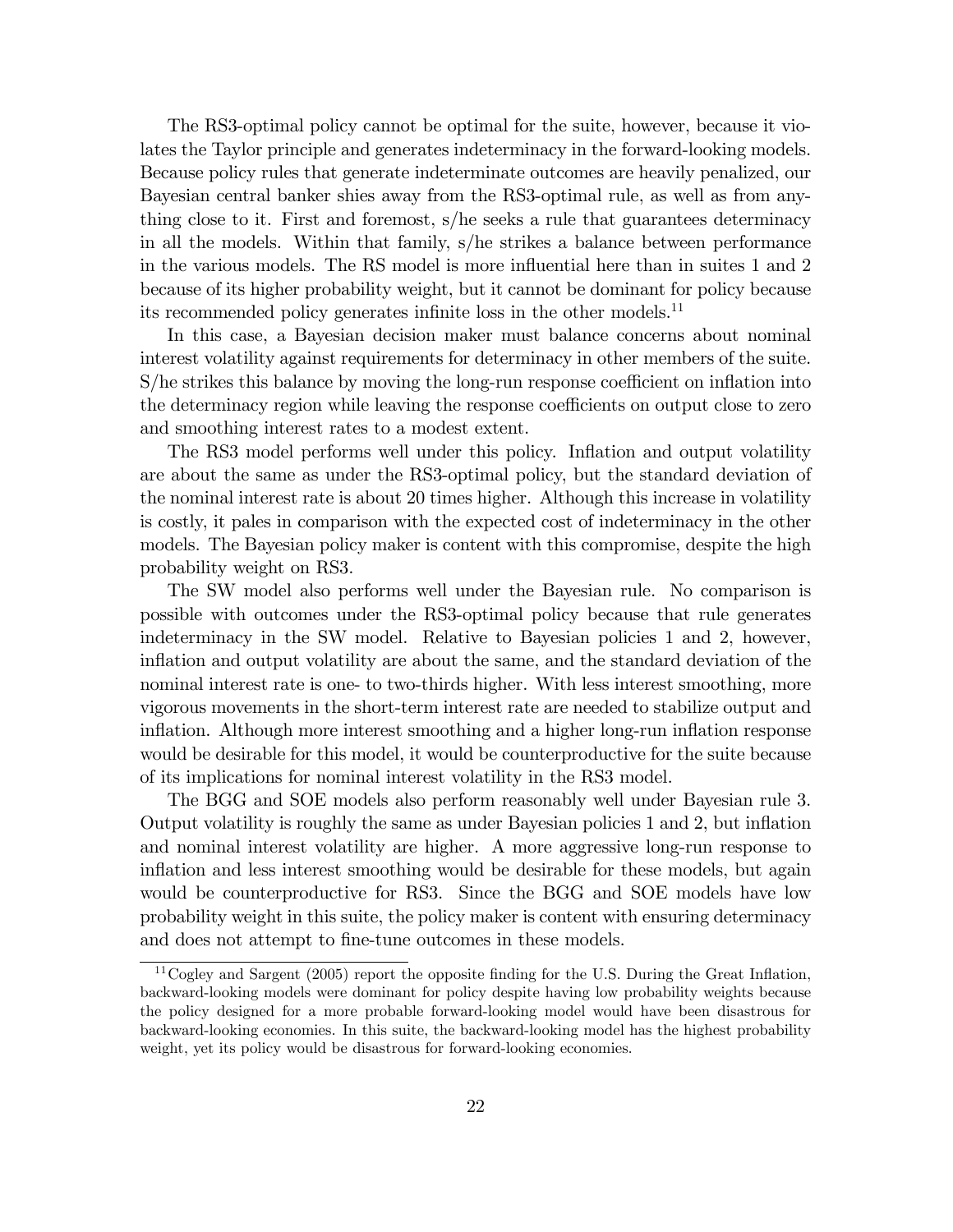The RS3-optimal policy cannot be optimal for the suite, however, because it violates the Taylor principle and generates indeterminacy in the forward-looking models. Because policy rules that generate indeterminate outcomes are heavily penalized, our Bayesian central banker shies away from the RS3-optimal rule, as well as from anything close to it. First and foremost, s/he seeks a rule that guarantees determinacy in all the models. Within that family, s/he strikes a balance between performance in the various models. The RS model is more influential here than in suites 1 and 2 because of its higher probability weight, but it cannot be dominant for policy because its recommended policy generates infinite loss in the other models.<sup>11</sup>

In this case, a Bayesian decision maker must balance concerns about nominal interest volatility against requirements for determinacy in other members of the suite.  $S/h$ e strikes this balance by moving the long-run response coefficient on inflation into the determinacy region while leaving the response coefficients on output close to zero and smoothing interest rates to a modest extent.

The RS3 model performs well under this policy. Inflation and output volatility are about the same as under the RS3-optimal policy, but the standard deviation of the nominal interest rate is about 20 times higher. Although this increase in volatility is costly, it pales in comparison with the expected cost of indeterminacy in the other models. The Bayesian policy maker is content with this compromise, despite the high probability weight on RS3.

The SW model also performs well under the Bayesian rule. No comparison is possible with outcomes under the RS3-optimal policy because that rule generates indeterminacy in the SW model. Relative to Bayesian policies 1 and 2, however, inflation and output volatility are about the same, and the standard deviation of the nominal interest rate is one- to two-thirds higher. With less interest smoothing, more vigorous movements in the short-term interest rate are needed to stabilize output and inflation. Although more interest smoothing and a higher long-run inflation response would be desirable for this model, it would be counterproductive for the suite because of its implications for nominal interest volatility in the RS3 model.

The BGG and SOE models also perform reasonably well under Bayesian rule 3. Output volatility is roughly the same as under Bayesian policies 1 and 2, but ináation and nominal interest volatility are higher. A more aggressive long-run response to inflation and less interest smoothing would be desirable for these models, but again would be counterproductive for RS3. Since the BGG and SOE models have low probability weight in this suite, the policy maker is content with ensuring determinacy and does not attempt to fine-tune outcomes in these models.

 $11 \text{Cogley}$  and Sargent (2005) report the opposite finding for the U.S. During the Great Inflation, backward-looking models were dominant for policy despite having low probability weights because the policy designed for a more probable forward-looking model would have been disastrous for backward-looking economies. In this suite, the backward-looking model has the highest probability weight, yet its policy would be disastrous for forward-looking economies.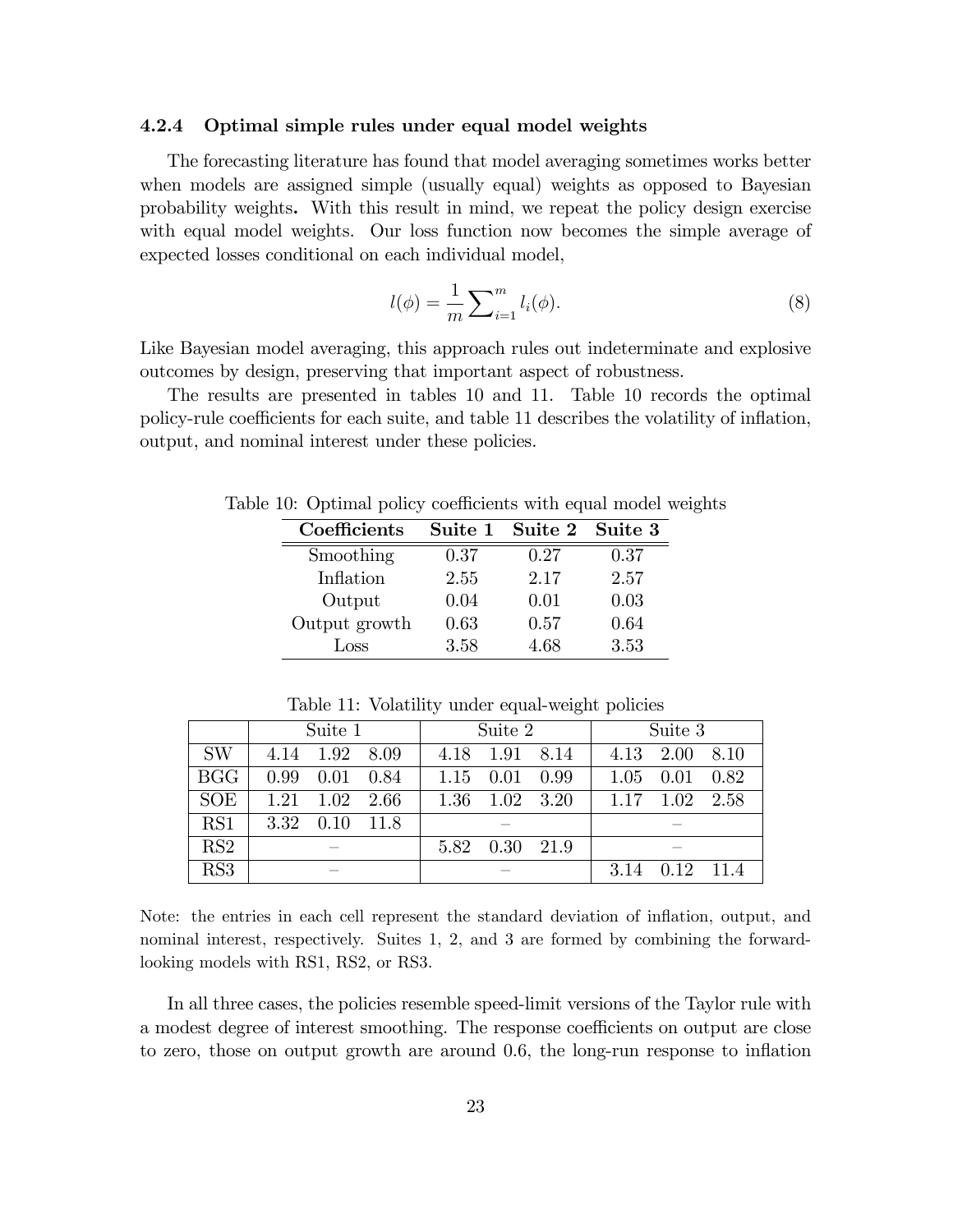#### 4.2.4 Optimal simple rules under equal model weights

The forecasting literature has found that model averaging sometimes works better when models are assigned simple (usually equal) weights as opposed to Bayesian probability weights. With this result in mind, we repeat the policy design exercise with equal model weights. Our loss function now becomes the simple average of expected losses conditional on each individual model,

$$
l(\phi) = \frac{1}{m} \sum_{i=1}^{m} l_i(\phi).
$$
 (8)

Like Bayesian model averaging, this approach rules out indeterminate and explosive outcomes by design, preserving that important aspect of robustness.

The results are presented in tables 10 and 11. Table 10 records the optimal policy-rule coefficients for each suite, and table 11 describes the volatility of inflation, output, and nominal interest under these policies.

| Coefficients  |      | Suite 1 Suite 2 Suite 3 |      |
|---------------|------|-------------------------|------|
| Smoothing     | 0.37 | 0.27                    | 0.37 |
| Inflation     | 2.55 | 2.17                    | 2.57 |
| Output        | 0.04 | 0.01                    | 0.03 |
| Output growth | 0.63 | 0.57                    | 0.64 |
| Loss          | 3.58 | 4.68                    | 3.53 |

Table 10: Optimal policy coefficients with equal model weights

|            | Suite 1                      | Suite 2              | Suite 3              |
|------------|------------------------------|----------------------|----------------------|
| <b>SW</b>  | 4.14 1.92 8.09               | 4.18 1.91 8.14       | 4.13 2.00 8.10       |
| <b>BGG</b> | 0.99<br>$0.01 \quad 0.84$    | $1.15$ $0.01$ $0.99$ | $1.05$ $0.01$ $0.82$ |
| <b>SOE</b> | $1.21 \quad 1.02 \quad 2.66$ | 1.36 1.02 3.20       | $1.17$ $1.02$ $2.58$ |
| RS1        | 3.32 0.10 11.8               |                      |                      |
| RS2        |                              | 5.82 0.30 21.9       |                      |
| RS3        |                              |                      | 3.14 0.12 11.4       |

Table 11: Volatility under equal-weight policies

Note: the entries in each cell represent the standard deviation of ináation, output, and nominal interest, respectively. Suites 1, 2, and 3 are formed by combining the forwardlooking models with RS1, RS2, or RS3.

In all three cases, the policies resemble speed-limit versions of the Taylor rule with a modest degree of interest smoothing. The response coefficients on output are close to zero, those on output growth are around 0.6, the long-run response to inflation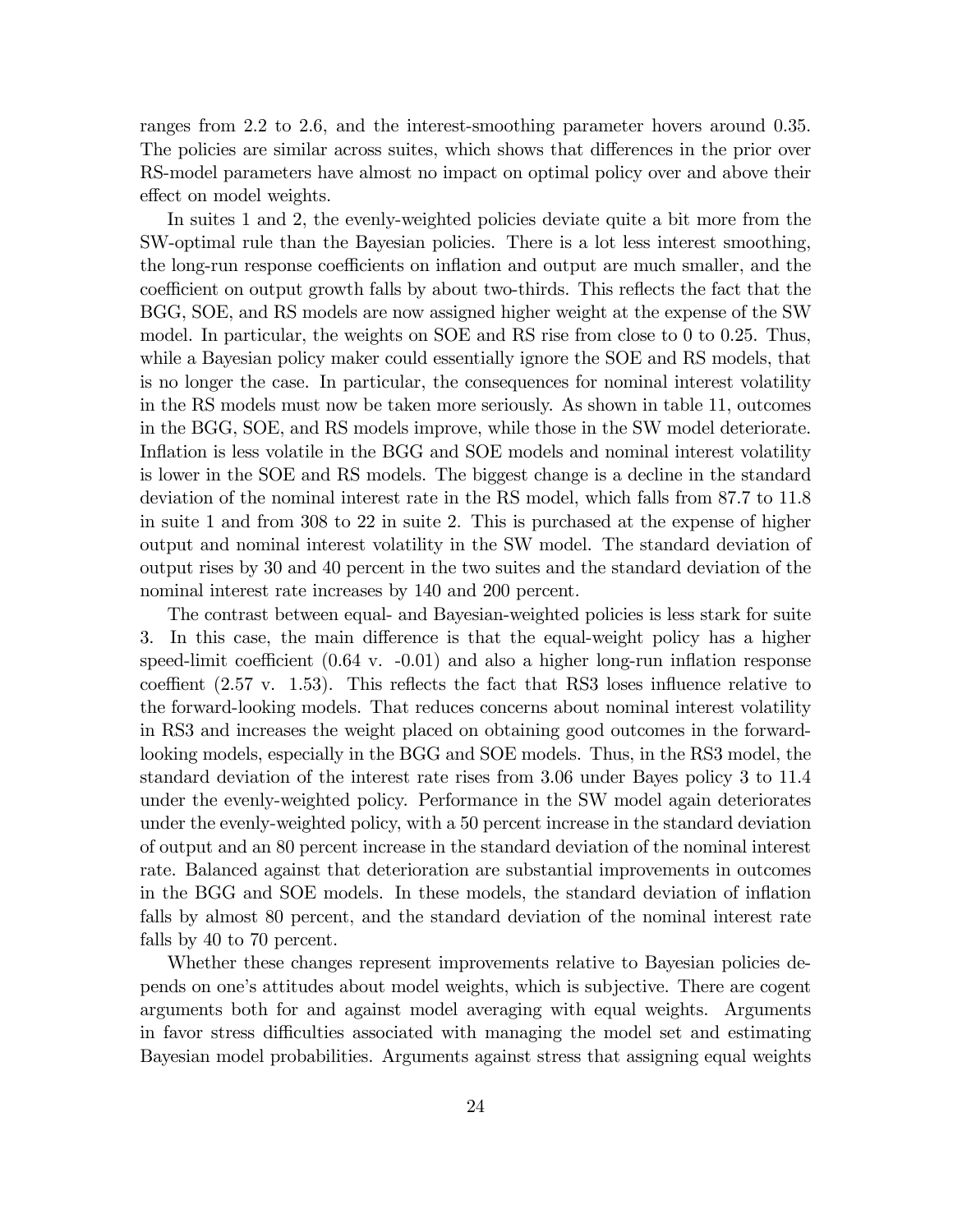ranges from 2.2 to 2.6, and the interest-smoothing parameter hovers around 0.35. The policies are similar across suites, which shows that differences in the prior over RS-model parameters have almost no impact on optimal policy over and above their effect on model weights.

In suites 1 and 2, the evenly-weighted policies deviate quite a bit more from the SW-optimal rule than the Bayesian policies. There is a lot less interest smoothing, the long-run response coefficients on inflation and output are much smaller, and the coefficient on output growth falls by about two-thirds. This reflects the fact that the BGG, SOE, and RS models are now assigned higher weight at the expense of the SW model. In particular, the weights on SOE and RS rise from close to 0 to 0.25. Thus, while a Bayesian policy maker could essentially ignore the SOE and RS models, that is no longer the case. In particular, the consequences for nominal interest volatility in the RS models must now be taken more seriously. As shown in table 11, outcomes in the BGG, SOE, and RS models improve, while those in the SW model deteriorate. Inflation is less volatile in the BGG and SOE models and nominal interest volatility is lower in the SOE and RS models. The biggest change is a decline in the standard deviation of the nominal interest rate in the RS model, which falls from 87.7 to 11.8 in suite 1 and from 308 to 22 in suite 2. This is purchased at the expense of higher output and nominal interest volatility in the SW model. The standard deviation of output rises by 30 and 40 percent in the two suites and the standard deviation of the nominal interest rate increases by 140 and 200 percent.

The contrast between equal- and Bayesian-weighted policies is less stark for suite 3. In this case, the main difference is that the equal-weight policy has a higher speed-limit coefficient  $(0.64 \text{ v. } -0.01)$  and also a higher long-run inflation response coeffient  $(2.57 \text{ v. } 1.53)$ . This reflects the fact that RS3 loses influence relative to the forward-looking models. That reduces concerns about nominal interest volatility in RS3 and increases the weight placed on obtaining good outcomes in the forwardlooking models, especially in the BGG and SOE models. Thus, in the RS3 model, the standard deviation of the interest rate rises from 3.06 under Bayes policy 3 to 11.4 under the evenly-weighted policy. Performance in the SW model again deteriorates under the evenly-weighted policy, with a 50 percent increase in the standard deviation of output and an 80 percent increase in the standard deviation of the nominal interest rate. Balanced against that deterioration are substantial improvements in outcomes in the BGG and SOE models. In these models, the standard deviation of ináation falls by almost 80 percent, and the standard deviation of the nominal interest rate falls by 40 to 70 percent.

Whether these changes represent improvements relative to Bayesian policies depends on one's attitudes about model weights, which is subjective. There are cogent arguments both for and against model averaging with equal weights. Arguments in favor stress difficulties associated with managing the model set and estimating Bayesian model probabilities. Arguments against stress that assigning equal weights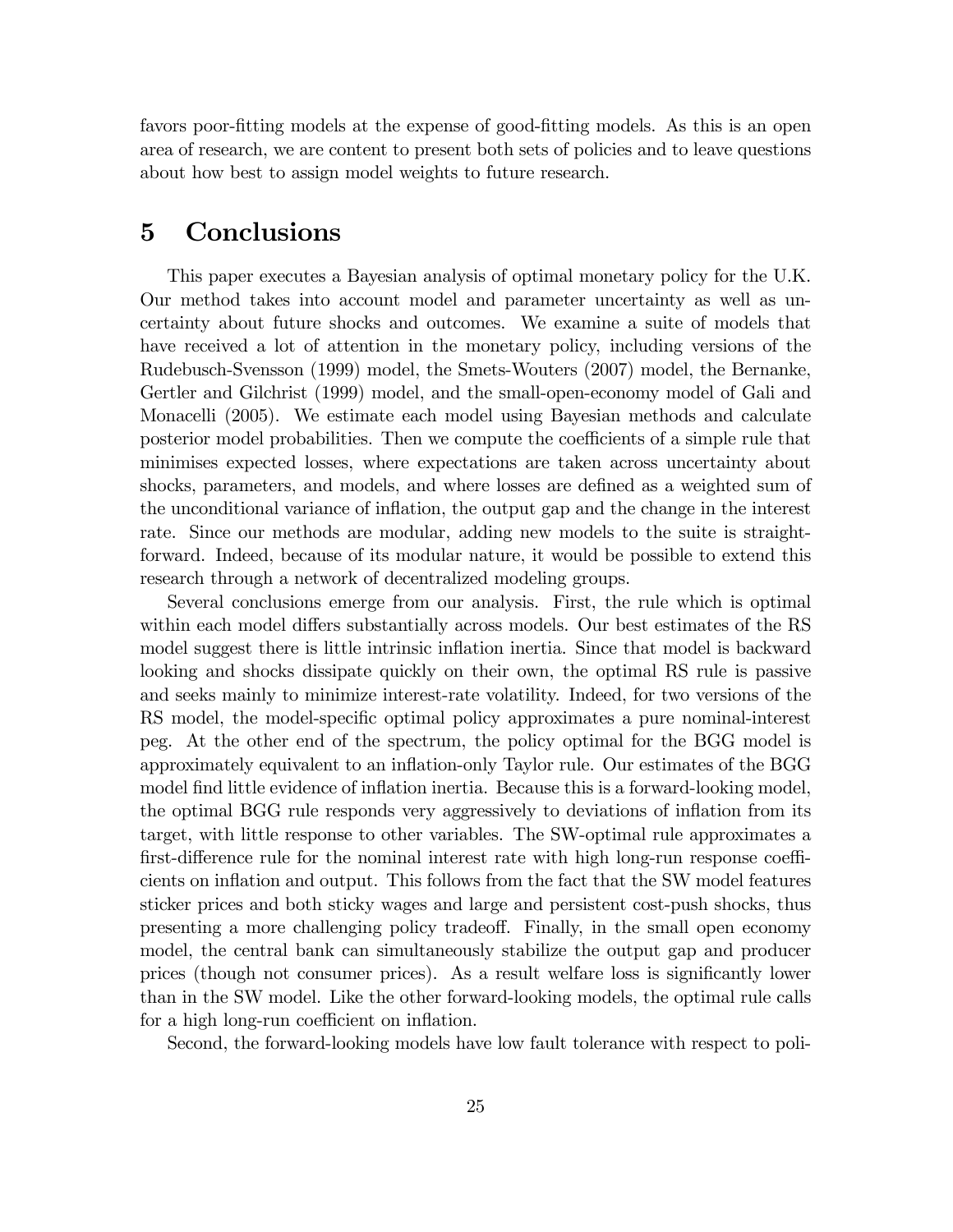favors poor-fitting models at the expense of good-fitting models. As this is an open area of research, we are content to present both sets of policies and to leave questions about how best to assign model weights to future research.

## 5 Conclusions

This paper executes a Bayesian analysis of optimal monetary policy for the U.K. Our method takes into account model and parameter uncertainty as well as uncertainty about future shocks and outcomes. We examine a suite of models that have received a lot of attention in the monetary policy, including versions of the Rudebusch-Svensson (1999) model, the Smets-Wouters (2007) model, the Bernanke, Gertler and Gilchrist (1999) model, and the small-open-economy model of Gali and Monacelli (2005). We estimate each model using Bayesian methods and calculate posterior model probabilities. Then we compute the coefficients of a simple rule that minimises expected losses, where expectations are taken across uncertainty about shocks, parameters, and models, and where losses are defined as a weighted sum of the unconditional variance of ináation, the output gap and the change in the interest rate. Since our methods are modular, adding new models to the suite is straightforward. Indeed, because of its modular nature, it would be possible to extend this research through a network of decentralized modeling groups.

Several conclusions emerge from our analysis. First, the rule which is optimal within each model differs substantially across models. Our best estimates of the RS model suggest there is little intrinsic inflation inertia. Since that model is backward looking and shocks dissipate quickly on their own, the optimal RS rule is passive and seeks mainly to minimize interest-rate volatility. Indeed, for two versions of the RS model, the model-specific optimal policy approximates a pure nominal-interest peg. At the other end of the spectrum, the policy optimal for the BGG model is approximately equivalent to an ináation-only Taylor rule. Our estimates of the BGG model find little evidence of inflation inertia. Because this is a forward-looking model, the optimal BGG rule responds very aggressively to deviations of inflation from its target, with little response to other variables. The SW-optimal rule approximates a first-difference rule for the nominal interest rate with high long-run response coefficients on ináation and output. This follows from the fact that the SW model features sticker prices and both sticky wages and large and persistent cost-push shocks, thus presenting a more challenging policy tradeo§. Finally, in the small open economy model, the central bank can simultaneously stabilize the output gap and producer prices (though not consumer prices). As a result welfare loss is significantly lower than in the SW model. Like the other forward-looking models, the optimal rule calls for a high long-run coefficient on inflation.

Second, the forward-looking models have low fault tolerance with respect to poli-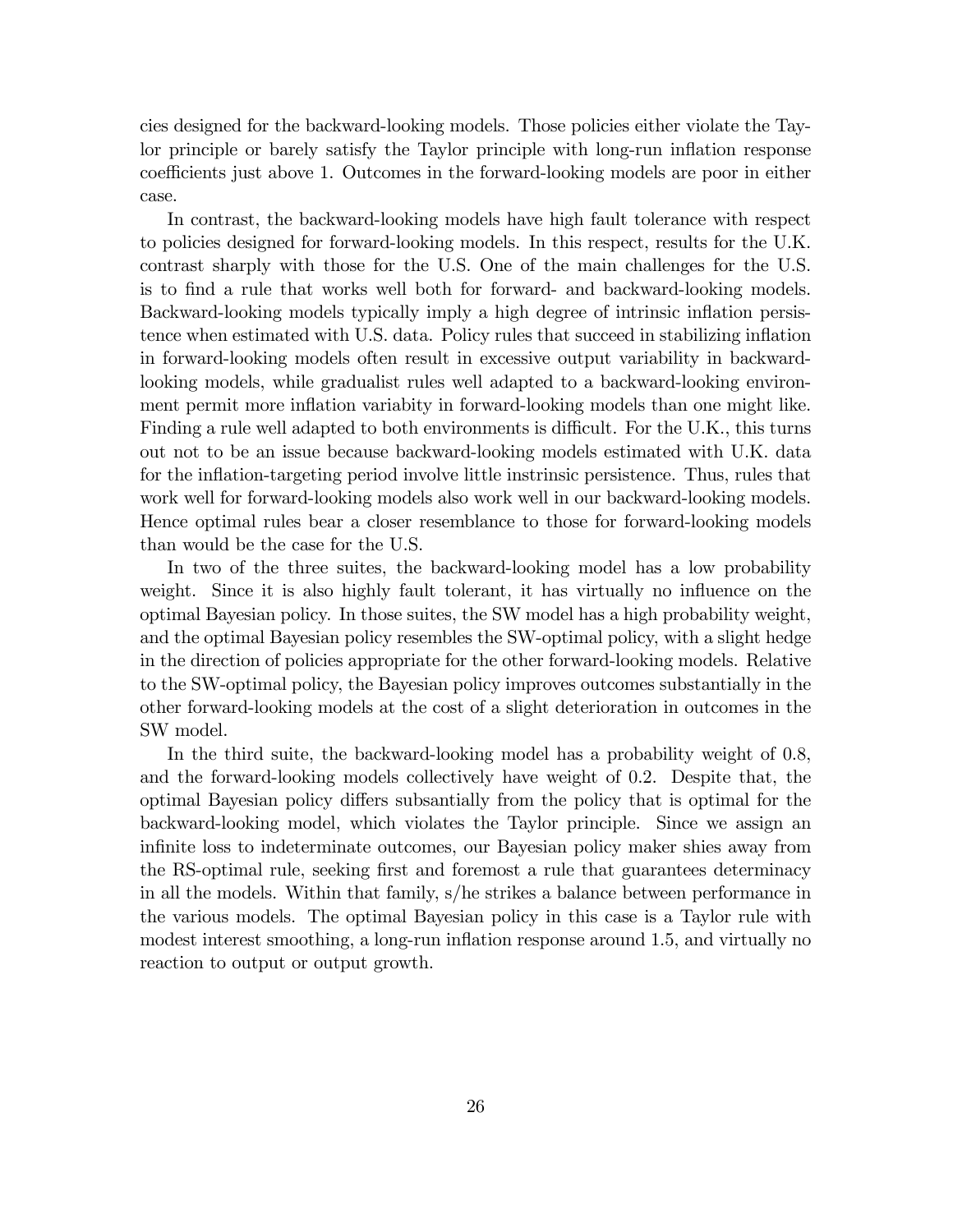cies designed for the backward-looking models. Those policies either violate the Taylor principle or barely satisfy the Taylor principle with long-run inflation response coefficients just above 1. Outcomes in the forward-looking models are poor in either case.

In contrast, the backward-looking models have high fault tolerance with respect to policies designed for forward-looking models. In this respect, results for the U.K. contrast sharply with those for the U.S. One of the main challenges for the U.S. is to Önd a rule that works well both for forward- and backward-looking models. Backward-looking models typically imply a high degree of intrinsic inflation persistence when estimated with U.S. data. Policy rules that succeed in stabilizing inflation in forward-looking models often result in excessive output variability in backwardlooking models, while gradualist rules well adapted to a backward-looking environment permit more inflation variabity in forward-looking models than one might like. Finding a rule well adapted to both environments is difficult. For the U.K., this turns out not to be an issue because backward-looking models estimated with U.K. data for the inflation-targeting period involve little instrinsic persistence. Thus, rules that work well for forward-looking models also work well in our backward-looking models. Hence optimal rules bear a closer resemblance to those for forward-looking models than would be the case for the U.S.

In two of the three suites, the backward-looking model has a low probability weight. Since it is also highly fault tolerant, it has virtually no influence on the optimal Bayesian policy. In those suites, the SW model has a high probability weight, and the optimal Bayesian policy resembles the SW-optimal policy, with a slight hedge in the direction of policies appropriate for the other forward-looking models. Relative to the SW-optimal policy, the Bayesian policy improves outcomes substantially in the other forward-looking models at the cost of a slight deterioration in outcomes in the SW model.

In the third suite, the backward-looking model has a probability weight of 0.8, and the forward-looking models collectively have weight of 0.2. Despite that, the optimal Bayesian policy differs subsantially from the policy that is optimal for the backward-looking model, which violates the Taylor principle. Since we assign an inÖnite loss to indeterminate outcomes, our Bayesian policy maker shies away from the RS-optimal rule, seeking first and foremost a rule that guarantees determinacy in all the models. Within that family, s/he strikes a balance between performance in the various models. The optimal Bayesian policy in this case is a Taylor rule with modest interest smoothing, a long-run inflation response around 1.5, and virtually no reaction to output or output growth.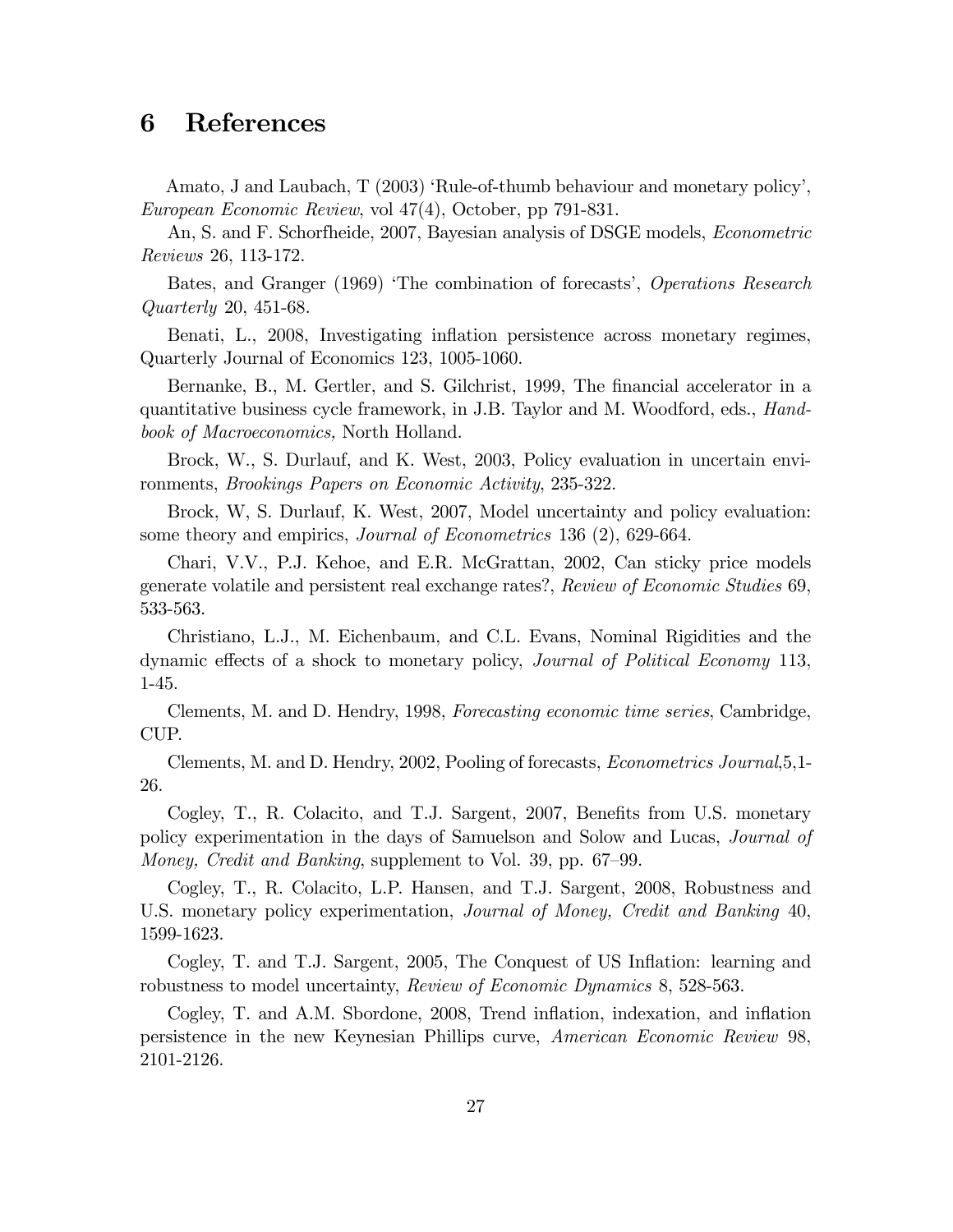# 6 References

Amato, J and Laubach, T (2003) 'Rule-of-thumb behaviour and monetary policy', European Economic Review, vol 47(4), October, pp 791-831.

An, S. and F. Schorfheide, 2007, Bayesian analysis of DSGE models, *Econometric* Reviews 26, 113-172.

Bates, and Granger (1969) The combination of forecasts', Operations Research Quarterly 20, 451-68.

Benati, L., 2008, Investigating inflation persistence across monetary regimes, Quarterly Journal of Economics 123, 1005-1060.

Bernanke, B., M. Gertler, and S. Gilchrist, 1999, The financial accelerator in a quantitative business cycle framework, in J.B. Taylor and M. Woodford, eds., Handbook of Macroeconomics, North Holland.

Brock, W., S. Durlauf, and K. West, 2003, Policy evaluation in uncertain environments, Brookings Papers on Economic Activity, 235-322.

Brock, W, S. Durlauf, K. West, 2007, Model uncertainty and policy evaluation: some theory and empirics, *Journal of Econometrics* 136 (2), 629-664.

Chari, V.V., P.J. Kehoe, and E.R. McGrattan, 2002, Can sticky price models generate volatile and persistent real exchange rates?, Review of Economic Studies 69, 533-563.

Christiano, L.J., M. Eichenbaum, and C.L. Evans, Nominal Rigidities and the dynamic effects of a shock to monetary policy, *Journal of Political Economy* 113, 1-45.

Clements, M. and D. Hendry, 1998, Forecasting economic time series, Cambridge, CUP.

Clements, M. and D. Hendry, 2002, Pooling of forecasts, Econometrics Journal,5,1- 26.

Cogley, T., R. Colacito, and T.J. Sargent, 2007, Benefits from U.S. monetary policy experimentation in the days of Samuelson and Solow and Lucas, Journal of Money, Credit and Banking, supplement to Vol. 39, pp. 67–99.

Cogley, T., R. Colacito, L.P. Hansen, and T.J. Sargent, 2008, Robustness and U.S. monetary policy experimentation, *Journal of Money, Credit and Banking 40*, 1599-1623.

Cogley, T. and T.J. Sargent, 2005, The Conquest of US Ináation: learning and robustness to model uncertainty, Review of Economic Dynamics 8, 528-563.

Cogley, T. and A.M. Sbordone, 2008, Trend ináation, indexation, and ináation persistence in the new Keynesian Phillips curve, American Economic Review 98, 2101-2126.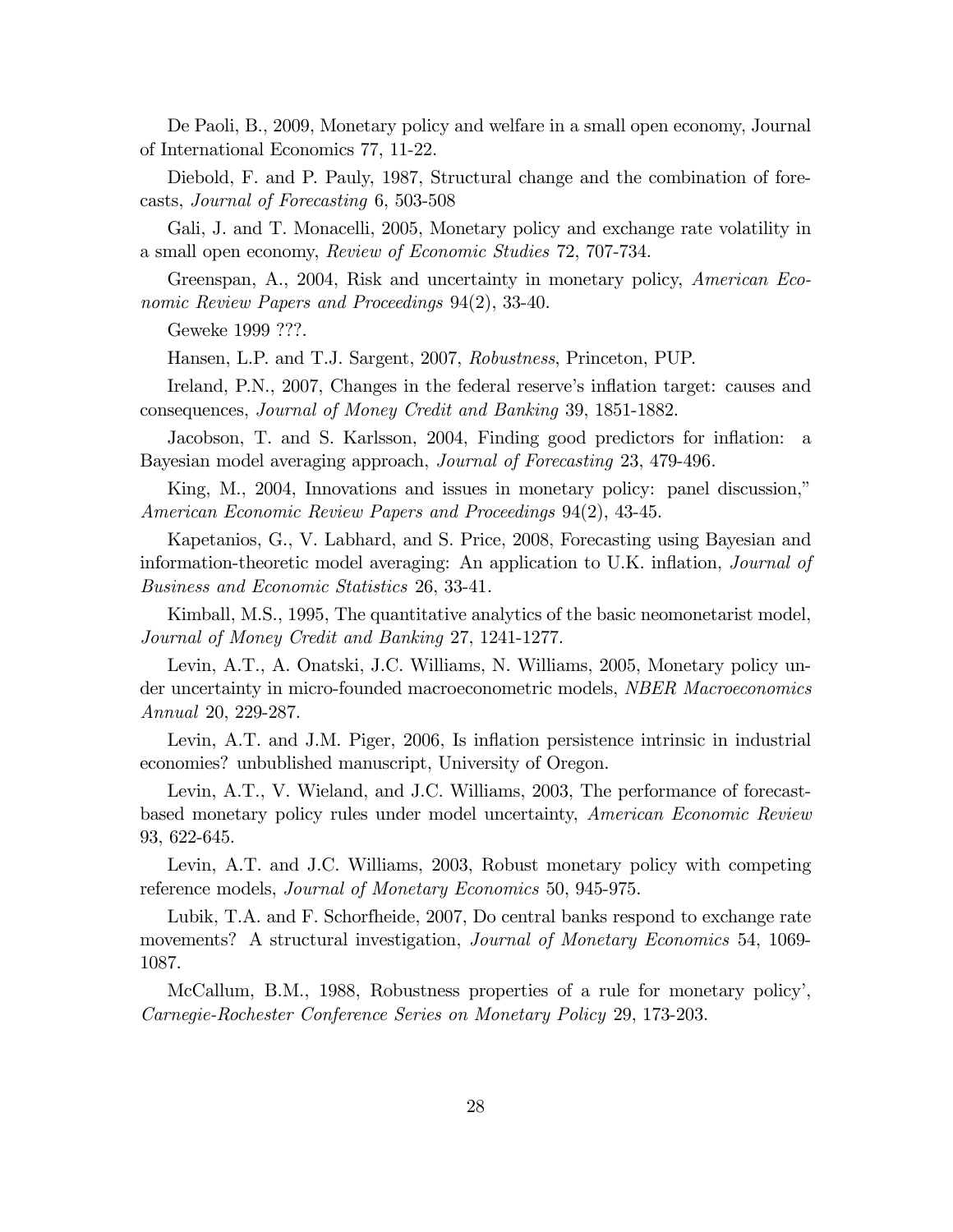De Paoli, B., 2009, Monetary policy and welfare in a small open economy, Journal of International Economics 77, 11-22.

Diebold, F. and P. Pauly, 1987, Structural change and the combination of forecasts, Journal of Forecasting 6, 503-508

Gali, J. and T. Monacelli, 2005, Monetary policy and exchange rate volatility in a small open economy, Review of Economic Studies 72, 707-734.

Greenspan, A., 2004, Risk and uncertainty in monetary policy, American Economic Review Papers and Proceedings 94(2), 33-40.

Geweke 1999 ???.

Hansen, L.P. and T.J. Sargent, 2007, Robustness, Princeton, PUP.

Ireland, P.N., 2007, Changes in the federal reserve's inflation target: causes and consequences, Journal of Money Credit and Banking 39, 1851-1882.

Jacobson, T. and S. Karlsson, 2004, Finding good predictors for inflation: a Bayesian model averaging approach, Journal of Forecasting 23, 479-496.

King, M., 2004, Innovations and issues in monetary policy: panel discussion," American Economic Review Papers and Proceedings 94(2), 43-45.

Kapetanios, G., V. Labhard, and S. Price, 2008, Forecasting using Bayesian and information-theoretic model averaging: An application to U.K. inflation, *Journal of* Business and Economic Statistics 26, 33-41.

Kimball, M.S., 1995, The quantitative analytics of the basic neomonetarist model, Journal of Money Credit and Banking 27, 1241-1277.

Levin, A.T., A. Onatski, J.C. Williams, N. Williams, 2005, Monetary policy under uncertainty in micro-founded macroeconometric models, *NBER Macroeconomics* Annual 20, 229-287.

Levin, A.T. and J.M. Piger, 2006, Is inflation persistence intrinsic in industrial economies? unbublished manuscript, University of Oregon.

Levin, A.T., V. Wieland, and J.C. Williams, 2003, The performance of forecastbased monetary policy rules under model uncertainty, American Economic Review 93, 622-645.

Levin, A.T. and J.C. Williams, 2003, Robust monetary policy with competing reference models, Journal of Monetary Economics 50, 945-975.

Lubik, T.A. and F. Schorfheide, 2007, Do central banks respond to exchange rate movements? A structural investigation, Journal of Monetary Economics 54, 1069- 1087.

McCallum, B.M., 1988, Robustness properties of a rule for monetary policy', Carnegie-Rochester Conference Series on Monetary Policy 29, 173-203.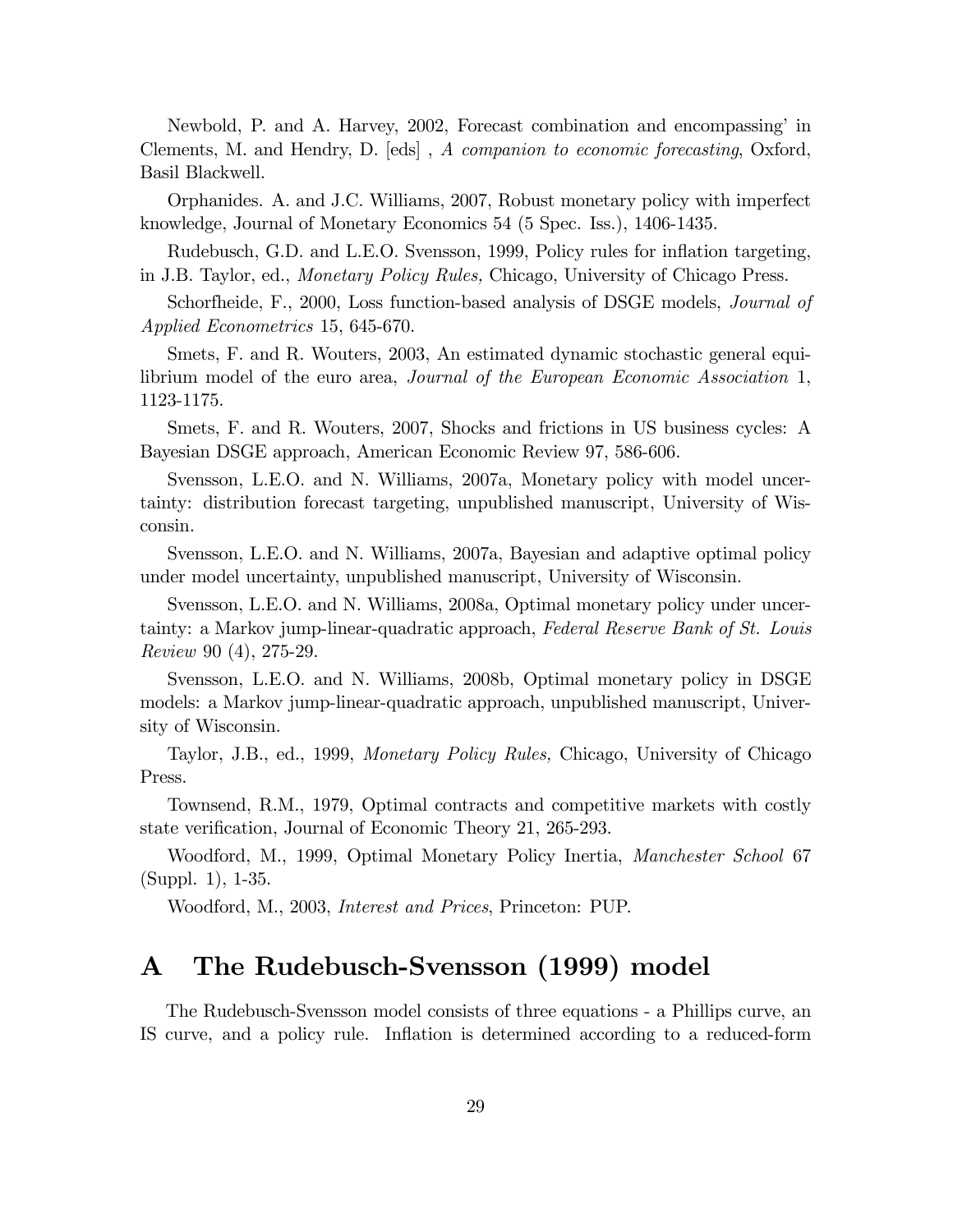Newbold, P. and A. Harvey, 2002, Forecast combination and encompassing' in Clements, M. and Hendry, D. [eds] , A companion to economic forecasting, Oxford, Basil Blackwell.

Orphanides. A. and J.C. Williams, 2007, Robust monetary policy with imperfect knowledge, Journal of Monetary Economics 54 (5 Spec. Iss.), 1406-1435.

Rudebusch, G.D. and L.E.O. Svensson, 1999, Policy rules for ináation targeting, in J.B. Taylor, ed., Monetary Policy Rules, Chicago, University of Chicago Press.

Schorfheide, F., 2000, Loss function-based analysis of DSGE models, Journal of Applied Econometrics 15, 645-670.

Smets, F. and R. Wouters, 2003, An estimated dynamic stochastic general equilibrium model of the euro area, Journal of the European Economic Association 1, 1123-1175.

Smets, F. and R. Wouters, 2007, Shocks and frictions in US business cycles: A Bayesian DSGE approach, American Economic Review 97, 586-606.

Svensson, L.E.O. and N. Williams, 2007a, Monetary policy with model uncertainty: distribution forecast targeting, unpublished manuscript, University of Wisconsin.

Svensson, L.E.O. and N. Williams, 2007a, Bayesian and adaptive optimal policy under model uncertainty, unpublished manuscript, University of Wisconsin.

Svensson, L.E.O. and N. Williams, 2008a, Optimal monetary policy under uncertainty: a Markov jump-linear-quadratic approach, Federal Reserve Bank of St. Louis Review 90 (4), 275-29.

Svensson, L.E.O. and N. Williams, 2008b, Optimal monetary policy in DSGE models: a Markov jump-linear-quadratic approach, unpublished manuscript, University of Wisconsin.

Taylor, J.B., ed., 1999, Monetary Policy Rules, Chicago, University of Chicago Press.

Townsend, R.M., 1979, Optimal contracts and competitive markets with costly state verification, Journal of Economic Theory 21, 265-293.

Woodford, M., 1999, Optimal Monetary Policy Inertia, *Manchester School* 67 (Suppl. 1), 1-35.

Woodford, M., 2003, Interest and Prices, Princeton: PUP.

# A The Rudebusch-Svensson (1999) model

The Rudebusch-Svensson model consists of three equations - a Phillips curve, an IS curve, and a policy rule. Inflation is determined according to a reduced-form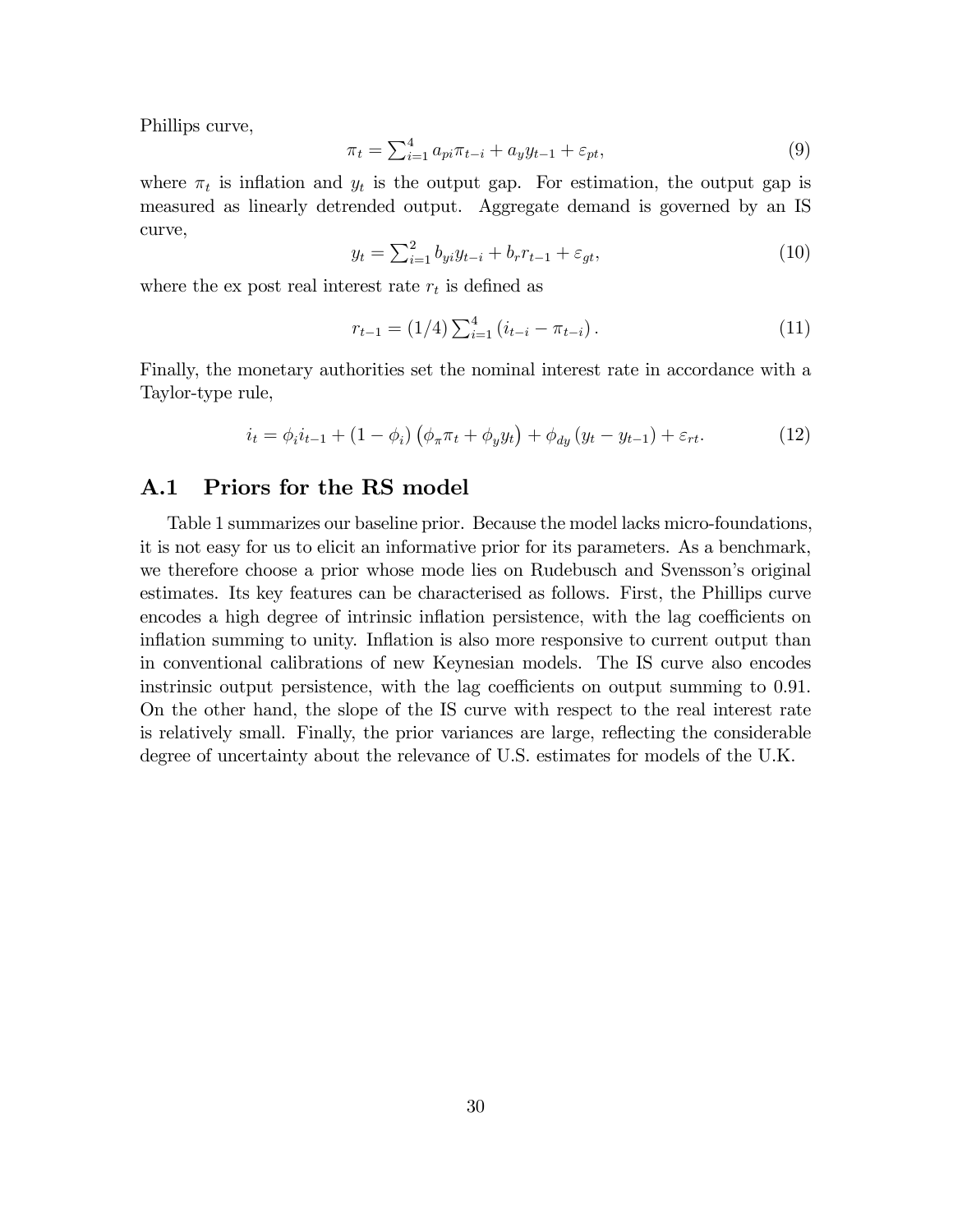Phillips curve,

$$
\pi_t = \sum_{i=1}^4 a_{pi} \pi_{t-i} + a_y y_{t-1} + \varepsilon_{pt}, \tag{9}
$$

where  $\pi_t$  is inflation and  $y_t$  is the output gap. For estimation, the output gap is measured as linearly detrended output. Aggregate demand is governed by an IS curve,

$$
y_t = \sum_{i=1}^2 b_{yi} y_{t-i} + b_r r_{t-1} + \varepsilon_{gt},
$$
\n(10)

where the ex post real interest rate  $r_t$  is defined as

$$
r_{t-1} = (1/4) \sum_{i=1}^{4} (i_{t-i} - \pi_{t-i}). \tag{11}
$$

Finally, the monetary authorities set the nominal interest rate in accordance with a Taylor-type rule,

$$
i_{t} = \phi_{i}i_{t-1} + (1 - \phi_{i})\left(\phi_{\pi}\pi_{t} + \phi_{y}y_{t}\right) + \phi_{dy}\left(y_{t} - y_{t-1}\right) + \varepsilon_{rt}.
$$
 (12)

#### A.1 Priors for the RS model

Table 1 summarizes our baseline prior. Because the model lacks micro-foundations, it is not easy for us to elicit an informative prior for its parameters. As a benchmark, we therefore choose a prior whose mode lies on Rudebusch and Svensson's original estimates. Its key features can be characterised as follows. First, the Phillips curve encodes a high degree of intrinsic inflation persistence, with the lag coefficients on inflation summing to unity. Inflation is also more responsive to current output than in conventional calibrations of new Keynesian models. The IS curve also encodes instrinsic output persistence, with the lag coefficients on output summing to  $0.91$ . On the other hand, the slope of the IS curve with respect to the real interest rate is relatively small. Finally, the prior variances are large, reflecting the considerable degree of uncertainty about the relevance of U.S. estimates for models of the U.K.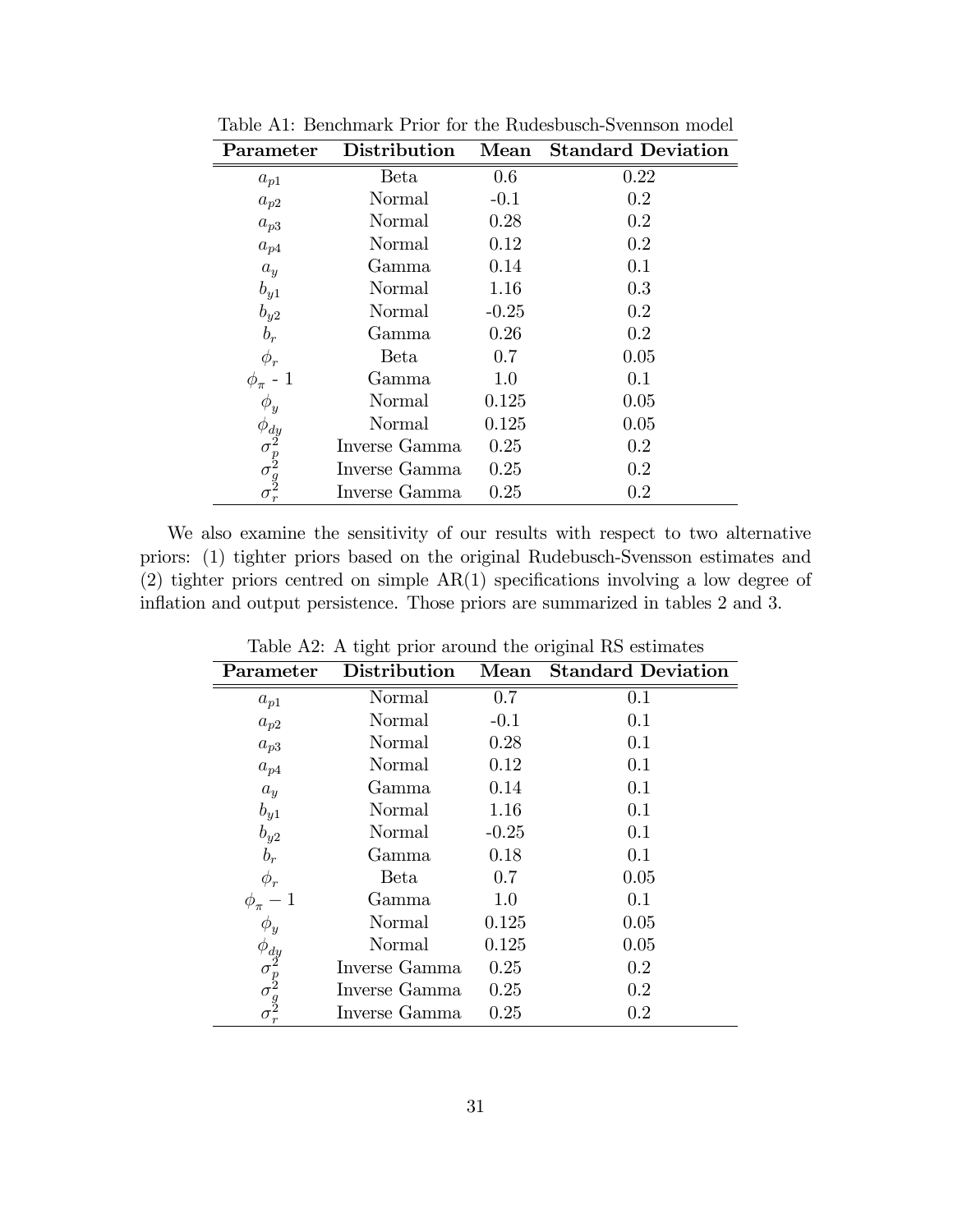| $\bold{Parameter}$                                                                       | <b>Distribution</b> |         | Mean Standard Deviation |
|------------------------------------------------------------------------------------------|---------------------|---------|-------------------------|
| $a_{p1}$                                                                                 | <b>Beta</b>         | 0.6     | 0.22                    |
| $a_{p2}$                                                                                 | Normal              | $-0.1$  | 0.2                     |
| $a_{p3}$                                                                                 | Normal              | 0.28    | 0.2                     |
| $a_{p4}$                                                                                 | Normal              | 0.12    | 0.2                     |
| $a_y$                                                                                    | Gamma               | 0.14    | 0.1                     |
| $b_{y1}$                                                                                 | Normal              | 1.16    | 0.3                     |
| $b_{y2}$                                                                                 | Normal              | $-0.25$ | 0.2                     |
| $b_r$                                                                                    | Gamma               | 0.26    | 0.2                     |
| $\phi_r$                                                                                 | <b>Beta</b>         | 0.7     | 0.05                    |
| $\phi_{\pi}$ - 1                                                                         | Gamma               | 1.0     | 0.1                     |
|                                                                                          | Normal              | 0.125   | 0.05                    |
|                                                                                          | Normal              | 0.125   | 0.05                    |
|                                                                                          | Inverse Gamma       | 0.25    | 0.2                     |
| $\begin{array}{c} \phi_y \ \phi_{dy} \ \sigma^2_p \ \sigma^2_g \ \sigma^2_r \end{array}$ | Inverse Gamma       | 0.25    | 0.2                     |
|                                                                                          | Inverse Gamma       | 0.25    | 0.2                     |

Table A1: Benchmark Prior for the Rudesbusch-Svennson model

We also examine the sensitivity of our results with respect to two alternative priors: (1) tighter priors based on the original Rudebusch-Svensson estimates and  $(2)$  tighter priors centred on simple AR $(1)$  specifications involving a low degree of inflation and output persistence. Those priors are summarized in tables 2 and 3.

|                                                                                              | O                   |         | O                         |
|----------------------------------------------------------------------------------------------|---------------------|---------|---------------------------|
| Parameter                                                                                    | <b>Distribution</b> | Mean    | <b>Standard Deviation</b> |
| $a_{p1}$                                                                                     | Normal              | 0.7     | 0.1                       |
| $a_{p2}$                                                                                     | Normal              | $-0.1$  | 0.1                       |
| $a_{p3}$                                                                                     | Normal              | 0.28    | 0.1                       |
| $a_{p4}$                                                                                     | Normal              | 0.12    | 0.1                       |
| $a_y$                                                                                        | Gamma               | 0.14    | 0.1                       |
| $b_{y1}$                                                                                     | Normal              | 1.16    | 0.1                       |
| $b_{y2}$                                                                                     | Normal              | $-0.25$ | 0.1                       |
| $b_r$                                                                                        | Gamma               | 0.18    | 0.1                       |
| $\phi_r$                                                                                     | Beta                | 0.7     | 0.05                      |
| $\phi_{\pi}-1$                                                                               | Gamma               | 1.0     | 0.1                       |
| $\phi_y$                                                                                     | Normal              | 0.125   | 0.05                      |
|                                                                                              | Normal              | 0.125   | 0.05                      |
|                                                                                              | Inverse Gamma       | 0.25    | $0.2\,$                   |
| $\begin{array}{c} \phi_{dy} \ \sigma^2_p \ \sigma^2_p \ \sigma^2_s \ \sigma^2_r \end{array}$ | Inverse Gamma       | 0.25    | 0.2                       |
|                                                                                              | Inverse Gamma       | 0.25    | 0.2                       |

Table A2: A tight prior around the original RS estimates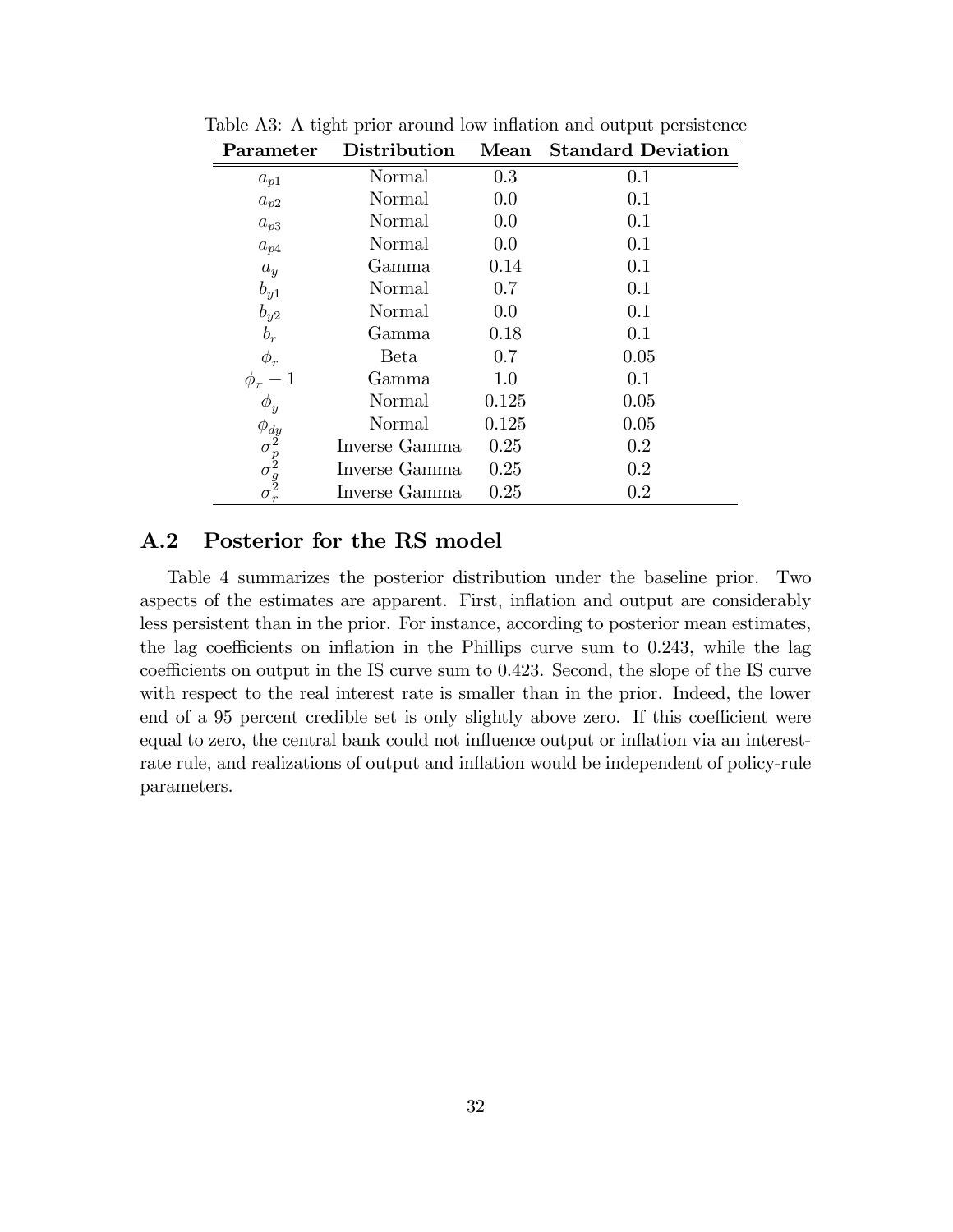| Parameter                                                                                      | <b>Distribution</b> | Mean  | <b>Standard Deviation</b> |
|------------------------------------------------------------------------------------------------|---------------------|-------|---------------------------|
| $a_{p1}$                                                                                       | Normal              | 0.3   | 0.1                       |
| $a_{p2}$                                                                                       | Normal              | 0.0   | 0.1                       |
| $a_{p3}$                                                                                       | Normal              | 0.0   | 0.1                       |
| $a_{p4}$                                                                                       | Normal              | 0.0   | 0.1                       |
| $a_y$                                                                                          | Gamma               | 0.14  | 0.1                       |
| $b_{y1}$                                                                                       | Normal              | 0.7   | 0.1                       |
| $b_{y2}$                                                                                       | Normal              | 0.0   | 0.1                       |
| $b_r$                                                                                          | Gamma               | 0.18  | 0.1                       |
| $\phi_r$                                                                                       | <b>Beta</b>         | 0.7   | 0.05                      |
| $\phi_{\pi}-1$                                                                                 | Gamma               | 1.0   | 0.1                       |
|                                                                                                | Normal              | 0.125 | 0.05                      |
|                                                                                                | Normal              | 0.125 | 0.05                      |
|                                                                                                | Inverse Gamma       | 0.25  | 0.2                       |
| $\begin{array}{c} \phi_y \ \phi_{dy} \ \sigma^2_{p} \ \sigma^2_{g} \ \sigma^2_{r} \end{array}$ | Inverse Gamma       | 0.25  | 0.2                       |
|                                                                                                | Inverse Gamma       | 0.25  | 0.2                       |

Table A3: A tight prior around low inflation and output persistence

## A.2 Posterior for the RS model

 $\overline{a}$ 

Table 4 summarizes the posterior distribution under the baseline prior. Two aspects of the estimates are apparent. First, inflation and output are considerably less persistent than in the prior. For instance, according to posterior mean estimates, the lag coefficients on inflation in the Phillips curve sum to  $0.243$ , while the lag coefficients on output in the IS curve sum to 0.423. Second, the slope of the IS curve with respect to the real interest rate is smaller than in the prior. Indeed, the lower end of a 95 percent credible set is only slightly above zero. If this coefficient were equal to zero, the central bank could not influence output or inflation via an interestrate rule, and realizations of output and inflation would be independent of policy-rule parameters.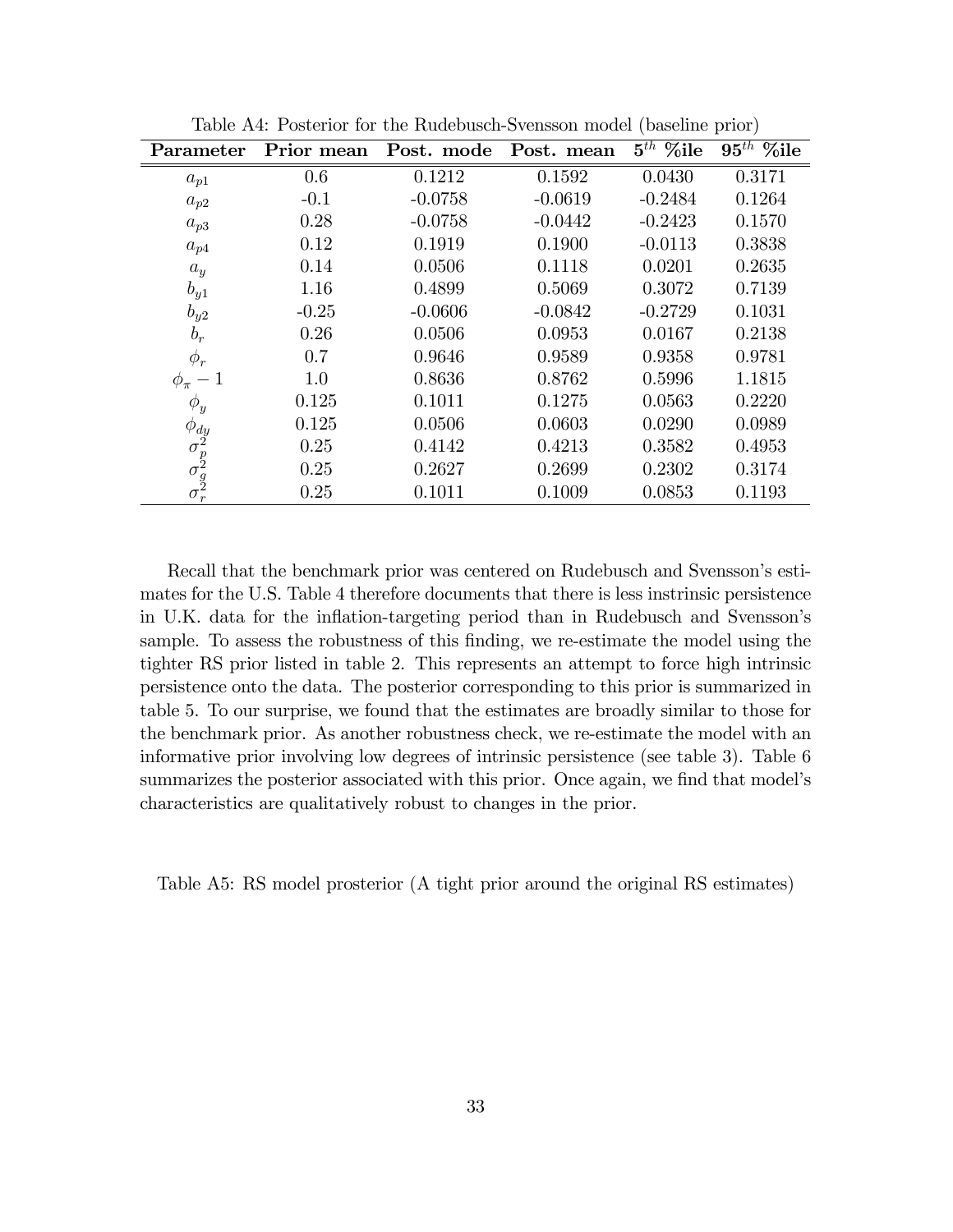| Parameter                                                                       | Prior mean | Post. mode | Post. mean | $\overline{5^{th}$ %ile | $\overline{95^{th} \%}$ ile |
|---------------------------------------------------------------------------------|------------|------------|------------|-------------------------|-----------------------------|
| $a_{p1}$                                                                        | 0.6        | 0.1212     | 0.1592     | 0.0430                  | 0.3171                      |
| $a_{p2}$                                                                        | $-0.1$     | $-0.0758$  | $-0.0619$  | $-0.2484$               | 0.1264                      |
| $a_{p3}$                                                                        | 0.28       | $-0.0758$  | $-0.0442$  | $-0.2423$               | 0.1570                      |
| $a_{p4}$                                                                        | 0.12       | 0.1919     | 0.1900     | $-0.0113$               | 0.3838                      |
| $a_y$                                                                           | 0.14       | 0.0506     | 0.1118     | 0.0201                  | 0.2635                      |
| $b_{y1}$                                                                        | 1.16       | 0.4899     | 0.5069     | 0.3072                  | 0.7139                      |
| $b_{y2}$                                                                        | $-0.25$    | $-0.0606$  | $-0.0842$  | $-0.2729$               | 0.1031                      |
| $b_r$                                                                           | 0.26       | 0.0506     | 0.0953     | 0.0167                  | 0.2138                      |
| $\phi_r$                                                                        | 0.7        | 0.9646     | 0.9589     | 0.9358                  | 0.9781                      |
| $\phi_{\pi}-1$                                                                  | 1.0        | 0.8636     | 0.8762     | 0.5996                  | 1.1815                      |
| $\phi_y$                                                                        | 0.125      | 0.1011     | 0.1275     | 0.0563                  | 0.2220                      |
|                                                                                 | 0.125      | 0.0506     | 0.0603     | 0.0290                  | 0.0989                      |
|                                                                                 | 0.25       | 0.4142     | 0.4213     | 0.3582                  | 0.4953                      |
| $\begin{array}{c} \phi_{dy} \ \sigma_p^2 \ \sigma_g^2 \ \sigma_r^2 \end{array}$ | 0.25       | 0.2627     | 0.2699     | 0.2302                  | 0.3174                      |
|                                                                                 | 0.25       | 0.1011     | 0.1009     | 0.0853                  | 0.1193                      |

Table A4: Posterior for the Rudebusch-Svensson model (baseline prior)

Recall that the benchmark prior was centered on Rudebusch and Svensson's esti-mates for the U.S. Table 4 therefore documents that there is less instrinsic persistence in U.K. data for the inflation-targeting period than in Rudebusch and Svensson's sample. To assess the robustness of this finding, we re-estimate the model using the tighter RS prior listed in table 2. This represents an attempt to force high intrinsic persistence onto the data. The posterior corresponding to this prior is summarized in table 5. To our surprise, we found that the estimates are broadly similar to those for the benchmark prior. As another robustness check, we re-estimate the model with an informative prior involving low degrees of intrinsic persistence (see table 3). Table 6 summarizes the posterior associated with this prior. Once again, we find that model's characteristics are qualitatively robust to changes in the prior.

Table A5: RS model prosterior (A tight prior around the original RS estimates)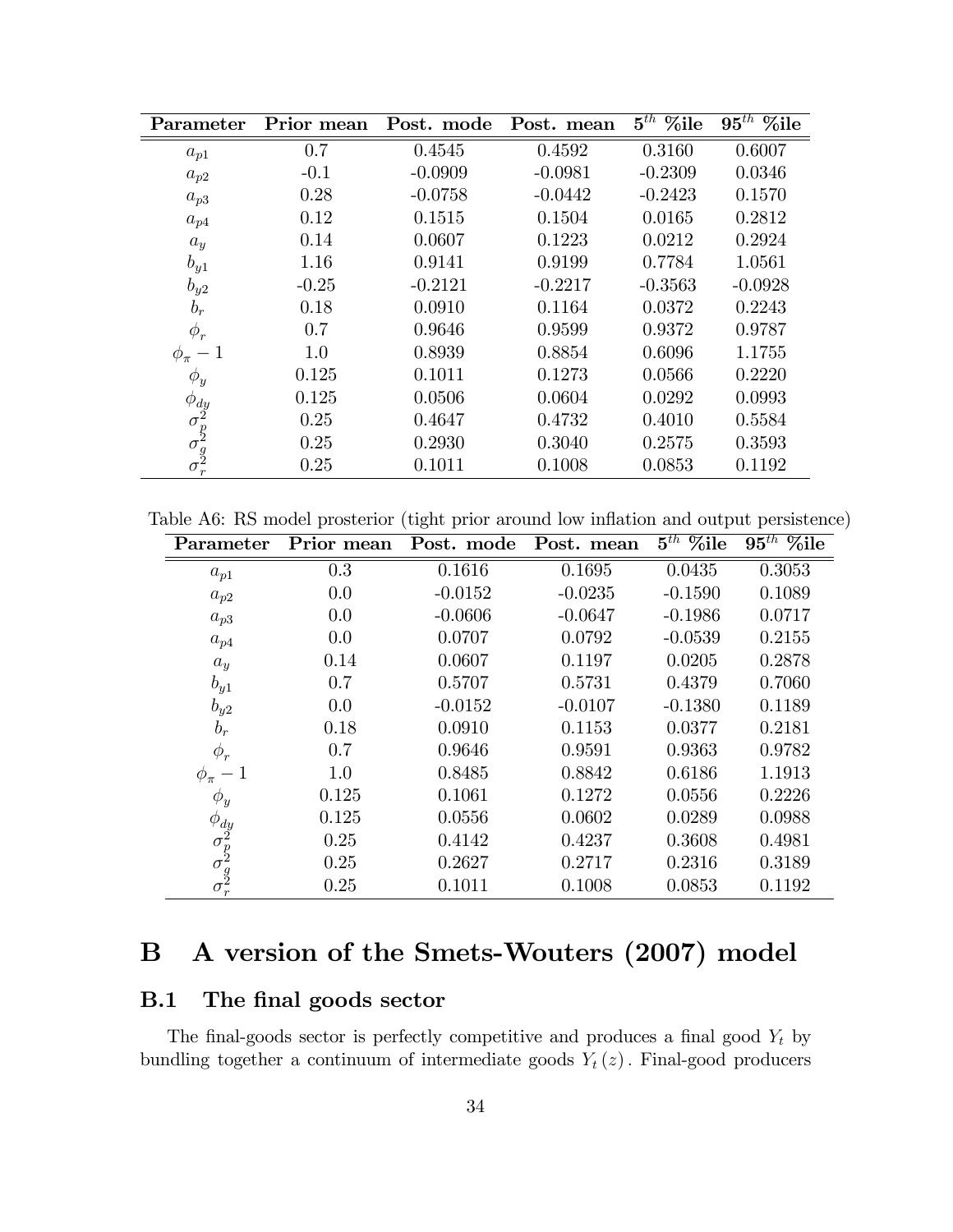| Parameter                                                                                    | Prior mean | Post. mode | Post. mean | $\overline{5^{th} \%}$ ile | $\overline{95}^{th}$ %ile |
|----------------------------------------------------------------------------------------------|------------|------------|------------|----------------------------|---------------------------|
| $a_{p1}$                                                                                     | 0.7        | 0.4545     | 0.4592     | 0.3160                     | 0.6007                    |
| $a_{p2}$                                                                                     | $-0.1$     | $-0.0909$  | $-0.0981$  | $-0.2309$                  | 0.0346                    |
| $a_{p3}$                                                                                     | 0.28       | $-0.0758$  | $-0.0442$  | $-0.2423$                  | 0.1570                    |
| $a_{p4}$                                                                                     | 0.12       | 0.1515     | 0.1504     | 0.0165                     | 0.2812                    |
| $a_y$                                                                                        | 0.14       | 0.0607     | 0.1223     | 0.0212                     | 0.2924                    |
| $b_{y1}$                                                                                     | 1.16       | 0.9141     | 0.9199     | 0.7784                     | 1.0561                    |
| $b_{y2}$                                                                                     | $-0.25$    | $-0.2121$  | $-0.2217$  | $-0.3563$                  | $-0.0928$                 |
| $b_r$                                                                                        | 0.18       | 0.0910     | 0.1164     | 0.0372                     | 0.2243                    |
| $\phi_r$                                                                                     | 0.7        | 0.9646     | 0.9599     | 0.9372                     | 0.9787                    |
| $\phi_{\pi}-1$                                                                               | 1.0        | 0.8939     | 0.8854     | 0.6096                     | 1.1755                    |
| $\phi_y$                                                                                     | 0.125      | 0.1011     | 0.1273     | 0.0566                     | 0.2220                    |
|                                                                                              | 0.125      | 0.0506     | 0.0604     | 0.0292                     | 0.0993                    |
|                                                                                              | 0.25       | 0.4647     | 0.4732     | 0.4010                     | 0.5584                    |
| $\begin{array}{c} \phi_{dy} \ \sigma^2_p \ \sigma^2_p \ \sigma^2_s \ \sigma^2_r \end{array}$ | 0.25       | 0.2930     | 0.3040     | 0.2575                     | 0.3593                    |
|                                                                                              | 0.25       | 0.1011     | 0.1008     | 0.0853                     | 0.1192                    |

Table A6: RS model prosterior (tight prior around low inflation and output persistence)

| Parameter                                                                       | Prior mean | Post. mode | Post. mean | $\overline{5^{th}$ %ile | $\overline{95^{th}$ %ile |
|---------------------------------------------------------------------------------|------------|------------|------------|-------------------------|--------------------------|
| $a_{p1}$                                                                        | 0.3        | 0.1616     | 0.1695     | 0.0435                  | 0.3053                   |
| $a_{p2}$                                                                        | 0.0        | $-0.0152$  | $-0.0235$  | $-0.1590$               | 0.1089                   |
| $a_{p3}$                                                                        | 0.0        | $-0.0606$  | $-0.0647$  | $-0.1986$               | 0.0717                   |
| $a_{p4}$                                                                        | 0.0        | 0.0707     | 0.0792     | $-0.0539$               | 0.2155                   |
| $a_y$                                                                           | 0.14       | 0.0607     | 0.1197     | 0.0205                  | 0.2878                   |
| $b_{y1}$                                                                        | 0.7        | 0.5707     | 0.5731     | 0.4379                  | 0.7060                   |
| $b_{y2}$                                                                        | 0.0        | $-0.0152$  | $-0.0107$  | $-0.1380$               | 0.1189                   |
| $b_r$                                                                           | 0.18       | 0.0910     | 0.1153     | 0.0377                  | 0.2181                   |
| $\phi_r$                                                                        | 0.7        | 0.9646     | 0.9591     | 0.9363                  | 0.9782                   |
| $\phi_{\pi}-1$                                                                  | 1.0        | 0.8485     | 0.8842     | 0.6186                  | 1.1913                   |
| $\phi_y$                                                                        | 0.125      | 0.1061     | 0.1272     | 0.0556                  | 0.2226                   |
|                                                                                 | 0.125      | 0.0556     | 0.0602     | 0.0289                  | 0.0988                   |
|                                                                                 | 0.25       | 0.4142     | 0.4237     | 0.3608                  | 0.4981                   |
|                                                                                 | 0.25       | 0.2627     | 0.2717     | 0.2316                  | 0.3189                   |
| $\begin{array}{c} \phi_{dy}\\ \sigma_p^2\\ \sigma_g^2\\ \sigma_r^2 \end{array}$ | 0.25       | 0.1011     | 0.1008     | 0.0853                  | 0.1192                   |

# B A version of the Smets-Wouters (2007) model

## B.1 The final goods sector

The final-goods sector is perfectly competitive and produces a final good  $Y_t$  by bundling together a continuum of intermediate goods  $Y_t(z)$ . Final-good producers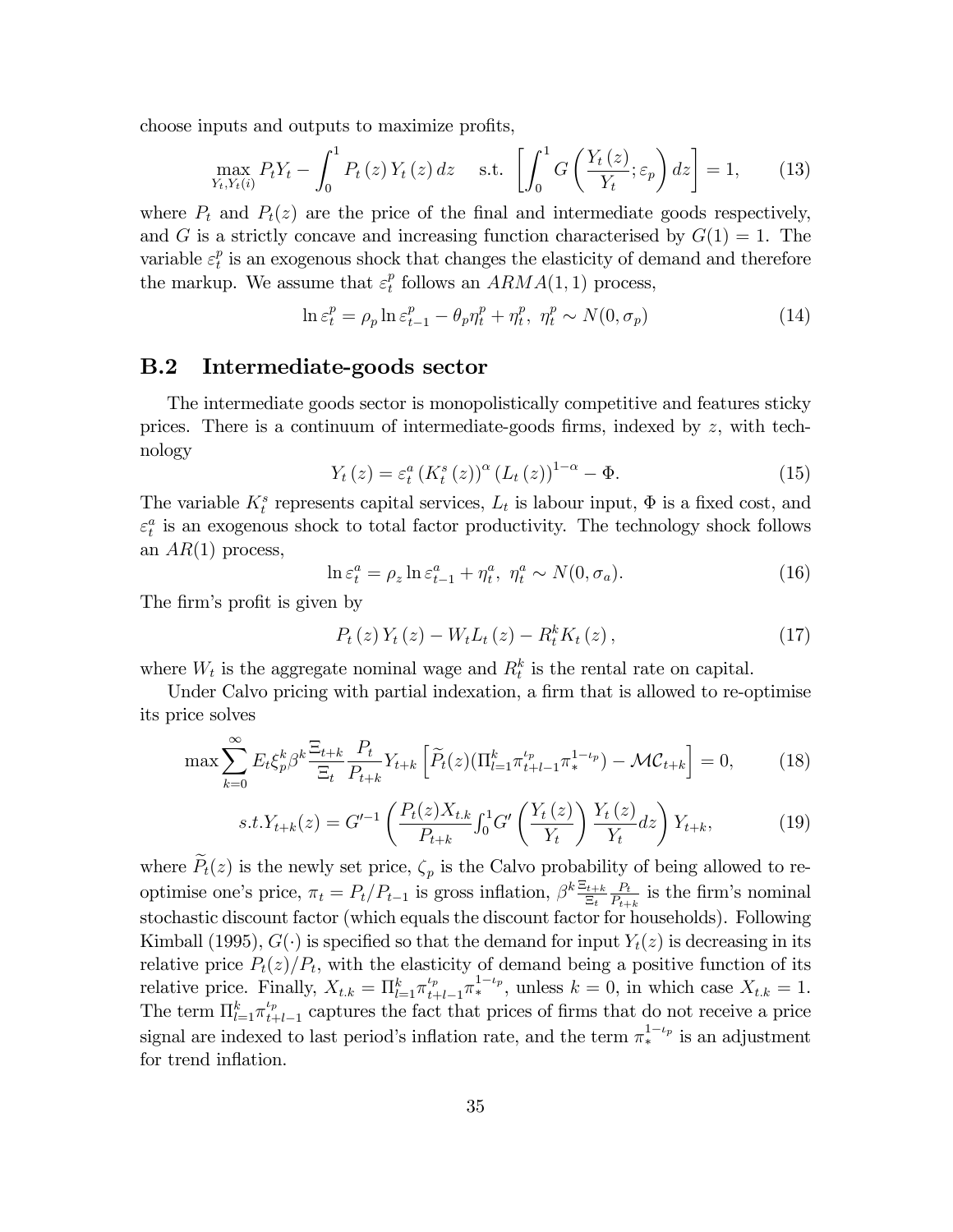choose inputs and outputs to maximize profits,

$$
\max_{Y_t, Y_t(i)} P_t Y_t - \int_0^1 P_t(z) Y_t(z) dz \quad \text{s.t.} \quad \left[ \int_0^1 G\left(\frac{Y_t(z)}{Y_t}; \varepsilon_p\right) dz \right] = 1,\tag{13}
$$

where  $P_t$  and  $P_t(z)$  are the price of the final and intermediate goods respectively, and G is a strictly concave and increasing function characterised by  $G(1) = 1$ . The variable  $\varepsilon_t^p$  $t<sub>t</sub><sup>p</sup>$  is an exogenous shock that changes the elasticity of demand and therefore the markup. We assume that  $\varepsilon_t^p$  $_t^p$  follows an  $ARMA(1, 1)$  process,

$$
\ln \varepsilon_t^p = \rho_p \ln \varepsilon_{t-1}^p - \theta_p \eta_t^p + \eta_t^p, \ \eta_t^p \sim N(0, \sigma_p) \tag{14}
$$

#### B.2 Intermediate-goods sector

The intermediate goods sector is monopolistically competitive and features sticky prices. There is a continuum of intermediate-goods firms, indexed by  $z$ , with technology

$$
Y_{t}(z) = \varepsilon_{t}^{a} (K_{t}^{s}(z))^{\alpha} (L_{t}(z))^{1-\alpha} - \Phi.
$$
 (15)

The variable  $K_t^s$  represents capital services,  $L_t$  is labour input,  $\Phi$  is a fixed cost, and  $\varepsilon_t^a$  is an exogenous shock to total factor productivity. The technology shock follows an  $AR(1)$  process,

$$
\ln \varepsilon_t^a = \rho_z \ln \varepsilon_{t-1}^a + \eta_t^a, \ \eta_t^a \sim N(0, \sigma_a). \tag{16}
$$

The firm's profit is given by

$$
P_{t}(z) Y_{t}(z) - W_{t} L_{t}(z) - R_{t}^{k} K_{t}(z), \qquad (17)
$$

where  $W_t$  is the aggregate nominal wage and  $R_t^k$  is the rental rate on capital.

Under Calvo pricing with partial indexation, a firm that is allowed to re-optimise its price solves

$$
\max \sum_{k=0}^{\infty} E_t \xi_p^k \beta^k \frac{\Xi_{t+k}}{\Xi_t} \frac{P_t}{P_{t+k}} Y_{t+k} \left[ \tilde{P}_t(z) (\Pi_{l=1}^k \pi_{t+l-1}^{t_p} \pi_*^{1-t_p}) - \mathcal{MC}_{t+k} \right] = 0, \tag{18}
$$

$$
s.t. Y_{t+k}(z) = G'^{-1}\left(\frac{P_t(z)X_{t,k}}{P_{t+k}}\int_0^1 G'\left(\frac{Y_t(z)}{Y_t}\right)\frac{Y_t(z)}{Y_t}dz\right)Y_{t+k},\tag{19}
$$

where  $P_t(z)$  is the newly set price,  $\zeta_p$  is the Calvo probability of being allowed to reoptimise one's price,  $\pi_t = P_t/P_{t-1}$  is gross inflation,  $\beta^k \frac{\Xi_{t+k}}{\Xi_t}$  $\Xi_t$  $P_t$  $\frac{P_t}{P_{t+k}}$  is the firm's nominal stochastic discount factor (which equals the discount factor for households). Following Kimball (1995),  $G(\cdot)$  is specified so that the demand for input  $Y_t(z)$  is decreasing in its relative price  $P_t(z)/P_t$ , with the elasticity of demand being a positive function of its relative price. Finally,  $X_{t,k} = \prod_{l=1}^{k} \pi_{t+l}^{\iota_p}$  $t_{t+l-1}^{(k)} \pi^{1-k_p}$ , unless  $k = 0$ , in which case  $X_{t,k} = 1$ . The term  $\prod_{l=1}^k \pi_{t\text{+}}^{\iota_p}$  $t_{t+l-1}$  captures the fact that prices of firms that do not receive a price signal are indexed to last period's inflation rate, and the term  $\pi^{1-\iota_p}_*$  is an adjustment for trend inflation.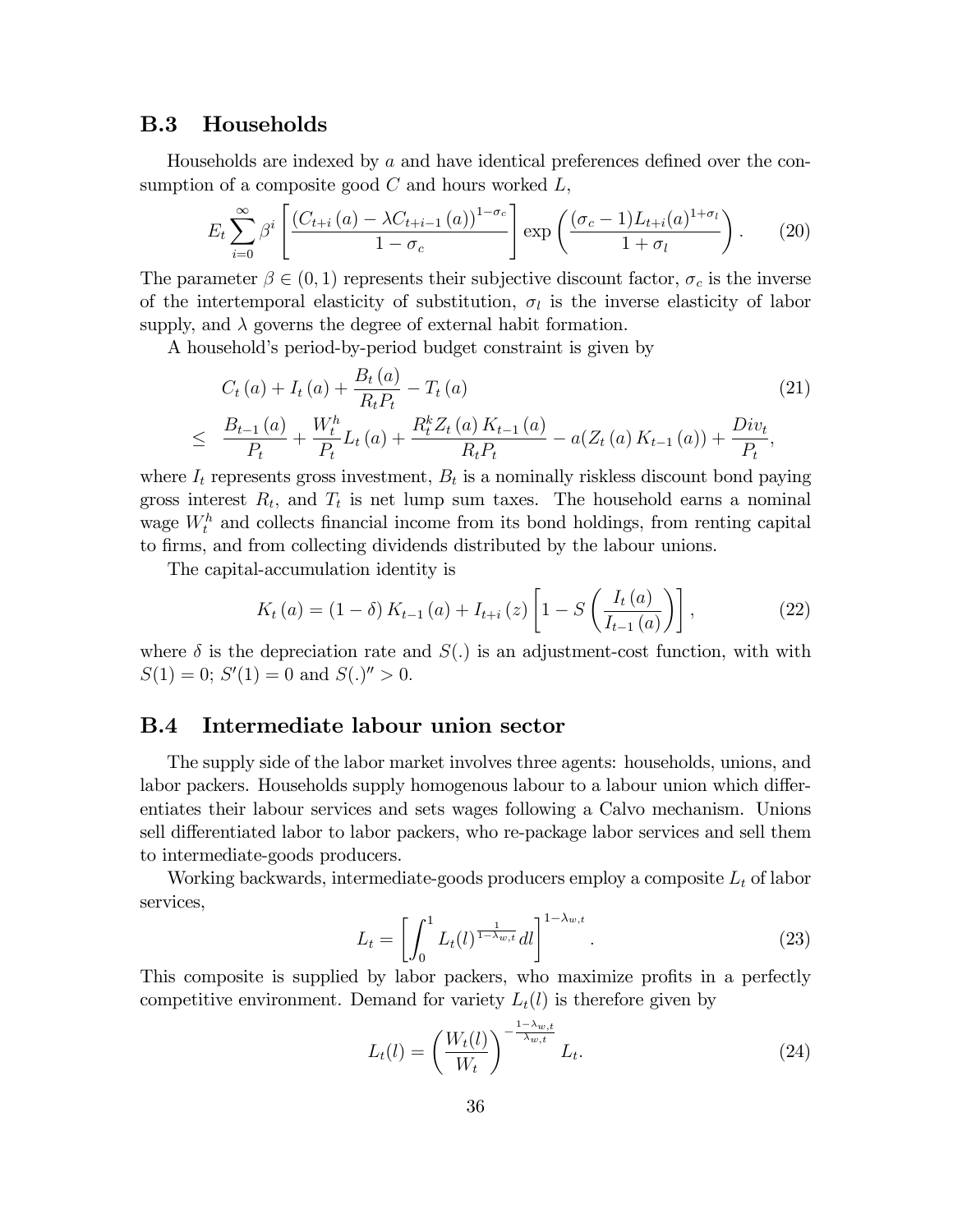#### B.3 Households

Households are indexed by  $\alpha$  and have identical preferences defined over the consumption of a composite good  $C$  and hours worked  $L$ ,

$$
E_t \sum_{i=0}^{\infty} \beta^i \left[ \frac{\left(C_{t+i}(a) - \lambda C_{t+i-1}(a)\right)^{1-\sigma_c}}{1-\sigma_c} \right] \exp\left(\frac{(\sigma_c - 1)L_{t+i}(a)^{1+\sigma_l}}{1+\sigma_l}\right). \tag{20}
$$

The parameter  $\beta \in (0,1)$  represents their subjective discount factor,  $\sigma_c$  is the inverse of the intertemporal elasticity of substitution,  $\sigma_l$  is the inverse elasticity of labor supply, and  $\lambda$  governs the degree of external habit formation.

A household's period-by-period budget constraint is given by

$$
C_{t}(a) + I_{t}(a) + \frac{B_{t}(a)}{R_{t}P_{t}} - T_{t}(a)
$$
\n
$$
\leq \frac{B_{t-1}(a)}{P_{t}} + \frac{W_{t}^{h}}{P_{t}}L_{t}(a) + \frac{R_{t}^{k}Z_{t}(a)K_{t-1}(a)}{R_{t}P_{t}} - a(Z_{t}(a)K_{t-1}(a)) + \frac{Div_{t}}{P_{t}},
$$
\n(21)

where  $I_t$  represents gross investment,  $B_t$  is a nominally riskless discount bond paying gross interest  $R_t$ , and  $T_t$  is net lump sum taxes. The household earns a nominal wage  $W_t^h$  and collects financial income from its bond holdings, from renting capital to firms, and from collecting dividends distributed by the labour unions.

The capital-accumulation identity is

$$
K_{t}(a) = (1 - \delta) K_{t-1}(a) + I_{t+i}(z) \left[ 1 - S\left(\frac{I_{t}(a)}{I_{t-1}(a)}\right) \right],
$$
 (22)

where  $\delta$  is the depreciation rate and  $S(.)$  is an adjustment-cost function, with with  $S(1) = 0$ ;  $S'(1) = 0$  and  $S(.)'' > 0$ .

#### B.4 Intermediate labour union sector

The supply side of the labor market involves three agents: households, unions, and labor packers. Households supply homogenous labour to a labour union which differentiates their labour services and sets wages following a Calvo mechanism. Unions sell differentiated labor to labor packers, who re-package labor services and sell them to intermediate-goods producers.

Working backwards, intermediate-goods producers employ a composite  $L_t$  of labor services,

$$
L_t = \left[ \int_0^1 L_t(l)^{\frac{1}{1-\lambda_{w,t}}} dl \right]^{1-\lambda_{w,t}}.
$$
\n(23)

This composite is supplied by labor packers, who maximize profits in a perfectly competitive environment. Demand for variety  $L_t(l)$  is therefore given by

$$
L_t(l) = \left(\frac{W_t(l)}{W_t}\right)^{-\frac{1-\lambda_{w,t}}{\lambda_{w,t}}} L_t.
$$
 (24)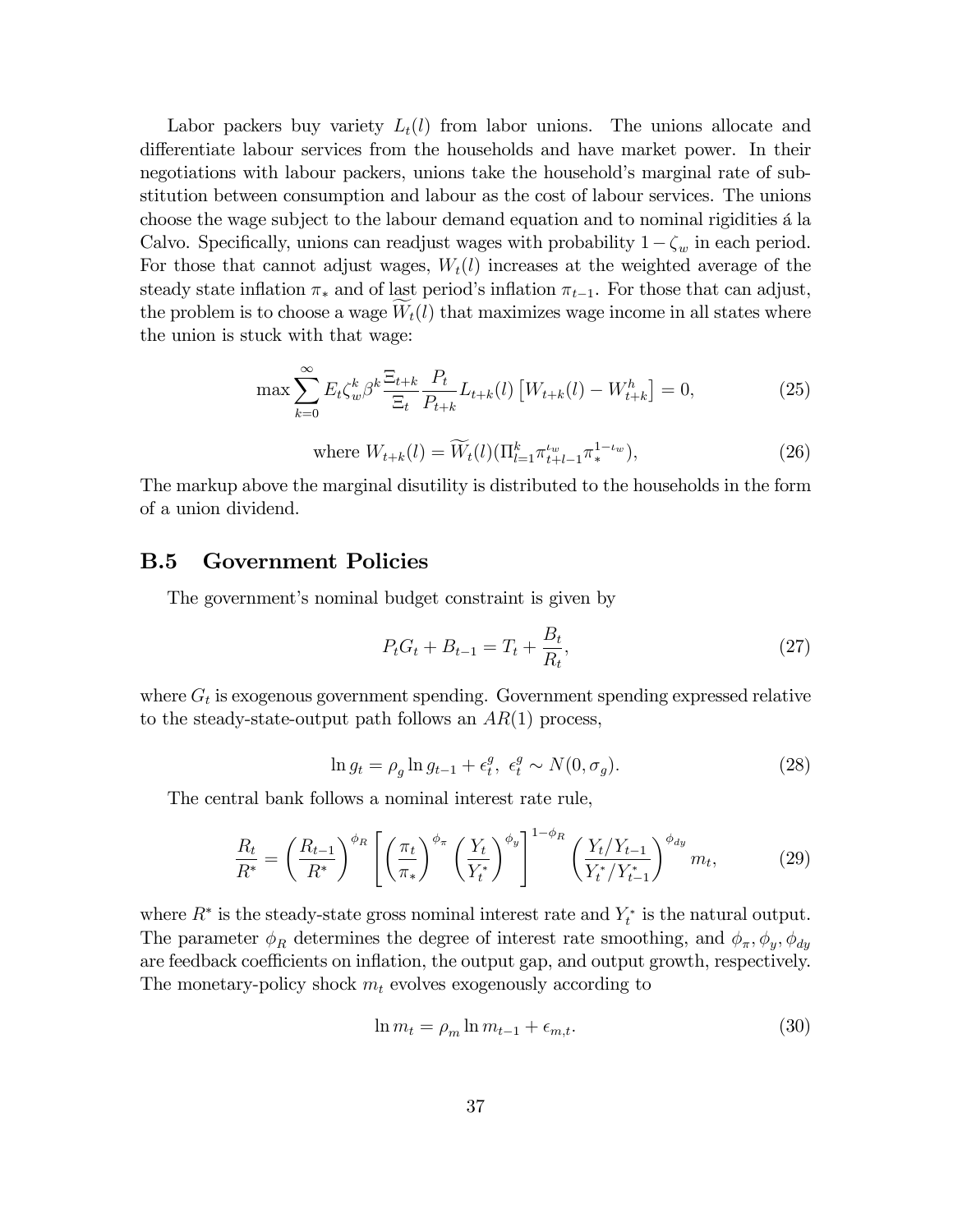Labor packers buy variety  $L_t(l)$  from labor unions. The unions allocate and differentiate labour services from the households and have market power. In their negotiations with labour packers, unions take the household's marginal rate of substitution between consumption and labour as the cost of labour services. The unions choose the wage subject to the labour demand equation and to nominal rigidities a la Calvo. Specifically, unions can readjust wages with probability  $1-\zeta_w$  in each period. For those that cannot adjust wages,  $W_t(l)$  increases at the weighted average of the steady state inflation  $\pi_*$  and of last period's inflation  $\pi_{t-1}$ . For those that can adjust, the problem is to choose a wage  $W_t(l)$  that maximizes wage income in all states where the union is stuck with that wage:

$$
\max \sum_{k=0}^{\infty} E_t \zeta_w^k \beta^k \frac{\Xi_{t+k}}{\Xi_t} \frac{P_t}{P_{t+k}} L_{t+k}(l) \left[ W_{t+k}(l) - W_{t+k}^h \right] = 0, \tag{25}
$$

where 
$$
W_{t+k}(l) = \widetilde{W}_t(l) (\Pi_{l=1}^k \pi_{t+l-1}^{w} \pi_*^{1-\iota_w}),
$$
 (26)

The markup above the marginal disutility is distributed to the households in the form of a union dividend.

## B.5 Government Policies

The government's nominal budget constraint is given by

$$
P_t G_t + B_{t-1} = T_t + \frac{B_t}{R_t},\tag{27}
$$

where  $G_t$  is exogenous government spending. Government spending expressed relative to the steady-state-output path follows an  $AR(1)$  process,

$$
\ln g_t = \rho_g \ln g_{t-1} + \epsilon_t^g, \ \epsilon_t^g \sim N(0, \sigma_g). \tag{28}
$$

The central bank follows a nominal interest rate rule,

$$
\frac{R_t}{R^*} = \left(\frac{R_{t-1}}{R^*}\right)^{\phi_R} \left[ \left(\frac{\pi_t}{\pi_*}\right)^{\phi_\pi} \left(\frac{Y_t}{Y_t^*}\right)^{\phi_y} \right]^{1-\phi_R} \left(\frac{Y_t/Y_{t-1}}{Y_t^*/Y_{t-1}^*}\right)^{\phi_{dy}} m_t, \tag{29}
$$

where  $R^*$  is the steady-state gross nominal interest rate and  $Y_t^*$  is the natural output. The parameter  $\phi_R$  determines the degree of interest rate smoothing, and  $\phi_\pi$ ,  $\phi_y$ ,  $\phi_{dy}$ are feedback coefficients on inflation, the output gap, and output growth, respectively. The monetary-policy shock  $m_t$  evolves exogenously according to

$$
\ln m_t = \rho_m \ln m_{t-1} + \epsilon_{m,t}.\tag{30}
$$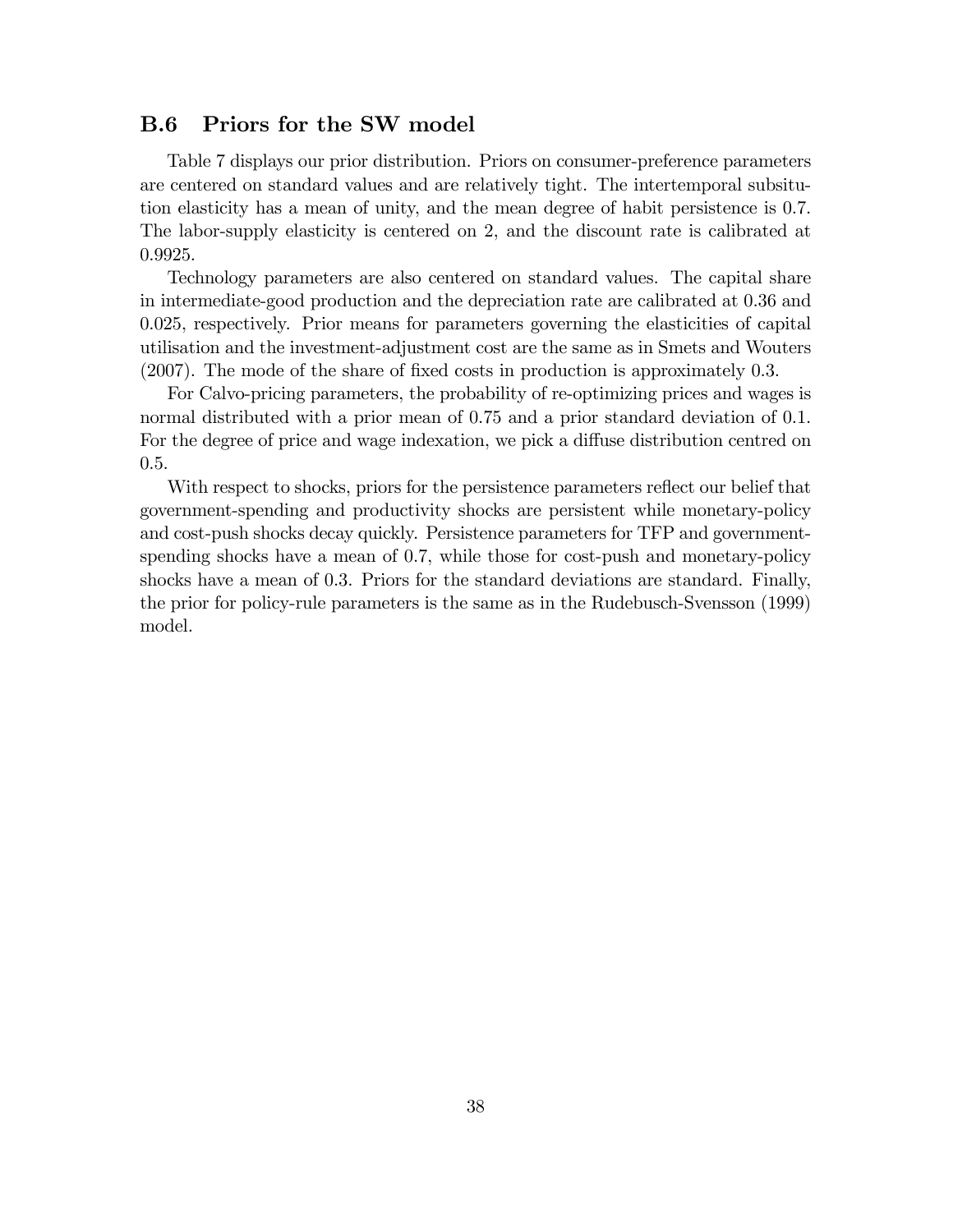#### B.6 Priors for the SW model

Table 7 displays our prior distribution. Priors on consumer-preference parameters are centered on standard values and are relatively tight. The intertemporal subsitution elasticity has a mean of unity, and the mean degree of habit persistence is 0.7. The labor-supply elasticity is centered on 2, and the discount rate is calibrated at 0.9925.

Technology parameters are also centered on standard values. The capital share in intermediate-good production and the depreciation rate are calibrated at 0.36 and 0.025, respectively. Prior means for parameters governing the elasticities of capital utilisation and the investment-adjustment cost are the same as in Smets and Wouters (2007). The mode of the share of Öxed costs in production is approximately 0.3.

For Calvo-pricing parameters, the probability of re-optimizing prices and wages is normal distributed with a prior mean of 0.75 and a prior standard deviation of 0.1. For the degree of price and wage indexation, we pick a diffuse distribution centred on 0.5.

With respect to shocks, priors for the persistence parameters reflect our belief that government-spending and productivity shocks are persistent while monetary-policy and cost-push shocks decay quickly. Persistence parameters for TFP and governmentspending shocks have a mean of 0.7, while those for cost-push and monetary-policy shocks have a mean of 0.3. Priors for the standard deviations are standard. Finally, the prior for policy-rule parameters is the same as in the Rudebusch-Svensson (1999) model.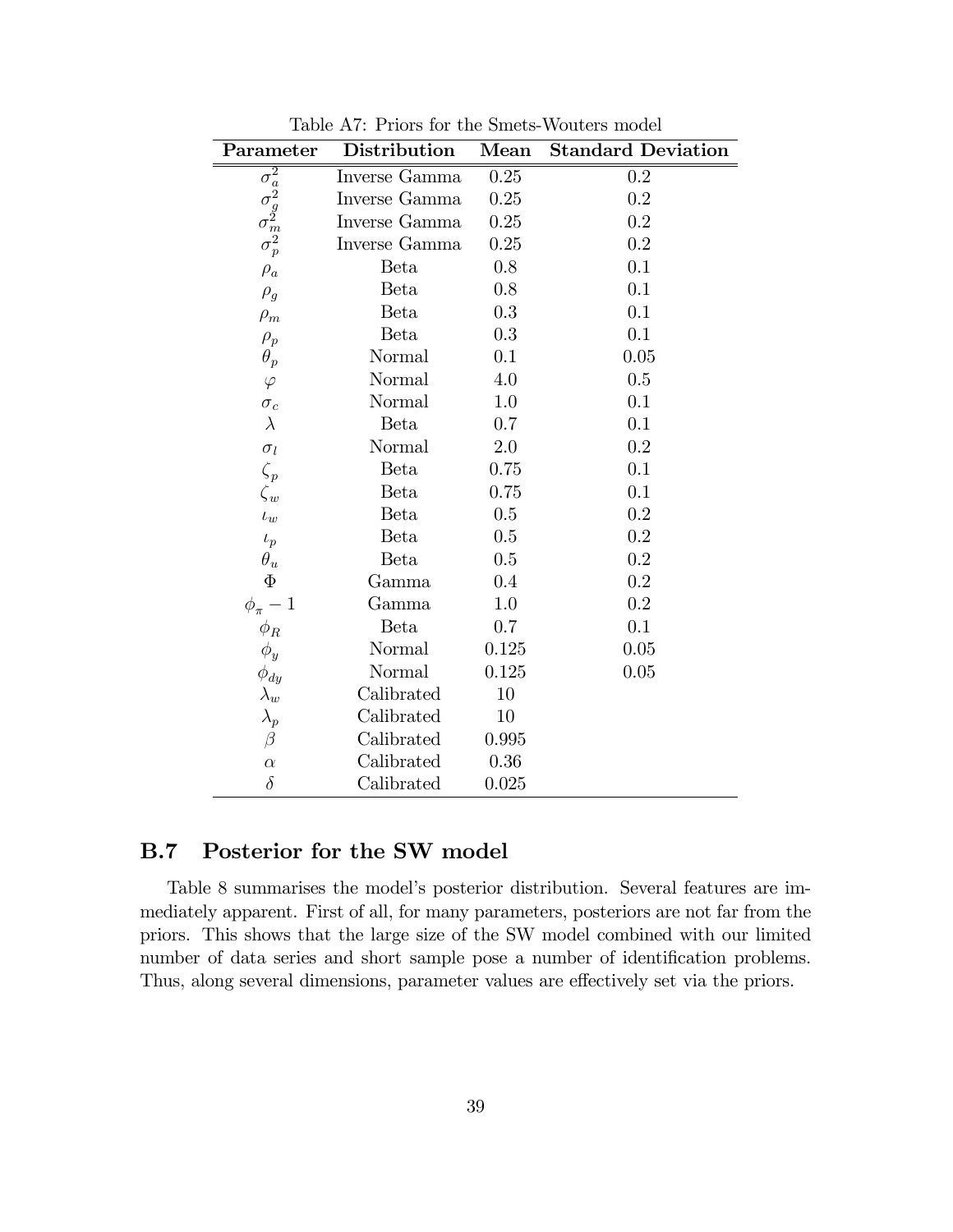| Parameter                                                    | Distribution  | Mean      | <b>Standard Deviation</b> |
|--------------------------------------------------------------|---------------|-----------|---------------------------|
|                                                              | Inverse Gamma | 0.25      | 0.2                       |
|                                                              | Inverse Gamma | 0.25      | 0.2                       |
|                                                              | Inverse Gamma | 0.25      | 0.2                       |
| $\sigma_a^2$<br>$\sigma_g^2$<br>$\sigma_m^2$<br>$\sigma_p^2$ | Inverse Gamma | 0.25      | 0.2                       |
| $\rho_a$                                                     | <b>Beta</b>   | 0.8       | 0.1                       |
| $\rho_g$                                                     | Beta          | 0.8       | 0.1                       |
| $\rho_m$                                                     | Beta          | $\rm 0.3$ | 0.1                       |
| $\rho_p$                                                     | <b>Beta</b>   | 0.3       | 0.1                       |
| $\theta_p$                                                   | Normal        | 0.1       | 0.05                      |
| $\varphi$                                                    | Normal        | 4.0       | 0.5                       |
| $\sigma_c$                                                   | Normal        | 1.0       | 0.1                       |
| $\lambda$                                                    | <b>Beta</b>   | 0.7       | 0.1                       |
| $\sigma_l$                                                   | Normal        | 2.0       | 0.2                       |
| $\zeta_p$                                                    | <b>Beta</b>   | 0.75      | 0.1                       |
| $\zeta_w$                                                    | <b>Beta</b>   | 0.75      | 0.1                       |
| $\iota_w$                                                    | <b>Beta</b>   | 0.5       | 0.2                       |
| $\iota_p$                                                    | <b>Beta</b>   | 0.5       | 0.2                       |
| $\theta_u$                                                   | <b>Beta</b>   | 0.5       | 0.2                       |
| $\Phi$                                                       | Gamma         | 0.4       | 0.2                       |
| $\phi_{\pi}-1$                                               | Gamma         | 1.0       | 0.2                       |
| $\phi_R$                                                     | <b>Beta</b>   | 0.7       | 0.1                       |
| $\phi_y$                                                     | Normal        | 0.125     | 0.05                      |
| $\phi_{dy}$                                                  | Normal        | 0.125     | 0.05                      |
| $\lambda_w$                                                  | Calibrated    | 10        |                           |
| $\lambda_p$                                                  | Calibrated    | 10        |                           |
| $\beta$                                                      | Calibrated    | 0.995     |                           |
| $\alpha$                                                     | Calibrated    | 0.36      |                           |
| $\delta$                                                     | Calibrated    | 0.025     |                           |

Table A7: Priors for the Smets-Wouters model

## B.7 Posterior for the SW model

Table 8 summarises the model's posterior distribution. Several features are immediately apparent. First of all, for many parameters, posteriors are not far from the priors. This shows that the large size of the SW model combined with our limited number of data series and short sample pose a number of identification problems. Thus, along several dimensions, parameter values are effectively set via the priors.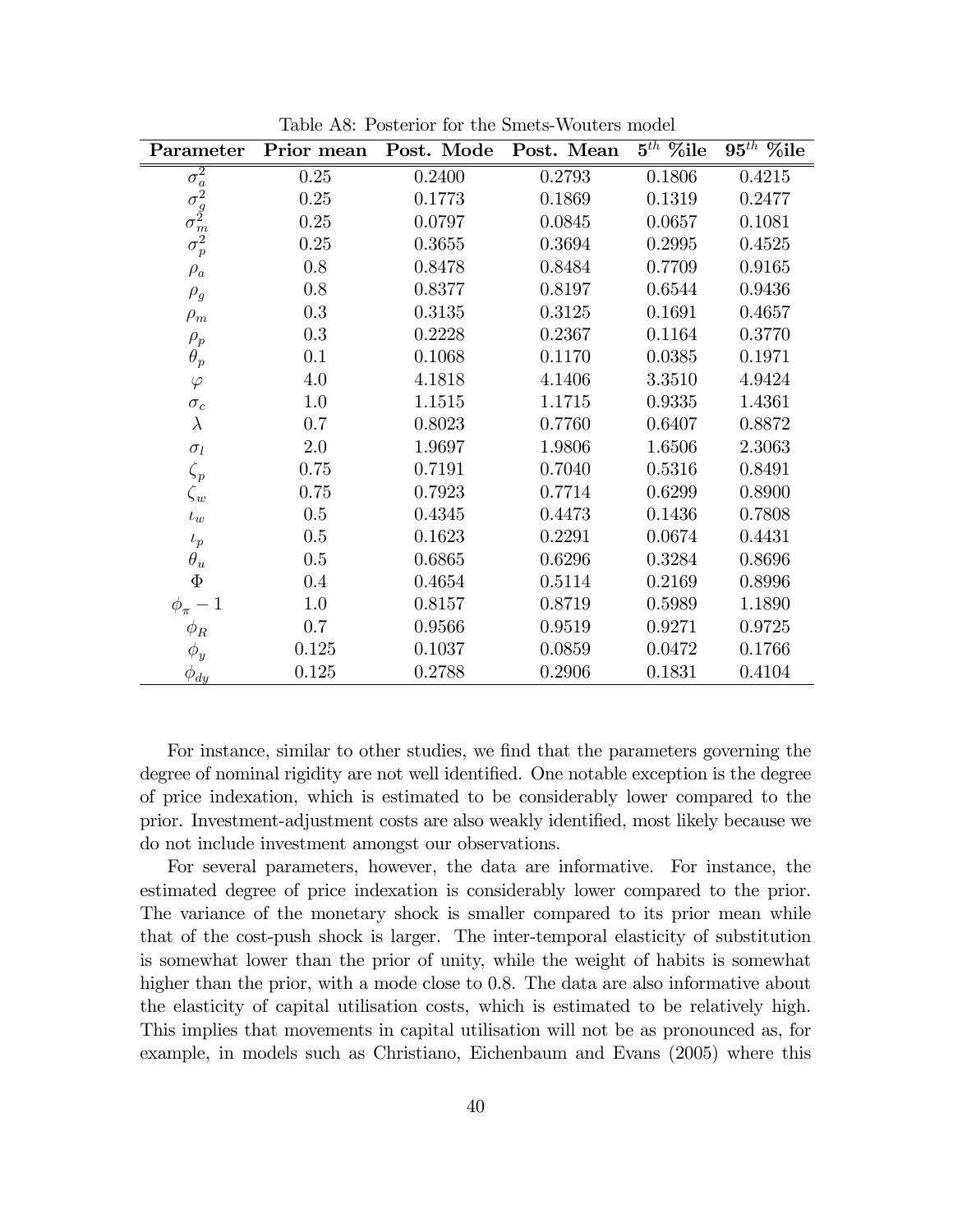| Parameter                                                    |         | Prior mean Post. Mode Post. Mean |        | $\overline{5}^{th}$ %ile | $\overline{{\bf 95}^{th}}$ %ile |
|--------------------------------------------------------------|---------|----------------------------------|--------|--------------------------|---------------------------------|
|                                                              | 0.25    | 0.2400                           | 0.2793 | 0.1806                   | 0.4215                          |
|                                                              | 0.25    | 0.1773                           | 0.1869 | 0.1319                   | 0.2477                          |
|                                                              | 0.25    | 0.0797                           | 0.0845 | 0.0657                   | 0.1081                          |
| $\sigma_a^2$<br>$\sigma_g^2$<br>$\sigma_m^2$<br>$\sigma_p^2$ | 0.25    | 0.3655                           | 0.3694 | 0.2995                   | 0.4525                          |
| $\rho_a$                                                     | $0.8\,$ | 0.8478                           | 0.8484 | 0.7709                   | 0.9165                          |
| $\rho_g$                                                     | 0.8     | 0.8377                           | 0.8197 | 0.6544                   | 0.9436                          |
| $\rho_m$                                                     | $0.3\,$ | 0.3135                           | 0.3125 | 0.1691                   | 0.4657                          |
| $\rho_p$                                                     | $0.3\,$ | 0.2228                           | 0.2367 | 0.1164                   | 0.3770                          |
| $\theta_p$                                                   | 0.1     | 0.1068                           | 0.1170 | 0.0385                   | 0.1971                          |
| $\varphi$                                                    | 4.0     | 4.1818                           | 4.1406 | 3.3510                   | 4.9424                          |
| $\sigma_c$                                                   | 1.0     | 1.1515                           | 1.1715 | 0.9335                   | 1.4361                          |
| $\lambda$                                                    | 0.7     | 0.8023                           | 0.7760 | 0.6407                   | 0.8872                          |
| $\sigma_l$                                                   | 2.0     | 1.9697                           | 1.9806 | 1.6506                   | 2.3063                          |
| $\zeta_p$                                                    | 0.75    | 0.7191                           | 0.7040 | 0.5316                   | 0.8491                          |
| $\zeta_w$                                                    | 0.75    | 0.7923                           | 0.7714 | 0.6299                   | 0.8900                          |
| $\iota_w$                                                    | $0.5\,$ | 0.4345                           | 0.4473 | 0.1436                   | 0.7808                          |
| $\iota_p$                                                    | 0.5     | 0.1623                           | 0.2291 | 0.0674                   | 0.4431                          |
| $\theta_u$                                                   | 0.5     | 0.6865                           | 0.6296 | 0.3284                   | 0.8696                          |
| $\Phi$                                                       | 0.4     | 0.4654                           | 0.5114 | 0.2169                   | 0.8996                          |
| $\phi_\pi-1$                                                 | 1.0     | 0.8157                           | 0.8719 | 0.5989                   | 1.1890                          |
| $\phi_R$                                                     | 0.7     | 0.9566                           | 0.9519 | 0.9271                   | 0.9725                          |
| $\phi_y$                                                     | 0.125   | 0.1037                           | 0.0859 | 0.0472                   | 0.1766                          |
| $\phi_{\underline{dy}}$                                      | 0.125   | 0.2788                           | 0.2906 | 0.1831                   | 0.4104                          |

Table A8: Posterior for the Smets-Wouters model

For instance, similar to other studies, we find that the parameters governing the degree of nominal rigidity are not well identified. One notable exception is the degree of price indexation, which is estimated to be considerably lower compared to the prior. Investment-adjustment costs are also weakly identified, most likely because we do not include investment amongst our observations.

For several parameters, however, the data are informative. For instance, the estimated degree of price indexation is considerably lower compared to the prior. The variance of the monetary shock is smaller compared to its prior mean while that of the cost-push shock is larger. The inter-temporal elasticity of substitution is somewhat lower than the prior of unity, while the weight of habits is somewhat higher than the prior, with a mode close to 0.8. The data are also informative about the elasticity of capital utilisation costs, which is estimated to be relatively high. This implies that movements in capital utilisation will not be as pronounced as, for example, in models such as Christiano, Eichenbaum and Evans (2005) where this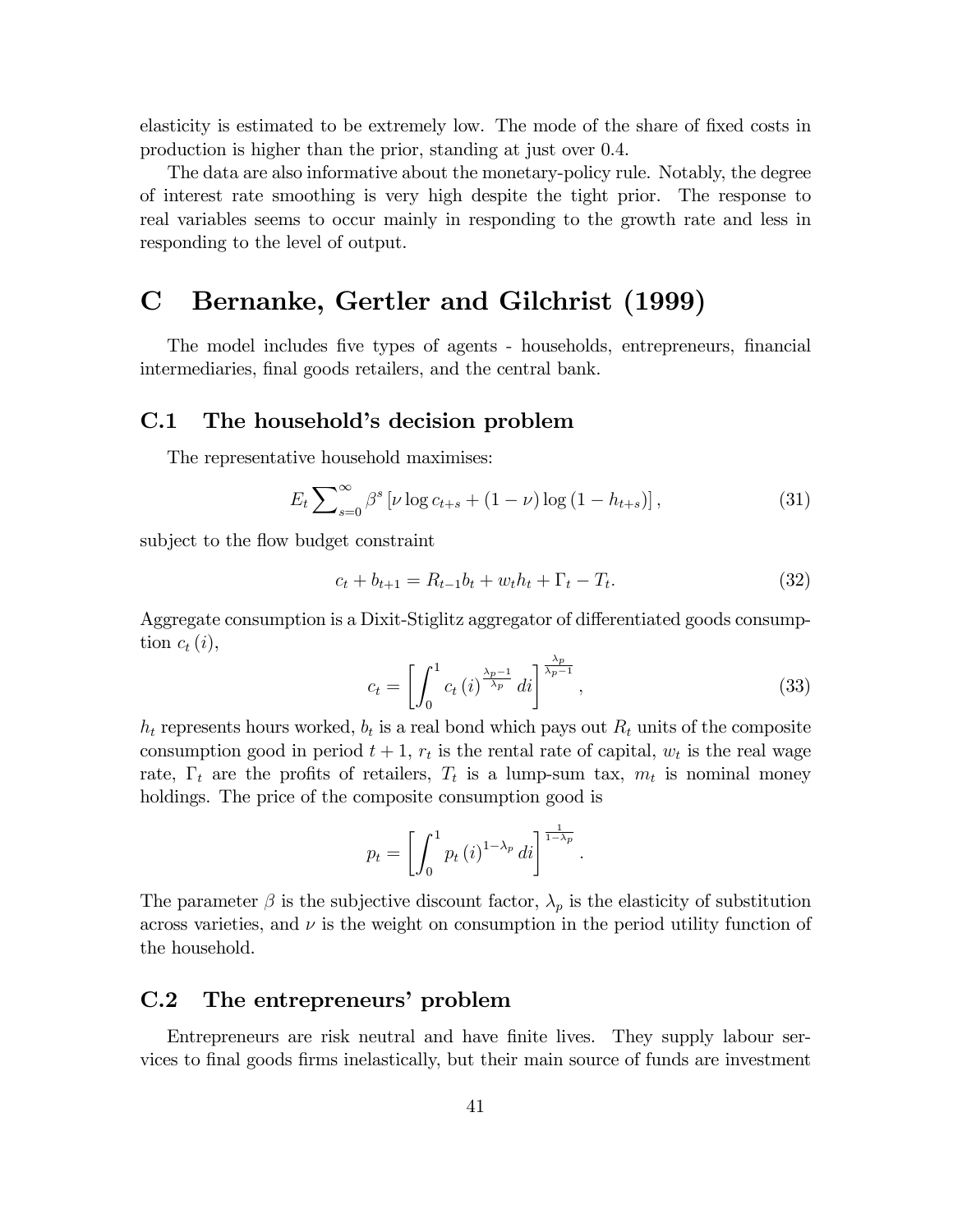elasticity is estimated to be extremely low. The mode of the share of fixed costs in production is higher than the prior, standing at just over 0.4.

The data are also informative about the monetary-policy rule. Notably, the degree of interest rate smoothing is very high despite the tight prior. The response to real variables seems to occur mainly in responding to the growth rate and less in responding to the level of output.

# C Bernanke, Gertler and Gilchrist (1999)

The model includes five types of agents - households, entrepreneurs, financial intermediaries, final goods retailers, and the central bank.

#### C.1 The household's decision problem

The representative household maximises:

$$
E_t \sum_{s=0}^{\infty} \beta^s \left[ \nu \log c_{t+s} + (1 - \nu) \log (1 - h_{t+s}) \right],\tag{31}
$$

subject to the flow budget constraint

$$
c_t + b_{t+1} = R_{t-1}b_t + w_t h_t + \Gamma_t - T_t.
$$
\n(32)

Aggregate consumption is a Dixit-Stiglitz aggregator of differentiated goods consumption  $c_t(i)$ ,

$$
c_{t} = \left[ \int_{0}^{1} c_{t} \left( i \right)^{\frac{\lambda_{p-1}}{\lambda_{p}}} di \right]^{\frac{\lambda_{p}}{\lambda_{p-1}}}, \tag{33}
$$

 $h_t$  represents hours worked,  $b_t$  is a real bond which pays out  $R_t$  units of the composite consumption good in period  $t + 1$ ,  $r_t$  is the rental rate of capital,  $w_t$  is the real wage rate,  $\Gamma_t$  are the profits of retailers,  $T_t$  is a lump-sum tax,  $m_t$  is nominal money holdings. The price of the composite consumption good is

$$
p_t = \left[ \int_0^1 p_t(i)^{1-\lambda_p} di \right]^{\frac{1}{1-\lambda_p}}.
$$

The parameter  $\beta$  is the subjective discount factor,  $\lambda_p$  is the elasticity of substitution across varieties, and  $\nu$  is the weight on consumption in the period utility function of the household.

## C.2 The entrepreneurs' problem

Entrepreneurs are risk neutral and have finite lives. They supply labour services to Önal goods Örms inelastically, but their main source of funds are investment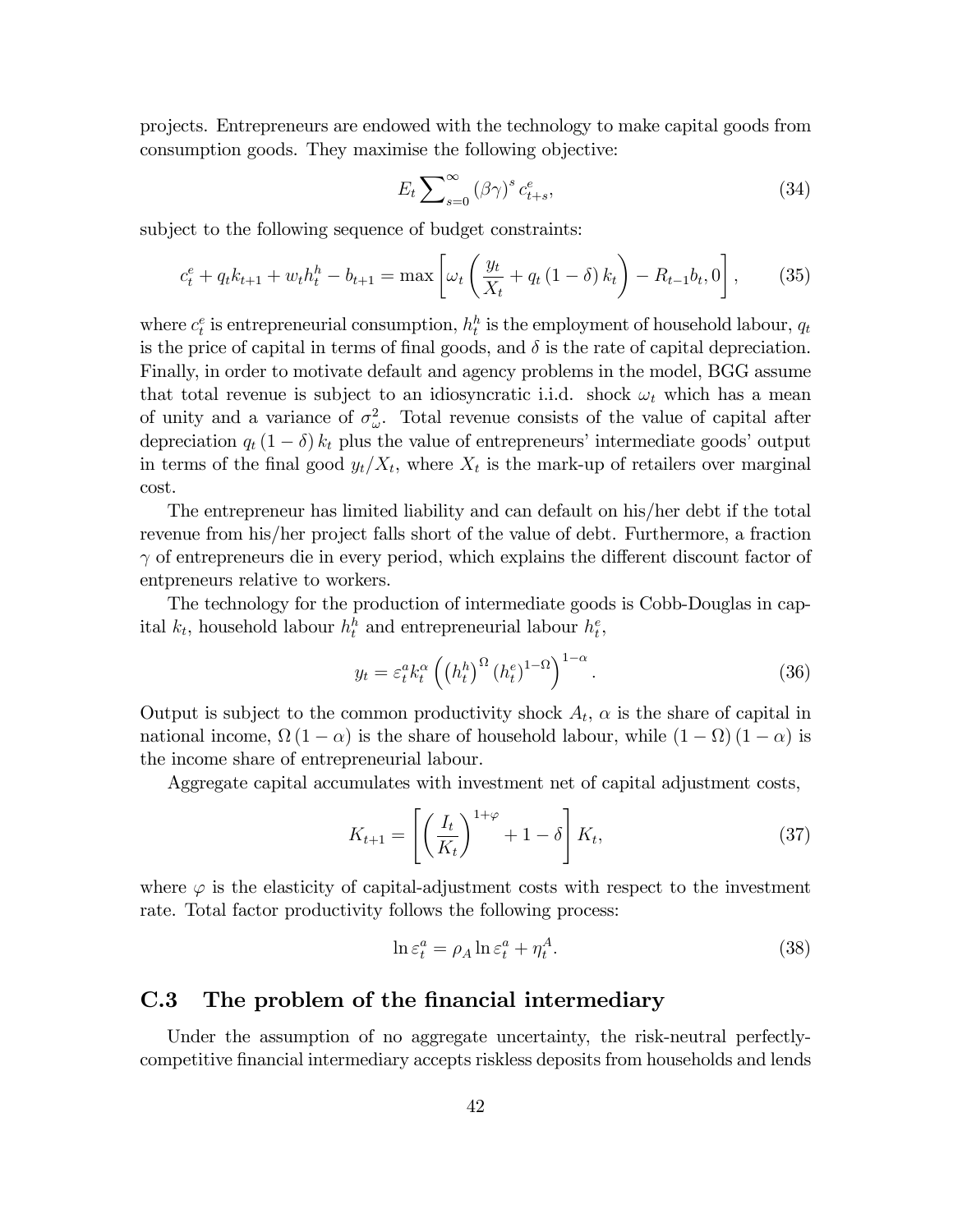projects. Entrepreneurs are endowed with the technology to make capital goods from consumption goods. They maximise the following objective:

$$
E_t \sum_{s=0}^{\infty} (\beta \gamma)^s c_{t+s}^e,\tag{34}
$$

subject to the following sequence of budget constraints:

$$
c_{t}^{e} + q_{t}k_{t+1} + w_{t}h_{t}^{h} - b_{t+1} = \max \left[ \omega_{t} \left( \frac{y_{t}}{X_{t}} + q_{t} \left( 1 - \delta \right) k_{t} \right) - R_{t-1}b_{t}, 0 \right], \tag{35}
$$

where  $c_t^e$  is entrepreneurial consumption,  $h_t^h$  is the employment of household labour,  $q_t$ is the price of capital in terms of final goods, and  $\delta$  is the rate of capital depreciation. Finally, in order to motivate default and agency problems in the model, BGG assume that total revenue is subject to an idiosyncratic i.i.d. shock  $\omega_t$  which has a mean of unity and a variance of  $\sigma_{\omega}^2$ . Total revenue consists of the value of capital after depreciation  $q_t (1 - \delta) k_t$  plus the value of entrepreneurs' intermediate goods' output in terms of the final good  $y_t/X_t$ , where  $X_t$  is the mark-up of retailers over marginal cost.

The entrepreneur has limited liability and can default on his/her debt if the total revenue from his/her project falls short of the value of debt. Furthermore, a fraction  $\gamma$  of entrepreneurs die in every period, which explains the different discount factor of entpreneurs relative to workers.

The technology for the production of intermediate goods is Cobb-Douglas in capital  $k_t$ , household labour  $h_t^h$  and entrepreneurial labour  $h_t^e$ ,

$$
y_t = \varepsilon_t^a k_t^\alpha \left( \left( h_t^h \right)^{\Omega} \left( h_t^e \right)^{1-\Omega} \right)^{1-\alpha} . \tag{36}
$$

Output is subject to the common productivity shock  $A_t$ ,  $\alpha$  is the share of capital in national income,  $\Omega(1-\alpha)$  is the share of household labour, while  $(1-\Omega)(1-\alpha)$  is the income share of entrepreneurial labour.

Aggregate capital accumulates with investment net of capital adjustment costs,

$$
K_{t+1} = \left[ \left( \frac{I_t}{K_t} \right)^{1+\varphi} + 1 - \delta \right] K_t,
$$
\n(37)

where  $\varphi$  is the elasticity of capital-adjustment costs with respect to the investment rate. Total factor productivity follows the following process:

$$
\ln \varepsilon_t^a = \rho_A \ln \varepsilon_t^a + \eta_t^A. \tag{38}
$$

#### C.3 The problem of the financial intermediary

Under the assumption of no aggregate uncertainty, the risk-neutral perfectlycompetitive Önancial intermediary accepts riskless deposits from households and lends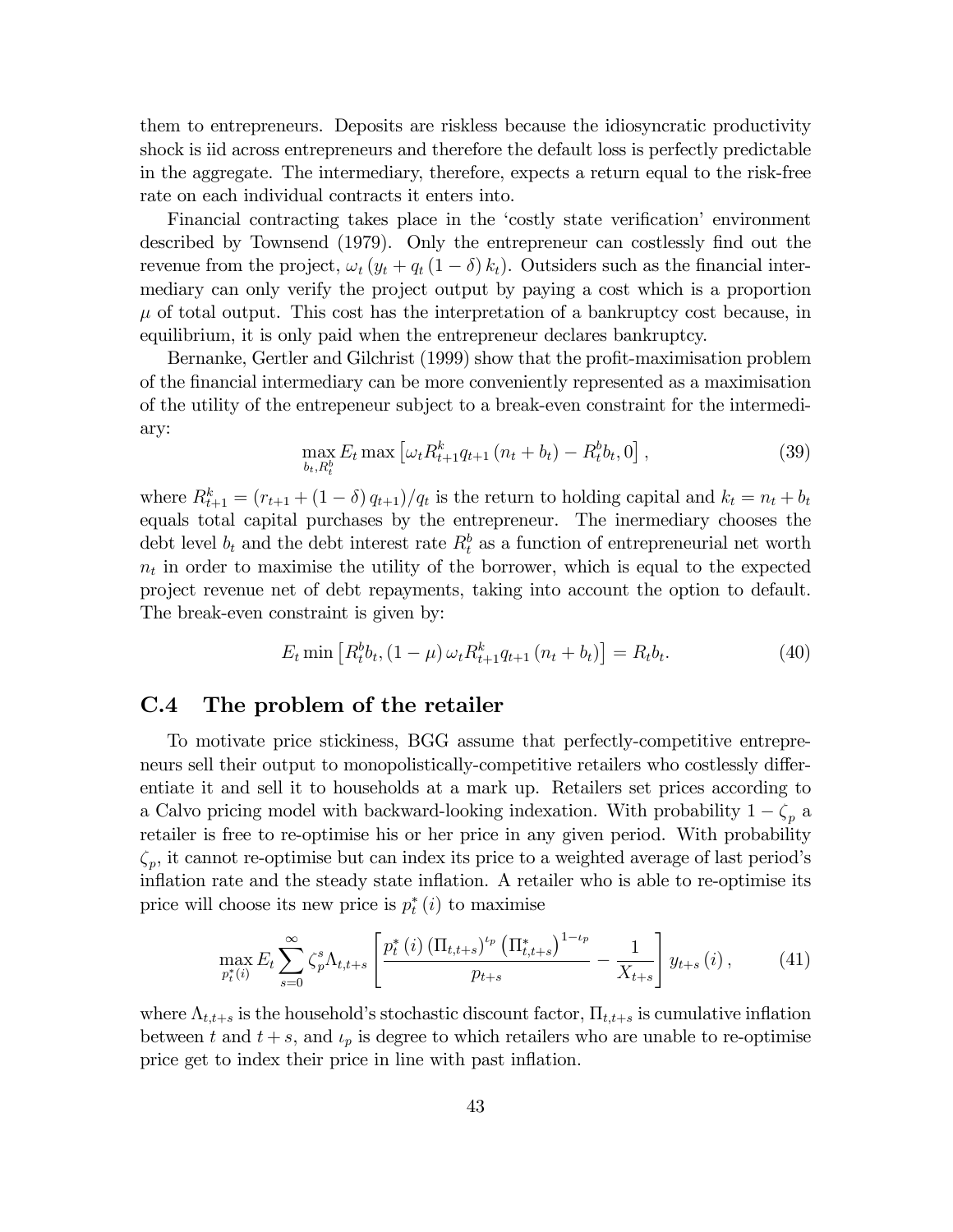them to entrepreneurs. Deposits are riskless because the idiosyncratic productivity shock is iid across entrepreneurs and therefore the default loss is perfectly predictable in the aggregate. The intermediary, therefore, expects a return equal to the risk-free rate on each individual contracts it enters into.

Financial contracting takes place in the 'costly state verification' environment described by Townsend (1979). Only the entrepreneur can costlessly find out the revenue from the project,  $\omega_t (y_t + q_t (1 - \delta) k_t)$ . Outsiders such as the financial intermediary can only verify the project output by paying a cost which is a proportion  $\mu$  of total output. This cost has the interpretation of a bankruptcy cost because, in equilibrium, it is only paid when the entrepreneur declares bankruptcy.

Bernanke, Gertler and Gilchrist (1999) show that the profit-maximisation problem of the Önancial intermediary can be more conveniently represented as a maximisation of the utility of the entrepeneur subject to a break-even constraint for the intermediary:

$$
\max_{b_t, R_t^b} E_t \max \left[ \omega_t R_{t+1}^k q_{t+1} \left( n_t + b_t \right) - R_t^b b_t, 0 \right], \tag{39}
$$

where  $R_{t+1}^k = (r_{t+1} + (1 - \delta) q_{t+1})/q_t$  is the return to holding capital and  $k_t = n_t + b_t$ equals total capital purchases by the entrepreneur. The inermediary chooses the debt level  $b_t$  and the debt interest rate  $R_t^b$  as a function of entrepreneurial net worth  $n_t$  in order to maximise the utility of the borrower, which is equal to the expected project revenue net of debt repayments, taking into account the option to default. The break-even constraint is given by:

$$
E_t \min \left[ R_t^b b_t, (1 - \mu) \omega_t R_{t+1}^k q_{t+1} (n_t + b_t) \right] = R_t b_t.
$$
 (40)

## C.4 The problem of the retailer

To motivate price stickiness, BGG assume that perfectly-competitive entrepreneurs sell their output to monopolistically-competitive retailers who costlessly differentiate it and sell it to households at a mark up. Retailers set prices according to a Calvo pricing model with backward-looking indexation. With probability  $1 - \zeta_p$  a retailer is free to re-optimise his or her price in any given period. With probability  $\zeta_p$ , it cannot re-optimise but can index its price to a weighted average of last period's inflation rate and the steady state inflation. A retailer who is able to re-optimise its price will choose its new price is  $p_t^*(i)$  to maximise

$$
\max_{p_t^*(i)} E_t \sum_{s=0}^{\infty} \zeta_p^s \Lambda_{t,t+s} \left[ \frac{p_t^*(i) \left( \Pi_{t,t+s} \right)^{\iota_p} \left( \Pi_{t,t+s}^* \right)^{1-\iota_p}}{p_{t+s}} - \frac{1}{X_{t+s}} \right] y_{t+s}(i) ,\tag{41}
$$

where  $\Lambda_{t,t+s}$  is the household's stochastic discount factor,  $\Pi_{t,t+s}$  is cumulative inflation between t and  $t + s$ , and  $u_p$  is degree to which retailers who are unable to re-optimise price get to index their price in line with past inflation.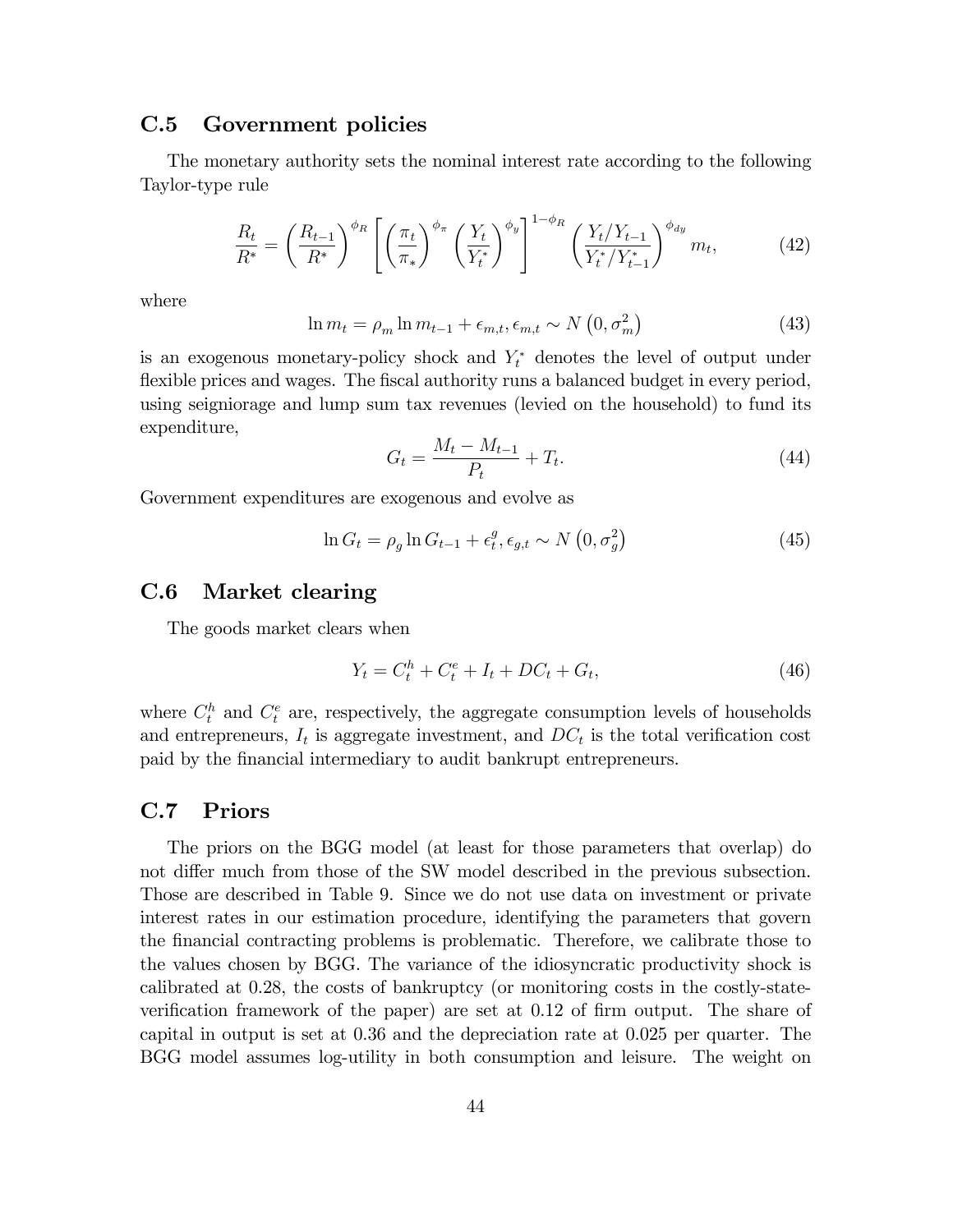#### C.5 Government policies

The monetary authority sets the nominal interest rate according to the following Taylor-type rule

$$
\frac{R_t}{R^*} = \left(\frac{R_{t-1}}{R^*}\right)^{\phi_R} \left[ \left(\frac{\pi_t}{\pi_*}\right)^{\phi_\pi} \left(\frac{Y_t}{Y_t^*}\right)^{\phi_y} \right]^{1-\phi_R} \left(\frac{Y_t/Y_{t-1}}{Y_t^*/Y_{t-1}^*}\right)^{\phi_{dy}} m_t, \tag{42}
$$

where

$$
\ln m_t = \rho_m \ln m_{t-1} + \epsilon_{m,t}, \epsilon_{m,t} \sim N\left(0, \sigma_m^2\right) \tag{43}
$$

is an exogenous monetary-policy shock and  $Y_t^*$  denotes the level of output under flexible prices and wages. The fiscal authority runs a balanced budget in every period, using seigniorage and lump sum tax revenues (levied on the household) to fund its expenditure,

$$
G_t = \frac{M_t - M_{t-1}}{P_t} + T_t.
$$
\n(44)

Government expenditures are exogenous and evolve as

$$
\ln G_t = \rho_g \ln G_{t-1} + \epsilon_t^g, \epsilon_{g,t} \sim N\left(0, \sigma_g^2\right) \tag{45}
$$

#### C.6 Market clearing

The goods market clears when

$$
Y_t = C_t^h + C_t^e + I_t + DC_t + G_t, \tag{46}
$$

where  $C_t^h$  and  $C_t^e$  are, respectively, the aggregate consumption levels of households and entrepreneurs,  $I_t$  is aggregate investment, and  $DC_t$  is the total verification cost paid by the Önancial intermediary to audit bankrupt entrepreneurs.

#### C.7 Priors

The priors on the BGG model (at least for those parameters that overlap) do not differ much from those of the SW model described in the previous subsection. Those are described in Table 9. Since we do not use data on investment or private interest rates in our estimation procedure, identifying the parameters that govern the Önancial contracting problems is problematic. Therefore, we calibrate those to the values chosen by BGG. The variance of the idiosyncratic productivity shock is calibrated at 0.28, the costs of bankruptcy (or monitoring costs in the costly-stateverification framework of the paper) are set at  $0.12$  of firm output. The share of capital in output is set at 0.36 and the depreciation rate at 0.025 per quarter. The BGG model assumes log-utility in both consumption and leisure. The weight on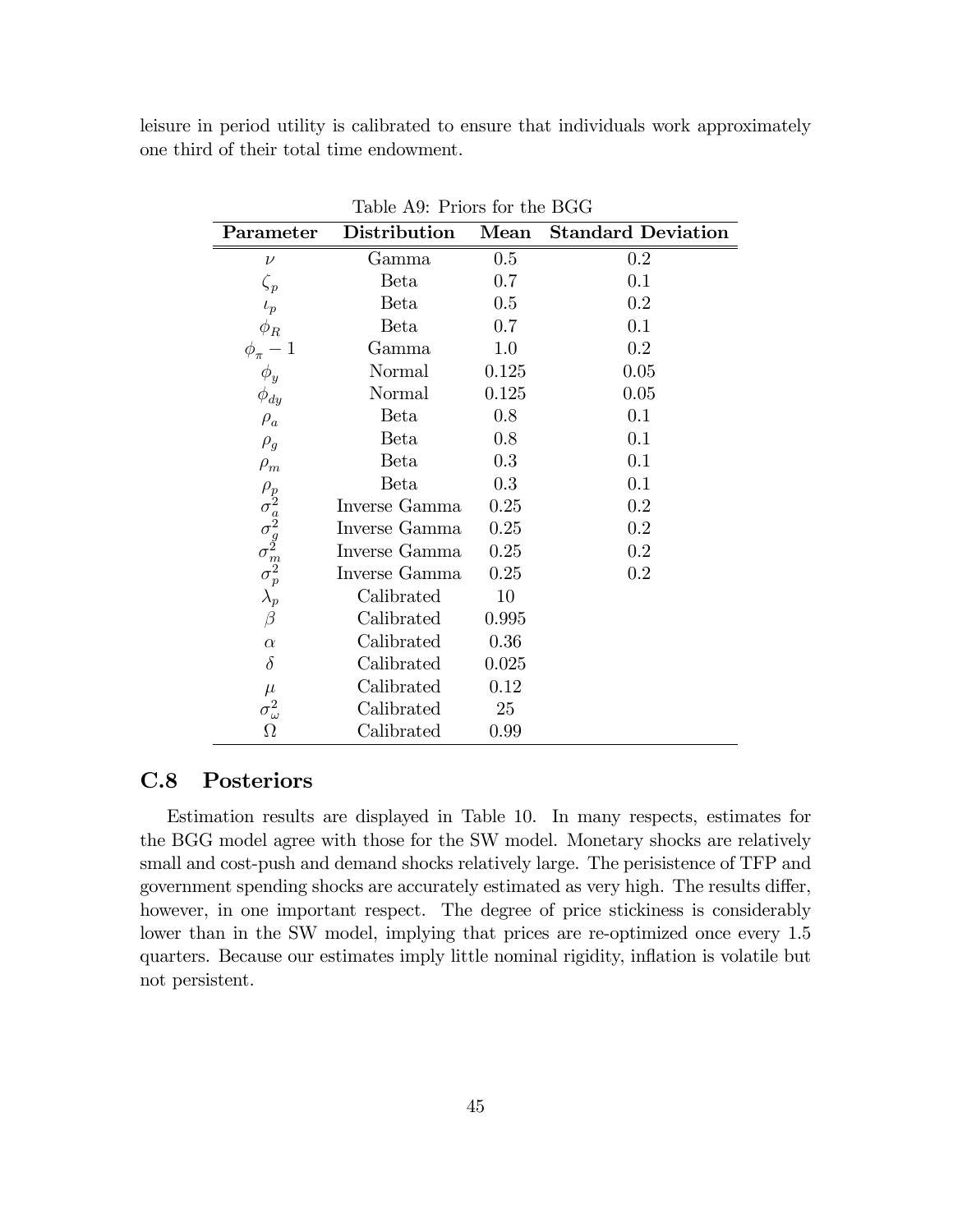leisure in period utility is calibrated to ensure that individuals work approximately one third of their total time endowment.

|                                                                                                            | Table A9: Priors for the BGG |       |                           |  |  |
|------------------------------------------------------------------------------------------------------------|------------------------------|-------|---------------------------|--|--|
| Parameter                                                                                                  | <b>Distribution</b>          | Mean  | <b>Standard Deviation</b> |  |  |
| $\nu$                                                                                                      | Gamma                        | 0.5   | 0.2                       |  |  |
| $\zeta_p$                                                                                                  | Beta                         | 0.7   | 0.1                       |  |  |
| $\iota_p$                                                                                                  | Beta                         | 0.5   | 0.2                       |  |  |
| $\phi_R$                                                                                                   | Beta                         | 0.7   | 0.1                       |  |  |
| $\phi_{\pi}-1$                                                                                             | Gamma                        | 1.0   | 0.2                       |  |  |
| $\phi_y$                                                                                                   | Normal                       | 0.125 | 0.05                      |  |  |
| $\phi_{dy}$                                                                                                | Normal                       | 0.125 | 0.05                      |  |  |
| $\rho_a$                                                                                                   | <b>Beta</b>                  | 0.8   | 0.1                       |  |  |
| $\rho_g$                                                                                                   | Beta                         | 0.8   | 0.1                       |  |  |
| $\rho_m$                                                                                                   | <b>Beta</b>                  | 0.3   | 0.1                       |  |  |
|                                                                                                            | Beta                         | 0.3   | 0.1                       |  |  |
| $\begin{array}{c} \rho_p \\ \sigma_a^2 \\ \sigma_g^2 \\ \sigma_m^2 \\ \sigma_p^2 \\ \lambda_p \end{array}$ | Inverse Gamma                | 0.25  | 0.2                       |  |  |
|                                                                                                            | Inverse Gamma                | 0.25  | 0.2                       |  |  |
|                                                                                                            | Inverse Gamma                | 0.25  | 0.2                       |  |  |
|                                                                                                            | Inverse Gamma                | 0.25  | 0.2                       |  |  |
|                                                                                                            | Calibrated                   | 10    |                           |  |  |
| $\beta$                                                                                                    | Calibrated                   | 0.995 |                           |  |  |
| $\alpha$                                                                                                   | Calibrated                   | 0.36  |                           |  |  |
| $\delta$                                                                                                   | Calibrated                   | 0.025 |                           |  |  |
| $\mu$                                                                                                      | Calibrated                   | 0.12  |                           |  |  |
| $\sigma_{\omega}^2$                                                                                        | Calibrated                   | 25    |                           |  |  |
| $\Omega$                                                                                                   | Calibrated                   | 0.99  |                           |  |  |

Table A9: Priors for the BGG

## C.8 Posteriors

Estimation results are displayed in Table 10. In many respects, estimates for the BGG model agree with those for the SW model. Monetary shocks are relatively small and cost-push and demand shocks relatively large. The perisistence of TFP and government spending shocks are accurately estimated as very high. The results differ, however, in one important respect. The degree of price stickiness is considerably lower than in the SW model, implying that prices are re-optimized once every 1.5 quarters. Because our estimates imply little nominal rigidity, inflation is volatile but not persistent.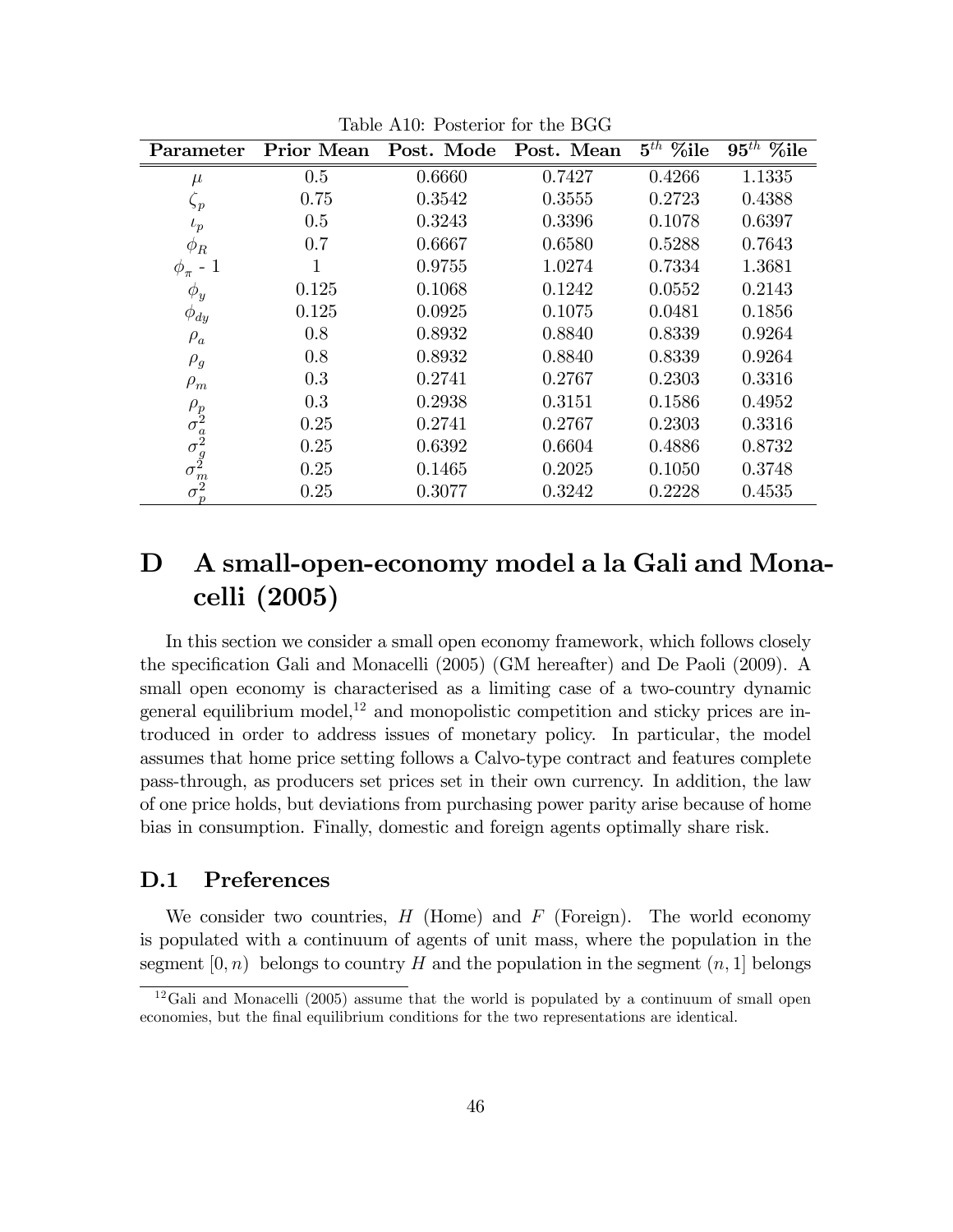| Parameter                                                                     | <b>Prior Mean</b> | Post. Mode | Post. Mean | $\overline{5^{th}$ %ile | $\overline{95^{th}}$ %ile |
|-------------------------------------------------------------------------------|-------------------|------------|------------|-------------------------|---------------------------|
| $\mu$                                                                         | 0.5               | 0.6660     | 0.7427     | 0.4266                  | 1.1335                    |
| $\varsigma_{\,p}$                                                             | 0.75              | 0.3542     | 0.3555     | 0.2723                  | 0.4388                    |
| $\iota_p$                                                                     | 0.5               | 0.3243     | 0.3396     | 0.1078                  | 0.6397                    |
| $\phi_R$                                                                      | 0.7               | 0.6667     | 0.6580     | 0.5288                  | 0.7643                    |
| $\phi_{\pi}$ - 1                                                              | 1                 | 0.9755     | 1.0274     | 0.7334                  | 1.3681                    |
| $\phi_y$                                                                      | 0.125             | 0.1068     | 0.1242     | 0.0552                  | 0.2143                    |
| $\phi_{dy}$                                                                   | 0.125             | 0.0925     | 0.1075     | 0.0481                  | 0.1856                    |
| $\rho_a$                                                                      | 0.8               | 0.8932     | 0.8840     | 0.8339                  | 0.9264                    |
| $\rho_g$                                                                      | 0.8               | 0.8932     | 0.8840     | 0.8339                  | 0.9264                    |
| $\rho_m$                                                                      | 0.3               | 0.2741     | 0.2767     | 0.2303                  | 0.3316                    |
|                                                                               | 0.3               | 0.2938     | 0.3151     | 0.1586                  | 0.4952                    |
|                                                                               | 0.25              | 0.2741     | 0.2767     | 0.2303                  | 0.3316                    |
|                                                                               | 0.25              | 0.6392     | 0.6604     | 0.4886                  | 0.8732                    |
| $\rho_p \over \sigma_a^2 \over \sigma_g^2 \over \sigma_m^2 \over \sigma_p^2}$ | 0.25              | 0.1465     | 0.2025     | 0.1050                  | 0.3748                    |
|                                                                               | 0.25              | 0.3077     | 0.3242     | 0.2228                  | 0.4535                    |

Table A10: Posterior for the BGG

# D A small-open-economy model a la Gali and Monacelli (2005)

In this section we consider a small open economy framework, which follows closely the specification Gali and Monacelli (2005) (GM hereafter) and De Paoli (2009). A small open economy is characterised as a limiting case of a two-country dynamic general equilibrium model,<sup>12</sup> and monopolistic competition and sticky prices are introduced in order to address issues of monetary policy. In particular, the model assumes that home price setting follows a Calvo-type contract and features complete pass-through, as producers set prices set in their own currency. In addition, the law of one price holds, but deviations from purchasing power parity arise because of home bias in consumption. Finally, domestic and foreign agents optimally share risk.

#### D.1 Preferences

We consider two countries,  $H$  (Home) and  $F$  (Foreign). The world economy is populated with a continuum of agents of unit mass, where the population in the segment  $(0, n)$  belongs to country H and the population in the segment  $(n, 1]$  belongs

<sup>&</sup>lt;sup>12</sup>Gali and Monacelli (2005) assume that the world is populated by a continuum of small open economies, but the Önal equilibrium conditions for the two representations are identical.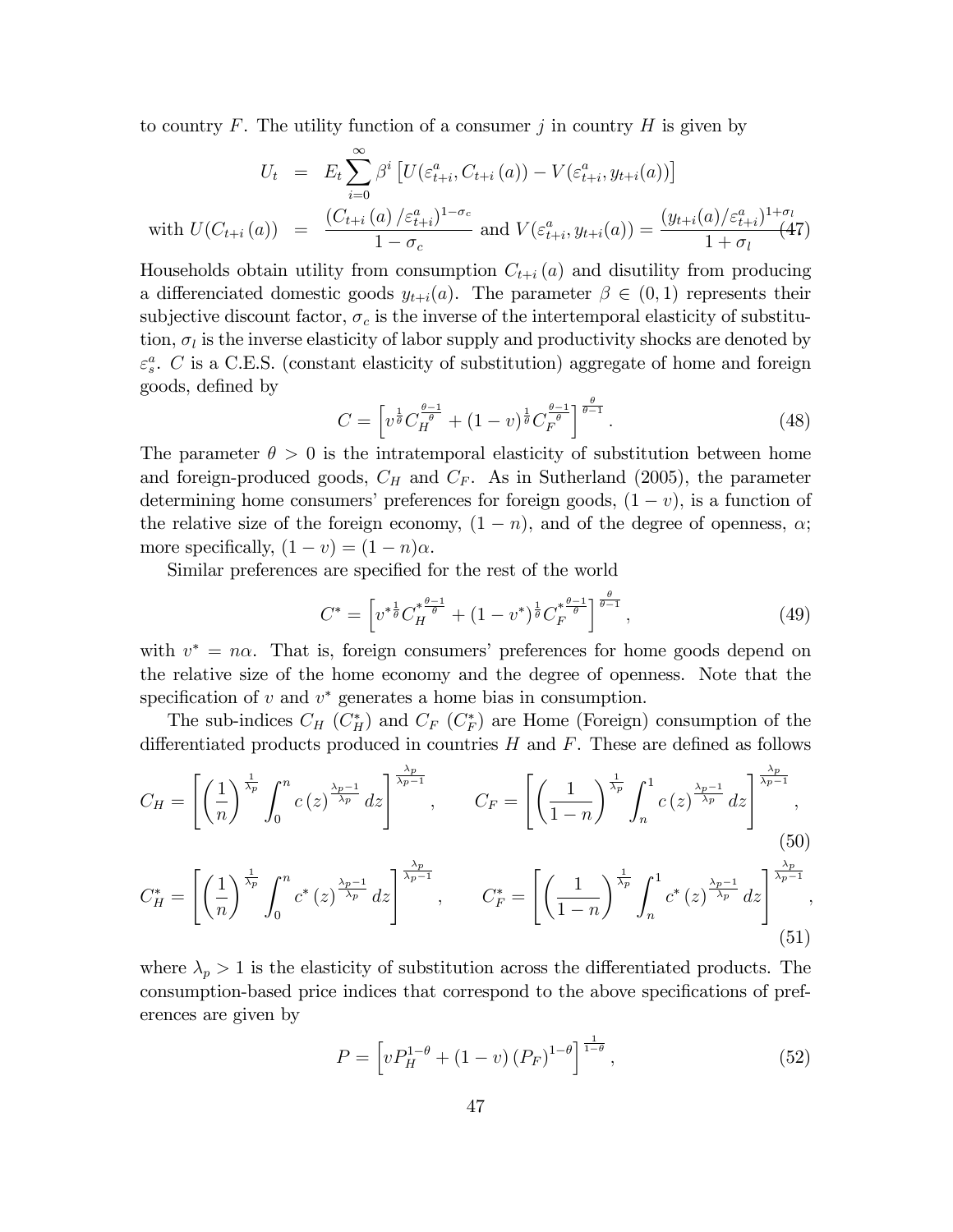to country F. The utility function of a consumer j in country H is given by

$$
U_t = E_t \sum_{i=0}^{\infty} \beta^i \left[ U(\varepsilon_{t+i}^a, C_{t+i}(a)) - V(\varepsilon_{t+i}^a, y_{t+i}(a)) \right]
$$
  
with 
$$
U(C_{t+i}(a)) = \frac{(C_{t+i}(a) / \varepsilon_{t+i}^a)^{1-\sigma_c}}{1-\sigma_c} \text{ and } V(\varepsilon_{t+i}^a, y_{t+i}(a)) = \frac{(y_{t+i}(a) / \varepsilon_{t+i}^a)^{1+\sigma_t}}{1+\sigma_t} (47)
$$

Households obtain utility from consumption  $C_{t+i}$  (*a*) and disutility from producing a differenciated domestic goods  $y_{t+i}(a)$ . The parameter  $\beta \in (0,1)$  represents their subjective discount factor,  $\sigma_c$  is the inverse of the intertemporal elasticity of substitution,  $\sigma_l$  is the inverse elasticity of labor supply and productivity shocks are denoted by  $\varepsilon_s^a$ . C is a C.E.S. (constant elasticity of substitution) aggregate of home and foreign goods, deÖned by

$$
C = \left[ v^{\frac{1}{\theta}} C_H^{\frac{\theta - 1}{\theta}} + (1 - v)^{\frac{1}{\theta}} C_F^{\frac{\theta - 1}{\theta}} \right]^{\frac{\theta}{\theta - 1}}.
$$
 (48)

The parameter  $\theta > 0$  is the intratemporal elasticity of substitution between home and foreign-produced goods,  $C_H$  and  $C_F$ . As in Sutherland (2005), the parameter determining home consumers' preferences for foreign goods,  $(1 - v)$ , is a function of the relative size of the foreign economy,  $(1 - n)$ , and of the degree of openness,  $\alpha$ ; more specifically,  $(1 - v) = (1 - n)\alpha$ .

Similar preferences are specified for the rest of the world

$$
C^* = \left[ v^* \frac{1}{\theta} C_H^{* \frac{\theta - 1}{\theta}} + (1 - v^*)^{\frac{1}{\theta}} C_F^{* \frac{\theta - 1}{\theta}} \right]^{\frac{\theta}{\theta - 1}},\tag{49}
$$

with  $v^* = n\alpha$ . That is, foreign consumers' preferences for home goods depend on the relative size of the home economy and the degree of openness. Note that the specification of  $v$  and  $v^*$  generates a home bias in consumption.

The sub-indices  $C_H$   $(C_H^*)$  and  $C_F$   $(C_F^*)$  are Home (Foreign) consumption of the differentiated products produced in countries  $H$  and  $F$ . These are defined as follows

$$
C_H = \left[ \left( \frac{1}{n} \right)^{\frac{1}{\lambda_p}} \int_0^n c(z)^{\frac{\lambda_p - 1}{\lambda_p}} dz \right]^{\frac{\lambda_p}{\lambda_p - 1}}, \qquad C_F = \left[ \left( \frac{1}{1 - n} \right)^{\frac{1}{\lambda_p}} \int_n^1 c(z)^{\frac{\lambda_p - 1}{\lambda_p}} dz \right]^{\frac{\lambda_p}{\lambda_p - 1}}, \tag{50}
$$

$$
C_H^* = \left[ \left( \frac{1}{n} \right)^{\frac{1}{\lambda_p}} \int_0^n c^* \left( z \right)^{\frac{\lambda_p - 1}{\lambda_p}} dz \right]^{\frac{\lambda_p}{\lambda_p - 1}}, \qquad C_F^* = \left[ \left( \frac{1}{1 - n} \right)^{\frac{1}{\lambda_p}} \int_n^1 c^* \left( z \right)^{\frac{\lambda_p - 1}{\lambda_p}} dz \right]^{\frac{\lambda_p}{\lambda_p - 1}}, \tag{51}
$$

where  $\lambda_p > 1$  is the elasticity of substitution across the differentiated products. The consumption-based price indices that correspond to the above specifications of preferences are given by

$$
P = \left[ v P_H^{1-\theta} + (1-v) (P_F)^{1-\theta} \right]^{\frac{1}{1-\theta}}, \tag{52}
$$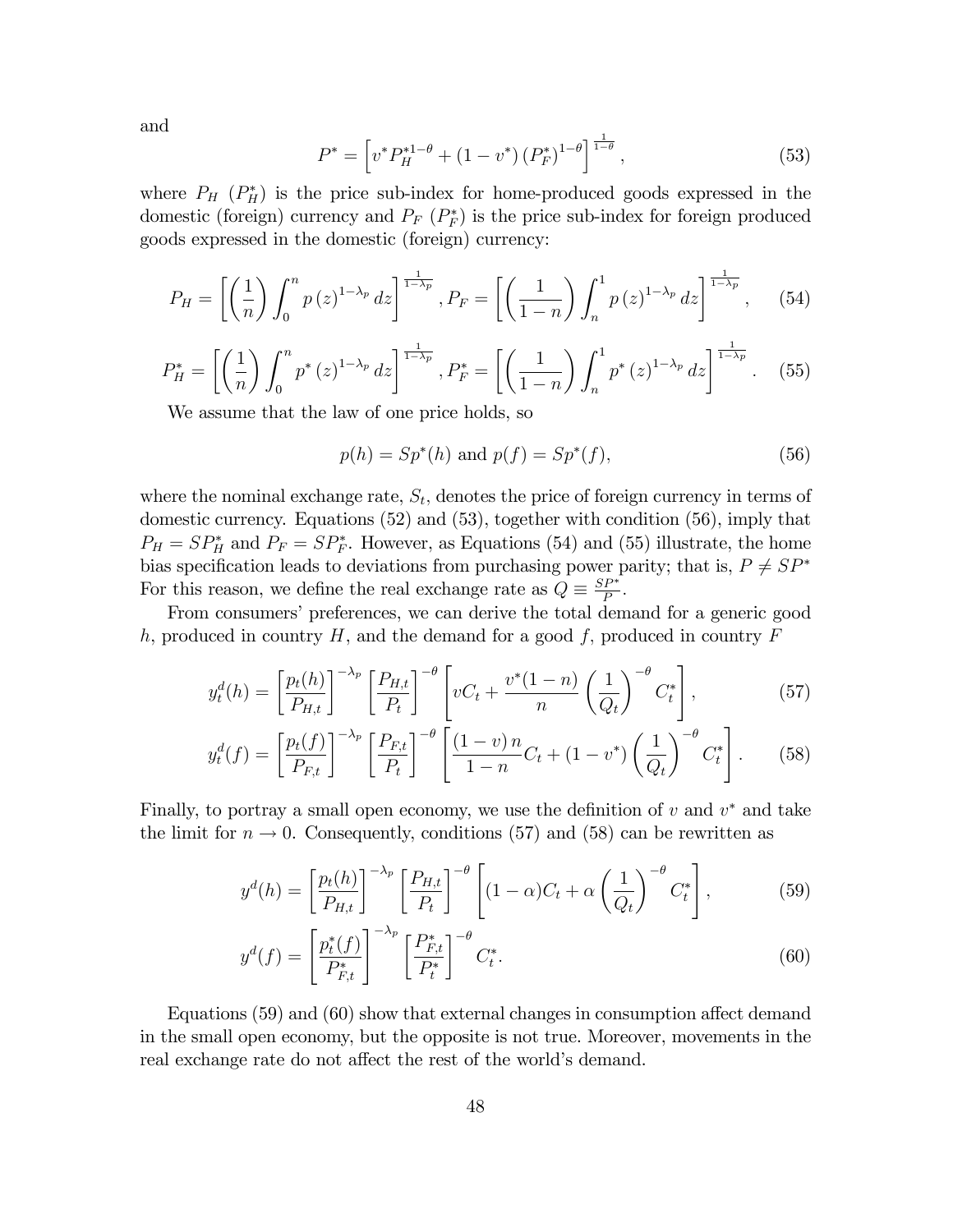and

$$
P^* = \left[ v^* P_H^{*1-\theta} + (1 - v^*) \left( P_F^* \right)^{1-\theta} \right]^{\frac{1}{1-\theta}},\tag{53}
$$

where  $P_H$  ( $P_H^*$ ) is the price sub-index for home-produced goods expressed in the domestic (foreign) currency and  $P_F(P_F^*)$  is the price sub-index for foreign produced goods expressed in the domestic (foreign) currency:

$$
P_H = \left[ \left( \frac{1}{n} \right) \int_0^n p(z)^{1 - \lambda_p} dz \right]^{\frac{1}{1 - \lambda_p}}, P_F = \left[ \left( \frac{1}{1 - n} \right) \int_n^1 p(z)^{1 - \lambda_p} dz \right]^{\frac{1}{1 - \lambda_p}}, \quad (54)
$$

$$
P_H^* = \left[ \left( \frac{1}{n} \right) \int_0^n p^* \left( z \right)^{1 - \lambda_p} dz \right]^{\frac{1}{1 - \lambda_p}}, P_F^* = \left[ \left( \frac{1}{1 - n} \right) \int_n^1 p^* \left( z \right)^{1 - \lambda_p} dz \right]^{\frac{1}{1 - \lambda_p}}. \tag{55}
$$

We assume that the law of one price holds, so

$$
p(h) = Sp*(h) \text{ and } p(f) = Sp*(f),
$$
\n(56)

where the nominal exchange rate,  $S_t$ , denotes the price of foreign currency in terms of domestic currency. Equations (52) and (53), together with condition (56), imply that  $P_H = SP_H^*$  and  $P_F = SP_F^*$ . However, as Equations (54) and (55) illustrate, the home bias specification leads to deviations from purchasing power parity; that is,  $P \neq SP^*$ For this reason, we define the real exchange rate as  $Q \equiv \frac{SP^*}{P}$  $\frac{P^*}{P}$ .

From consumers' preferences, we can derive the total demand for a generic good h, produced in country  $H$ , and the demand for a good f, produced in country  $F$ 

$$
y_t^d(h) = \left[\frac{p_t(h)}{P_{H,t}}\right]^{-\lambda_p} \left[\frac{P_{H,t}}{P_t}\right]^{-\theta} \left[vC_t + \frac{v^*(1-n)}{n}\left(\frac{1}{Q_t}\right)^{-\theta} C_t^*\right],\tag{57}
$$

$$
y_t^d(f) = \left[\frac{p_t(f)}{P_{F,t}}\right]^{-\lambda_p} \left[\frac{P_{F,t}}{P_t}\right]^{-\theta} \left[\frac{(1-v) n}{1-n}C_t + (1-v^*)\left(\frac{1}{Q_t}\right)^{-\theta} C_t^*\right].
$$
 (58)

Finally, to portray a small open economy, we use the definition of  $v$  and  $v^*$  and take the limit for  $n \to 0$ . Consequently, conditions (57) and (58) can be rewritten as

$$
y^{d}(h) = \left[\frac{p_t(h)}{P_{H,t}}\right]^{-\lambda_p} \left[\frac{P_{H,t}}{P_t}\right]^{-\theta} \left[(1-\alpha)C_t + \alpha\left(\frac{1}{Q_t}\right)^{-\theta} C_t^*\right],\tag{59}
$$

$$
y^{d}(f) = \left[\frac{p_t^*(f)}{P_{F,t}^*}\right]^{-\lambda_p} \left[\frac{P_{F,t}^*}{P_t^*}\right]^{-\theta} C_t^*.
$$
\n(60)

Equations  $(59)$  and  $(60)$  show that external changes in consumption affect demand in the small open economy, but the opposite is not true. Moreover, movements in the real exchange rate do not affect the rest of the world's demand.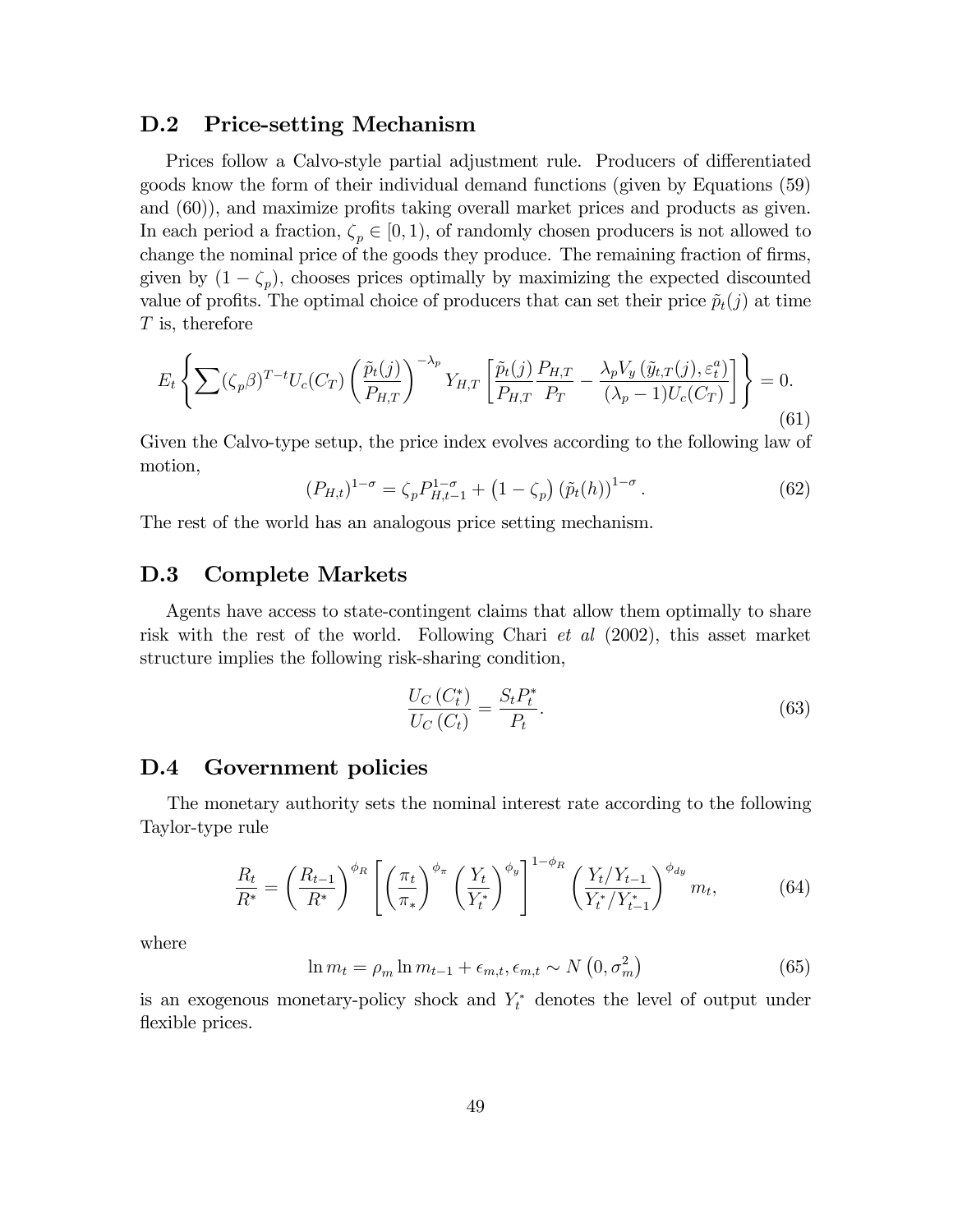#### D.2 Price-setting Mechanism

Prices follow a Calvo-style partial adjustment rule. Producers of differentiated goods know the form of their individual demand functions (given by Equations (59) and  $(60)$ , and maximize profits taking overall market prices and products as given. In each period a fraction,  $\zeta_p \in [0, 1)$ , of randomly chosen producers is not allowed to change the nominal price of the goods they produce. The remaining fraction of firms, given by  $(1 - \zeta_p)$ , chooses prices optimally by maximizing the expected discounted value of profits. The optimal choice of producers that can set their price  $\tilde{p}_t(j)$  at time T is, therefore

$$
E_t\left\{\sum(\zeta_p\beta)^{T-t}U_c(C_T)\left(\frac{\tilde{p}_t(j)}{P_{H,T}}\right)^{-\lambda_p}Y_{H,T}\left[\frac{\tilde{p}_t(j)}{P_{H,T}}\frac{P_{H,T}}{P_T}-\frac{\lambda_pV_y\left(\tilde{y}_{t,T}(j),\varepsilon_t^a\right)}{(\lambda_p-1)U_c(C_T)}\right]\right\}=0.\tag{61}
$$

Given the Calvo-type setup, the price index evolves according to the following law of motion,

$$
(P_{H,t})^{1-\sigma} = \zeta_p P_{H,t-1}^{1-\sigma} + (1-\zeta_p) (\tilde{p}_t(h))^{1-\sigma}.
$$
 (62)

The rest of the world has an analogous price setting mechanism.

#### D.3 Complete Markets

Agents have access to state-contingent claims that allow them optimally to share risk with the rest of the world. Following Chari et al (2002), this asset market structure implies the following risk-sharing condition,

$$
\frac{U_C(C_t^*)}{U_C(C_t)} = \frac{S_t P_t^*}{P_t}.
$$
\n(63)

#### D.4 Government policies

The monetary authority sets the nominal interest rate according to the following Taylor-type rule

$$
\frac{R_t}{R^*} = \left(\frac{R_{t-1}}{R^*}\right)^{\phi_R} \left[ \left(\frac{\pi_t}{\pi_*}\right)^{\phi_\pi} \left(\frac{Y_t}{Y_t^*}\right)^{\phi_y} \right]^{1-\phi_R} \left(\frac{Y_t/Y_{t-1}}{Y_t^*/Y_{t-1}^*}\right)^{\phi_{dy}} m_t, \tag{64}
$$

where

$$
\ln m_t = \rho_m \ln m_{t-1} + \epsilon_{m,t}, \epsilon_{m,t} \sim N\left(0, \sigma_m^2\right) \tag{65}
$$

is an exogenous monetary-policy shock and  $Y_t^*$  denotes the level of output under flexible prices.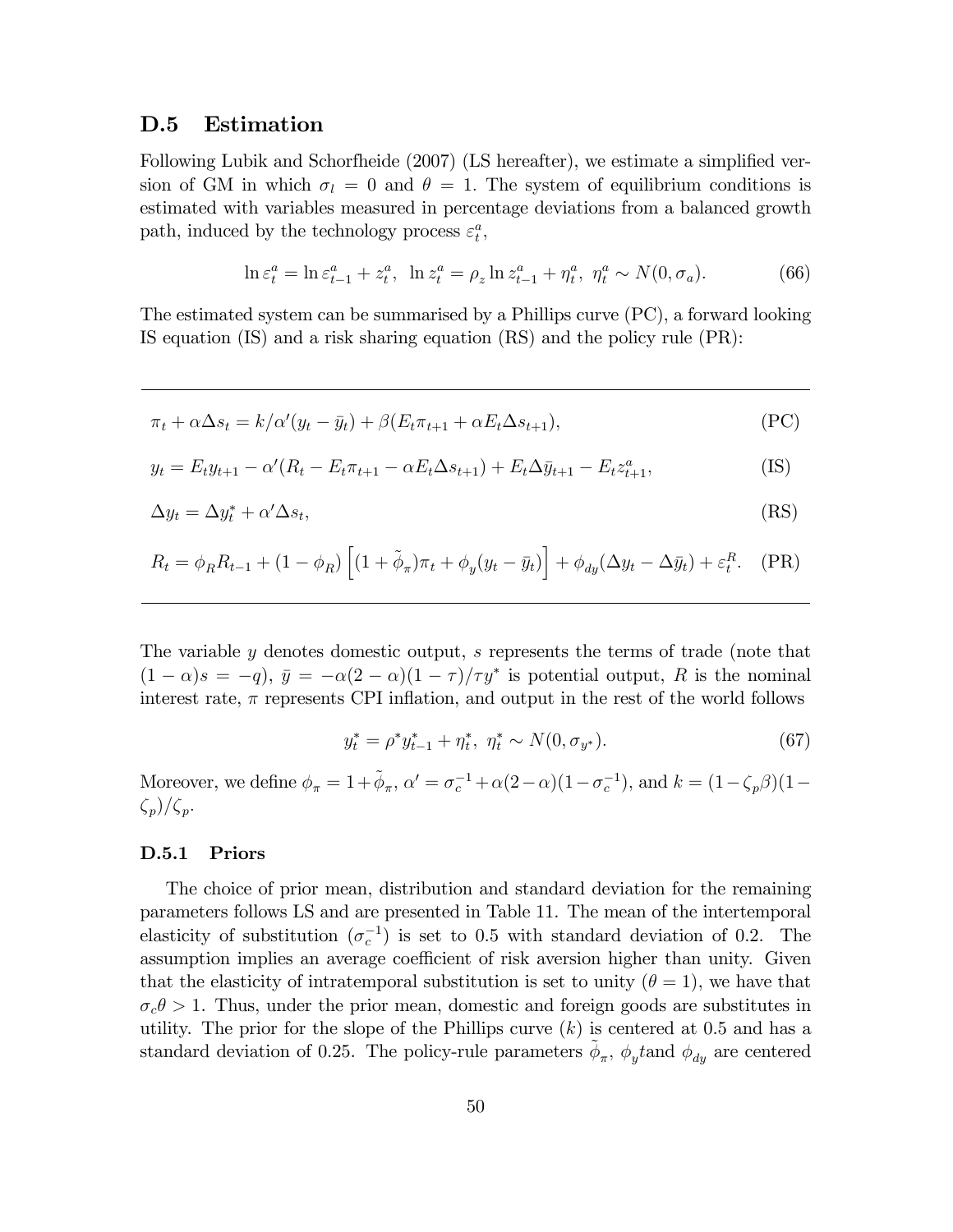#### D.5 Estimation

Following Lubik and Schorfheide  $(2007)$  (LS hereafter), we estimate a simplified version of GM in which  $\sigma_l = 0$  and  $\theta = 1$ . The system of equilibrium conditions is estimated with variables measured in percentage deviations from a balanced growth path, induced by the technology process  $\varepsilon_t^a$ ,

$$
\ln \varepsilon_t^a = \ln \varepsilon_{t-1}^a + z_t^a, \ \ln z_t^a = \rho_z \ln z_{t-1}^a + \eta_t^a, \ \eta_t^a \sim N(0, \sigma_a). \tag{66}
$$

The estimated system can be summarised by a Phillips curve (PC), a forward looking IS equation (IS) and a risk sharing equation (RS) and the policy rule (PR):

$$
\pi_t + \alpha \Delta s_t = k/\alpha'(y_t - \bar{y}_t) + \beta(E_t \pi_{t+1} + \alpha E_t \Delta s_{t+1}),
$$
\n(PC)

$$
y_t = E_t y_{t+1} - \alpha'(R_t - E_t \pi_{t+1} - \alpha E_t \Delta s_{t+1}) + E_t \Delta \bar{y}_{t+1} - E_t z_{t+1}^a,
$$
(IS)

$$
\Delta y_t = \Delta y_t^* + \alpha' \Delta s_t,\tag{RS}
$$

$$
R_t = \phi_R R_{t-1} + (1 - \phi_R) \left[ (1 + \tilde{\phi}_\pi) \pi_t + \phi_y (y_t - \bar{y}_t) \right] + \phi_{dy} (\Delta y_t - \Delta \bar{y}_t) + \varepsilon_t^R.
$$
 (PR)

The variable y denotes domestic output, s represents the terms of trade (note that  $(1 - \alpha)s = -q$ ,  $\bar{y} = -\alpha(2 - \alpha)(1 - \tau)/\tau y^*$  is potential output, R is the nominal interest rate,  $\pi$  represents CPI inflation, and output in the rest of the world follows

$$
y_t^* = \rho^* y_{t-1}^* + \eta_t^*, \ \eta_t^* \sim N(0, \sigma_{y^*}). \tag{67}
$$

Moreover, we define  $\phi_{\pi} = 1 + \tilde{\phi}_{\pi}$ ,  $\alpha' = \sigma_c^{-1} + \alpha(2-\alpha)(1-\sigma_c^{-1})$ , and  $k = (1-\zeta_p\beta)(1-\zeta_p)$  $\zeta_p$ / $\zeta_p$ .

#### D.5.1 Priors

The choice of prior mean, distribution and standard deviation for the remaining parameters follows LS and are presented in Table 11. The mean of the intertemporal elasticity of substitution  $(\sigma_c^{-1})$  is set to 0.5 with standard deviation of 0.2. The assumption implies an average coefficient of risk aversion higher than unity. Given that the elasticity of intratemporal substitution is set to unity  $(\theta = 1)$ , we have that  $\sigma_c \theta > 1$ . Thus, under the prior mean, domestic and foreign goods are substitutes in utility. The prior for the slope of the Phillips curve  $(k)$  is centered at 0.5 and has a standard deviation of 0.25. The policy-rule parameters  $\tilde{\phi}_{\pi}$ ,  $\phi_y$  tand  $\phi_{dy}$  are centered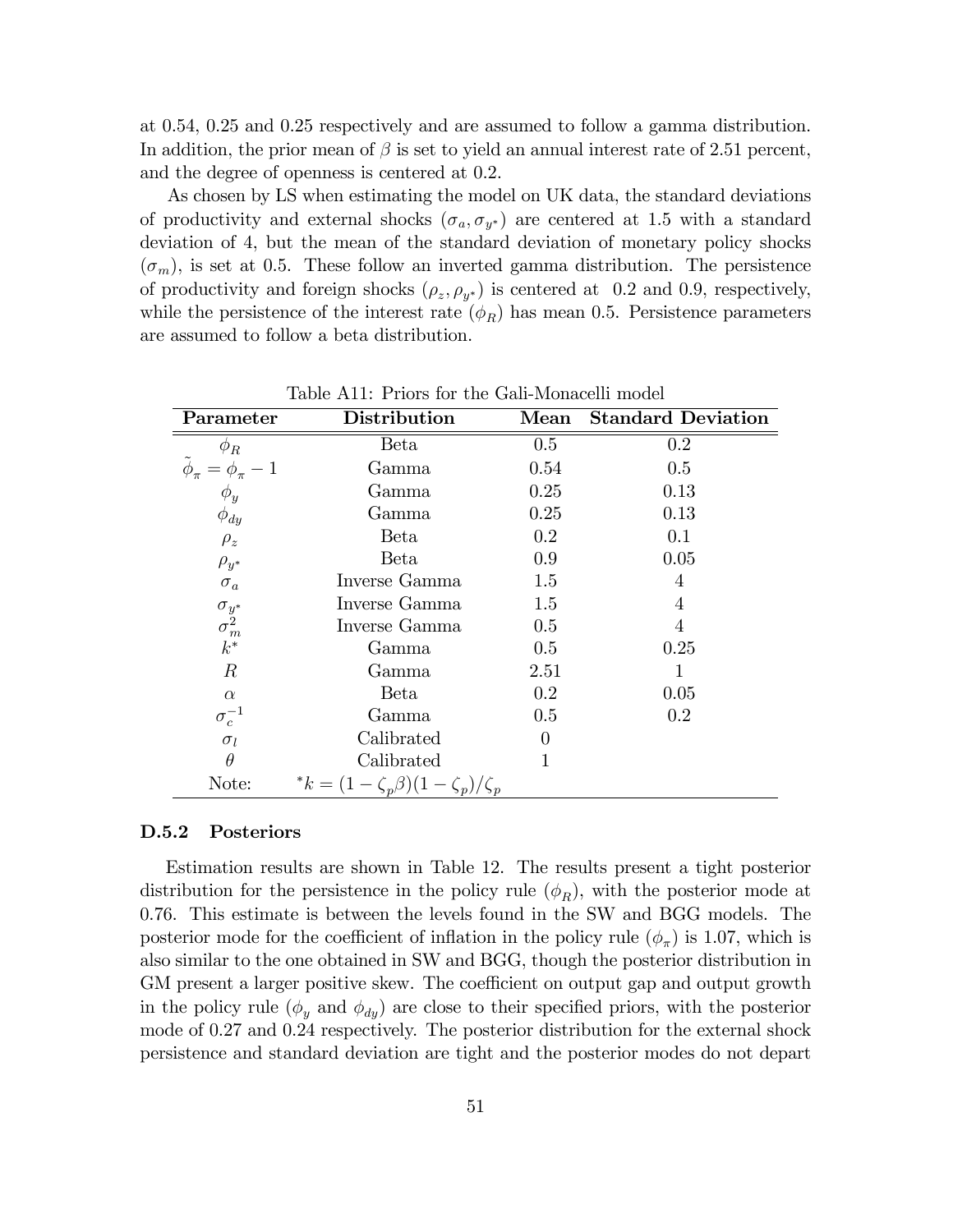at 0.54, 0.25 and 0.25 respectively and are assumed to follow a gamma distribution. In addition, the prior mean of  $\beta$  is set to yield an annual interest rate of 2.51 percent, and the degree of openness is centered at 0.2.

As chosen by LS when estimating the model on UK data, the standard deviations of productivity and external shocks  $(\sigma_a, \sigma_{y^*})$  are centered at 1.5 with a standard deviation of 4, but the mean of the standard deviation of monetary policy shocks  $(\sigma_m)$ , is set at 0.5. These follow an inverted gamma distribution. The persistence of productivity and foreign shocks  $(\rho_z, \rho_{y^*})$  is centered at 0.2 and 0.9, respectively, while the persistence of the interest rate  $(\phi_R)$  has mean 0.5. Persistence parameters are assumed to follow a beta distribution.

| Parameter                            | <b>Distribution</b>                              | Mean    | <b>Standard Deviation</b> |
|--------------------------------------|--------------------------------------------------|---------|---------------------------|
| $\phi_R$                             | Beta                                             | $0.5\,$ | 0.2                       |
| $\ddot{\phi}_{\pi} = \phi_{\pi} - 1$ | Gamma                                            | 0.54    | 0.5                       |
| $\phi_y$                             | Gamma                                            | 0.25    | 0.13                      |
| $\phi_{dy}$                          | Gamma                                            | 0.25    | 0.13                      |
| $\rho_z$                             | Beta                                             | 0.2     | 0.1                       |
| $\rho_{y^*}$                         | Beta                                             | 0.9     | 0.05                      |
| $\sigma_a$                           | Inverse Gamma                                    | 1.5     | 4                         |
| $\sigma_{y^*} \over \sigma_m^2$      | Inverse Gamma                                    | 1.5     | 4                         |
|                                      | Inverse Gamma                                    | 0.5     | 4                         |
| $k^*$                                | Gamma                                            | 0.5     | 0.25                      |
| $\boldsymbol{R}$                     | Gamma                                            | 2.51    | $\mathbf{1}$              |
| $\alpha$                             | Beta                                             | $0.2\,$ | 0.05                      |
| $\sigma_c^{-1}$                      | Gamma                                            | 0.5     | 0.2                       |
| $\sigma_l$                           | Calibrated                                       | 0       |                           |
| $\theta$                             | Calibrated                                       |         |                           |
| Note:                                | * $k = (1 - \zeta_p \beta)(1 - \zeta_p)/\zeta_p$ |         |                           |

Table A11: Priors for the Gali-Monacelli model

#### D.5.2 Posteriors

Estimation results are shown in Table 12. The results present a tight posterior distribution for the persistence in the policy rule  $(\phi_R)$ , with the posterior mode at 0.76. This estimate is between the levels found in the SW and BGG models. The posterior mode for the coefficient of inflation in the policy rule  $(\phi_{\pi})$  is 1.07, which is also similar to the one obtained in SW and BGG, though the posterior distribution in GM present a larger positive skew. The coefficient on output gap and output growth in the policy rule  $(\phi_y$  and  $\phi_{dy})$  are close to their specified priors, with the posterior mode of 0.27 and 0.24 respectively. The posterior distribution for the external shock persistence and standard deviation are tight and the posterior modes do not depart